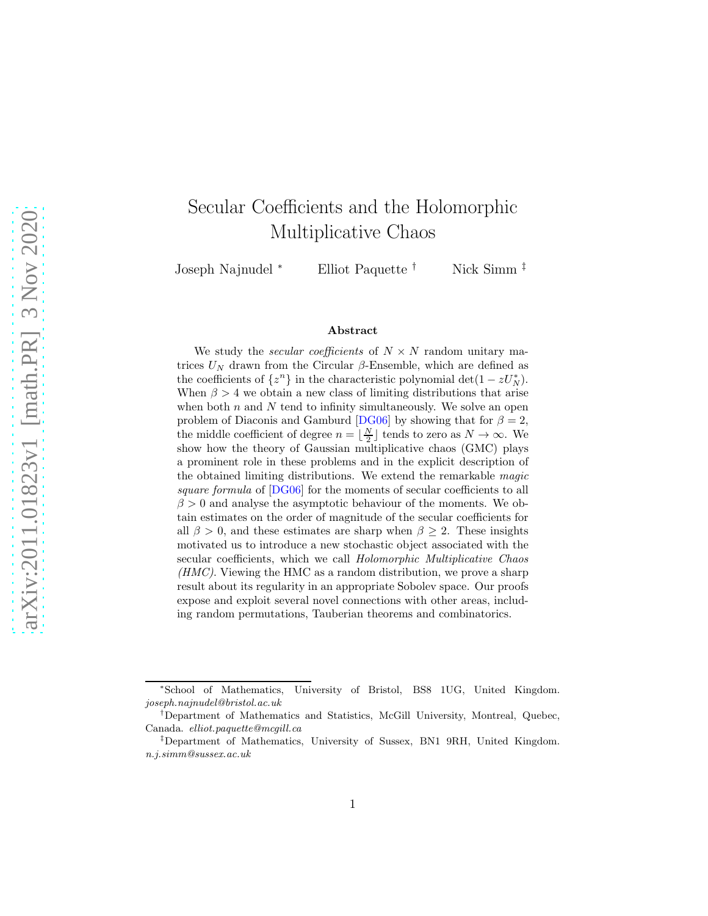# Secular Coefficients and the Holomorphic Multiplicative Chaos

Joseph Najnudel <sup>∗</sup> Elliot Paquette † Nick Simm ‡

#### Abstract

We study the *secular coefficients* of  $N \times N$  random unitary matrices  $U_N$  drawn from the Circular β-Ensemble, which are defined as the coefficients of  $\{z^n\}$  in the characteristic polynomial det(1 –  $zU_N^*$ ). When  $\beta > 4$  we obtain a new class of limiting distributions that arise when both  $n$  and  $N$  tend to infinity simultaneously. We solve an open problem of Diaconis and Gamburd [\[DG06\]](#page-68-0) by showing that for  $\beta = 2$ , the middle coefficient of degree  $n = \lfloor \frac{N}{2} \rfloor$  tends to zero as  $N \to \infty$ . We show how the theory of Gaussian multiplicative chaos (GMC) plays a prominent role in these problems and in the explicit description of the obtained limiting distributions. We extend the remarkable magic square formula of  $[DG06]$  for the moments of secular coefficients to all  $\beta > 0$  and analyse the asymptotic behaviour of the moments. We obtain estimates on the order of magnitude of the secular coefficients for all  $\beta > 0$ , and these estimates are sharp when  $\beta \geq 2$ . These insights motivated us to introduce a new stochastic object associated with the secular coefficients, which we call Holomorphic Multiplicative Chaos  $(HMC)$ . Viewing the HMC as a random distribution, we prove a sharp result about its regularity in an appropriate Sobolev space. Our proofs expose and exploit several novel connections with other areas, including random permutations, Tauberian theorems and combinatorics.

<sup>\*</sup>School of Mathematics, University of Bristol, BS8 1UG, United Kingdom. joseph.najnudel@bristol.ac.uk

<sup>†</sup>Department of Mathematics and Statistics, McGill University, Montreal, Quebec, Canada. elliot.paquette@mcgill.ca

<sup>‡</sup>Department of Mathematics, University of Sussex, BN1 9RH, United Kingdom. n.j.simm@sussex.ac.uk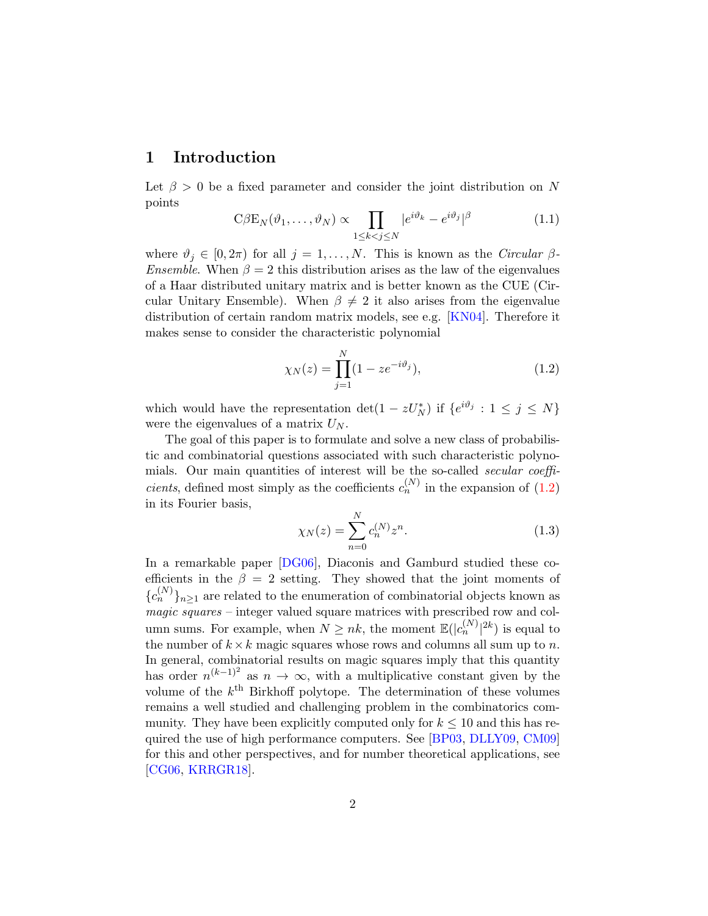## 1 Introduction

Let  $\beta > 0$  be a fixed parameter and consider the joint distribution on N points

<span id="page-1-1"></span>
$$
C\beta E_N(\vartheta_1,\ldots,\vartheta_N) \propto \prod_{1 \le k < j \le N} |e^{i\vartheta_k} - e^{i\vartheta_j}|^\beta \tag{1.1}
$$

where  $\vartheta_j \in [0, 2\pi)$  for all  $j = 1, ..., N$ . This is known as the *Circular*  $\beta$ -*Ensemble.* When  $\beta = 2$  this distribution arises as the law of the eigenvalues of a Haar distributed unitary matrix and is better known as the CUE (Circular Unitary Ensemble). When  $\beta \neq 2$  it also arises from the eigenvalue distribution of certain random matrix models, see e.g. [\[KN04\]](#page-70-0). Therefore it makes sense to consider the characteristic polynomial

<span id="page-1-0"></span>
$$
\chi_N(z) = \prod_{j=1}^N (1 - z e^{-i\vartheta_j}),\tag{1.2}
$$

which would have the representation  $\det(1 - zU_N^*)$  if  $\{e^{i\vartheta_j} : 1 \le j \le N\}$ were the eigenvalues of a matrix  $U_N$ .

The goal of this paper is to formulate and solve a new class of probabilistic and combinatorial questions associated with such characteristic polynomials. Our main quantities of interest will be the so-called secular coeffi*cients*, defined most simply as the coefficients  $c_n^{(N)}$  in the expansion of [\(1.2\)](#page-1-0) in its Fourier basis,

<span id="page-1-2"></span>
$$
\chi_N(z) = \sum_{n=0}^N c_n^{(N)} z^n.
$$
\n(1.3)

In a remarkable paper [\[DG06\]](#page-68-0), Diaconis and Gamburd studied these coefficients in the  $\beta = 2$  setting. They showed that the joint moments of  ${c_n^{(N)}}_{n \geq 1}$  are related to the enumeration of combinatorial objects known as  $magic \, squares$  – integer valued square matrices with prescribed row and column sums. For example, when  $N \geq nk$ , the moment  $\mathbb{E}(|c_n^{(N)}|^{2k})$  is equal to the number of  $k \times k$  magic squares whose rows and columns all sum up to n. In general, combinatorial results on magic squares imply that this quantity has order  $n^{(k-1)^2}$  as  $n \to \infty$ , with a multiplicative constant given by the volume of the  $k^{\text{th}}$  Birkhoff polytope. The determination of these volumes remains a well studied and challenging problem in the combinatorics community. They have been explicitly computed only for  $k \leq 10$  and this has required the use of high performance computers. See [\[BP03,](#page-68-1) [DLLY09,](#page-68-2) [CM09\]](#page-68-3) for this and other perspectives, and for number theoretical applications, see [\[CG06,](#page-68-4) [KRRGR18\]](#page-70-1).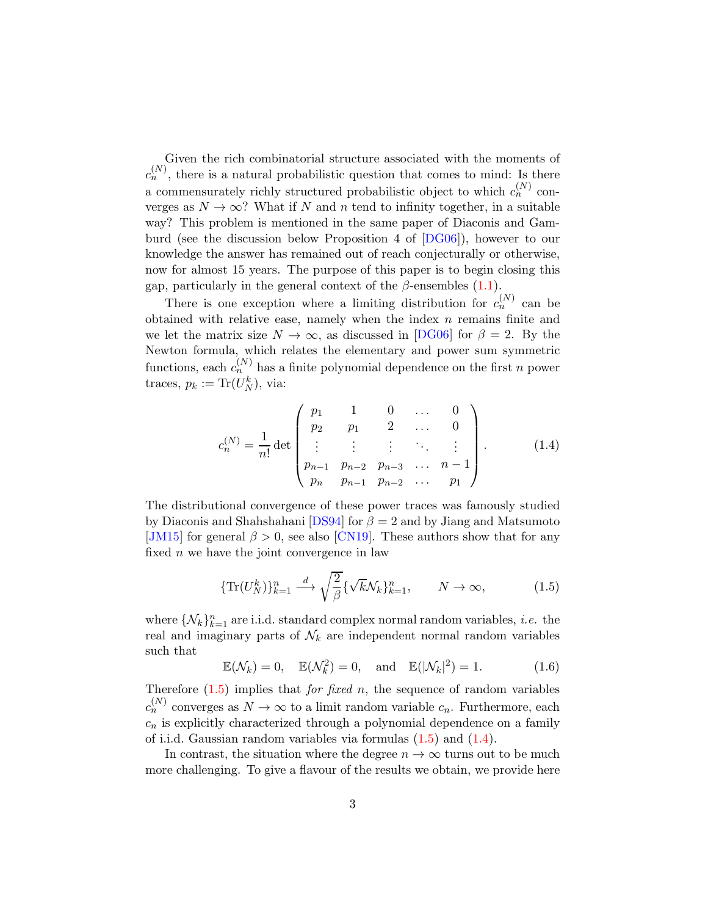Given the rich combinatorial structure associated with the moments of  $c_n^{(N)}$ , there is a natural probabilistic question that comes to mind: Is there a commensurately richly structured probabilistic object to which  $c_n^{(N)}$  converges as  $N \to \infty$ ? What if N and n tend to infinity together, in a suitable way? This problem is mentioned in the same paper of Diaconis and Gamburd (see the discussion below Proposition 4 of [\[DG06\]](#page-68-0)), however to our knowledge the answer has remained out of reach conjecturally or otherwise, now for almost 15 years. The purpose of this paper is to begin closing this gap, particularly in the general context of the  $\beta$ -ensembles [\(1.1\)](#page-1-1).

There is one exception where a limiting distribution for  $c_n^{(N)}$  can be obtained with relative ease, namely when the index  $n$  remains finite and we let the matrix size  $N \to \infty$ , as discussed in [\[DG06\]](#page-68-0) for  $\beta = 2$ . By the Newton formula, which relates the elementary and power sum symmetric functions, each  $c_n^{(N)}$  has a finite polynomial dependence on the first n power traces,  $p_k := \text{Tr}(U_N^k)$ , via:

<span id="page-2-1"></span>
$$
c_n^{(N)} = \frac{1}{n!} \det \begin{pmatrix} p_1 & 1 & 0 & \cdots & 0 \\ p_2 & p_1 & 2 & \cdots & 0 \\ \vdots & \vdots & \vdots & \ddots & \vdots \\ p_{n-1} & p_{n-2} & p_{n-3} & \cdots & n-1 \\ p_n & p_{n-1} & p_{n-2} & \cdots & p_1 \end{pmatrix} .
$$
 (1.4)

The distributional convergence of these power traces was famously studied by Diaconis and Shahshahani [\[DS94\]](#page-69-0) for  $\beta = 2$  and by Jiang and Matsumoto [\[JM15\]](#page-70-2) for general  $\beta > 0$ , see also [\[CN19\]](#page-68-5). These authors show that for any fixed  $n$  we have the joint convergence in law

<span id="page-2-0"></span>
$$
\{\operatorname{Tr}(U_N^k)\}_{k=1}^n \stackrel{d}{\longrightarrow} \sqrt{\frac{2}{\beta}} \{\sqrt{k} \mathcal{N}_k\}_{k=1}^n, \qquad N \to \infty,\tag{1.5}
$$

where  $\{\mathcal{N}_k\}_{k=1}^n$  are i.i.d. standard complex normal random variables, *i.e.* the real and imaginary parts of  $\mathcal{N}_k$  are independent normal random variables such that

<span id="page-2-2"></span>
$$
\mathbb{E}(\mathcal{N}_k) = 0, \quad \mathbb{E}(\mathcal{N}_k^2) = 0, \quad \text{and} \quad \mathbb{E}(|\mathcal{N}_k|^2) = 1. \tag{1.6}
$$

Therefore  $(1.5)$  implies that *for fixed n*, the sequence of random variables  $c_n^{(N)}$  converges as  $N \to \infty$  to a limit random variable  $c_n$ . Furthermore, each  $c_n$  is explicitly characterized through a polynomial dependence on a family of i.i.d. Gaussian random variables via formulas [\(1.5\)](#page-2-0) and [\(1.4\)](#page-2-1).

In contrast, the situation where the degree  $n \to \infty$  turns out to be much more challenging. To give a flavour of the results we obtain, we provide here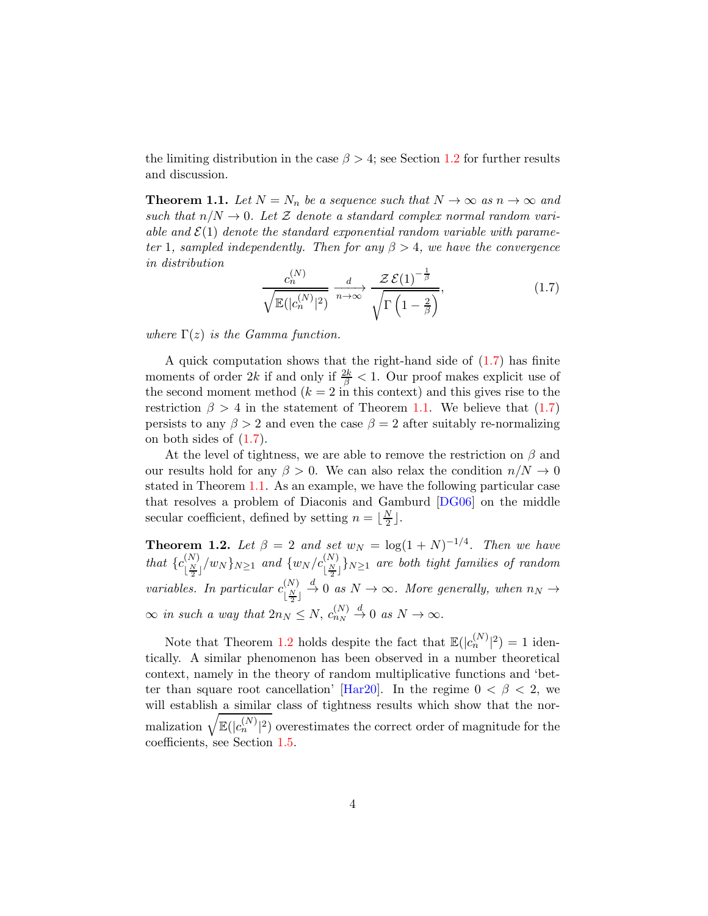the limiting distribution in the case  $\beta > 4$ ; see Section [1.2](#page-7-0) for further results and discussion.

**Theorem 1.1.** Let  $N = N_n$  be a sequence such that  $N \to \infty$  as  $n \to \infty$  and such that  $n/N \to 0$ . Let Z denote a standard complex normal random variable and  $\mathcal{E}(1)$  denote the standard exponential random variable with parameter 1, sampled independently. Then for any  $\beta > 4$ , we have the convergence in distribution

<span id="page-3-0"></span>
$$
\frac{c_n^{(N)}}{\sqrt{\mathbb{E}(|c_n^{(N)}|^2)}} \xrightarrow[n \to \infty]{d} \frac{\mathcal{Z}\,\mathcal{E}(1)^{-\frac{1}{\beta}}}{\sqrt{\Gamma\left(1-\frac{2}{\beta}\right)}},\tag{1.7}
$$

where  $\Gamma(z)$  is the Gamma function.

A quick computation shows that the right-hand side of  $(1.7)$  has finite moments of order 2k if and only if  $\frac{2k}{\beta} < 1$ . Our proof makes explicit use of the second moment method  $(k = 2$  in this context) and this gives rise to the restriction  $\beta > 4$  in the statement of Theorem [1.1.](#page-3-0) We believe that [\(1.7\)](#page-3-0) persists to any  $\beta > 2$  and even the case  $\beta = 2$  after suitably re-normalizing on both sides of [\(1.7\)](#page-3-0).

At the level of tightness, we are able to remove the restriction on  $\beta$  and our results hold for any  $\beta > 0$ . We can also relax the condition  $n/N \to 0$ stated in Theorem [1.1.](#page-3-0) As an example, we have the following particular case that resolves a problem of Diaconis and Gamburd [\[DG06\]](#page-68-0) on the middle secular coefficient, defined by setting  $n = \lfloor \frac{N}{2} \rfloor$  $\frac{N}{2}$ .

<span id="page-3-1"></span>**Theorem 1.2.** Let  $\beta = 2$  and set  $w_N = \log(1 + N)^{-1/4}$ . Then we have that  $\{c_{\lfloor \frac{N}{2} \rfloor}^{(N)}\}$  $\frac{\binom{N}{N}}{\lfloor \frac{N}{2} \rfloor}$  and  $\{w_N/c_{\lfloor \frac{N}{2} \rfloor}^{(N)}\}$  are both tight families of random variables. In particular  $c_{\text{N}}^{(N)}$  $\lfloor \frac{N}{2} \rfloor$  $\infty$  in such a way that  $2n_N \leq N$ ,  $c_{n_N}^{(N)} \stackrel{d}{\to} 0$  as  $N \to \infty$ .  $\stackrel{d}{\rightarrow} 0$  as  $N \rightarrow \infty$ . More generally, when  $n_N \rightarrow$ 

Note that Theorem [1.2](#page-3-1) holds despite the fact that  $\mathbb{E}(|c_n^{(N)}|^2) = 1$  identically. A similar phenomenon has been observed in a number theoretical context, namely in the theory of random multiplicative functions and 'bet-ter than square root cancellation' [\[Har20\]](#page-69-1). In the regime  $0 < \beta < 2$ , we will establish a similar class of tightness results which show that the normalization  $\sqrt{\mathbb{E}(|c_n^{(N)}|^2)}$  overestimates the correct order of magnitude for the coefficients, see Section [1.5.](#page-11-0)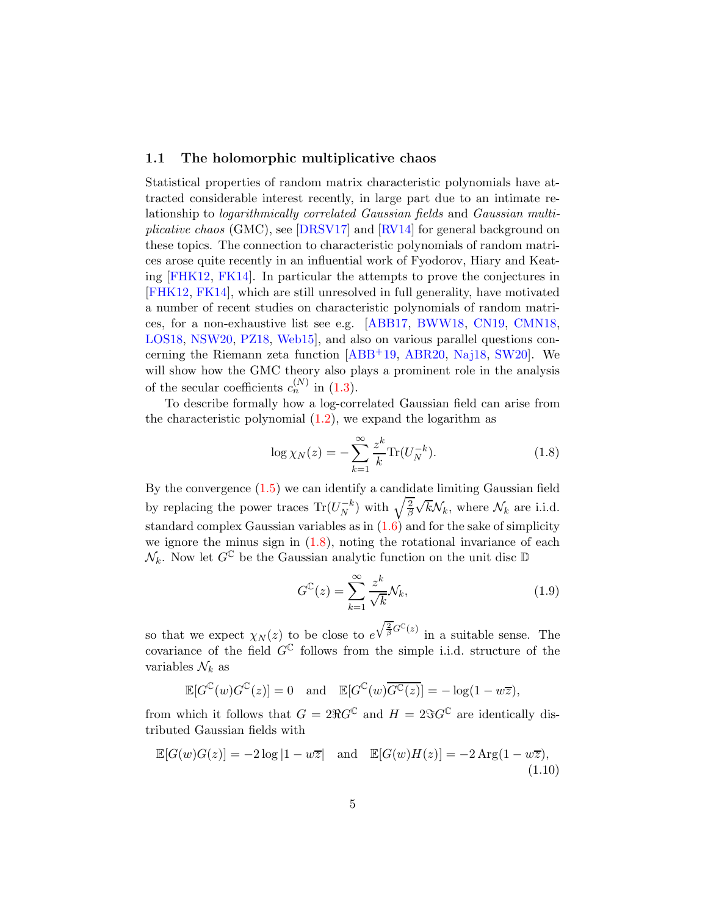### 1.1 The holomorphic multiplicative chaos

Statistical properties of random matrix characteristic polynomials have attracted considerable interest recently, in large part due to an intimate relationship to logarithmically correlated Gaussian fields and Gaussian multiplicative chaos (GMC), see [\[DRSV17\]](#page-68-6) and [\[RV14\]](#page-71-0) for general background on these topics. The connection to characteristic polynomials of random matrices arose quite recently in an influential work of Fyodorov, Hiary and Keating [\[FHK12,](#page-69-2) [FK14\]](#page-69-3). In particular the attempts to prove the conjectures in [\[FHK12,](#page-69-2) [FK14\]](#page-69-3), which are still unresolved in full generality, have motivated a number of recent studies on characteristic polynomials of random matrices, for a non-exhaustive list see e.g. [\[ABB17,](#page-67-0) [BWW18,](#page-68-7) [CN19,](#page-68-5) [CMN18,](#page-68-8) [LOS18,](#page-70-3) [NSW20,](#page-71-1) [PZ18,](#page-71-2) [Web15\]](#page-72-0), and also on various parallel questions concerning the Riemann zeta function [\[ABB](#page-67-1)+19, [ABR20,](#page-67-2) [Naj18,](#page-71-3) [SW20\]](#page-72-1). We will show how the GMC theory also plays a prominent role in the analysis of the secular coefficients  $c_n^{(N)}$  in [\(1.3\)](#page-1-2).

To describe formally how a log-correlated Gaussian field can arise from the characteristic polynomial  $(1.2)$ , we expand the logarithm as

<span id="page-4-0"></span>
$$
\log \chi_N(z) = -\sum_{k=1}^{\infty} \frac{z^k}{k} \text{Tr}(U_N^{-k}).
$$
\n(1.8)

By the convergence [\(1.5\)](#page-2-0) we can identify a candidate limiting Gaussian field by replacing the power traces  $\text{Tr}(U_N^{-k})$  with  $\sqrt{\frac{2}{\beta}}$  $\sqrt{k}\mathcal{N}_k$ , where  $\mathcal{N}_k$  are i.i.d. standard complex Gaussian variables as in  $(1.6)$  and for the sake of simplicity we ignore the minus sign in  $(1.8)$ , noting the rotational invariance of each  $\mathcal{N}_k$ . Now let  $G^{\mathbb{C}}$  be the Gaussian analytic function on the unit disc  $\mathbb{D}$ 

$$
G^{\mathbb{C}}(z) = \sum_{k=1}^{\infty} \frac{z^k}{\sqrt{k}} \mathcal{N}_k,
$$
\n(1.9)

so that we expect  $\chi_N(z)$  to be close to  $e^{\sqrt{\frac{2}{\beta}}G^{\mathbb{C}}(z)}$  in a suitable sense. The covariance of the field  $G^{\mathbb{C}}$  follows from the simple i.i.d. structure of the variables  $\mathcal{N}_k$  as

$$
\mathbb{E}[G^{\mathbb{C}}(w)G^{\mathbb{C}}(z)] = 0 \text{ and } \mathbb{E}[G^{\mathbb{C}}(w)\overline{G^{\mathbb{C}}(z)}] = -\log(1 - w\overline{z}),
$$

from which it follows that  $G = 2\Re G^{\mathbb{C}}$  and  $H = 2\Im G^{\mathbb{C}}$  are identically distributed Gaussian fields with

<span id="page-4-1"></span>
$$
\mathbb{E}[G(w)G(z)] = -2\log|1 - w\overline{z}| \quad \text{and} \quad \mathbb{E}[G(w)H(z)] = -2\operatorname{Arg}(1 - w\overline{z}),\tag{1.10}
$$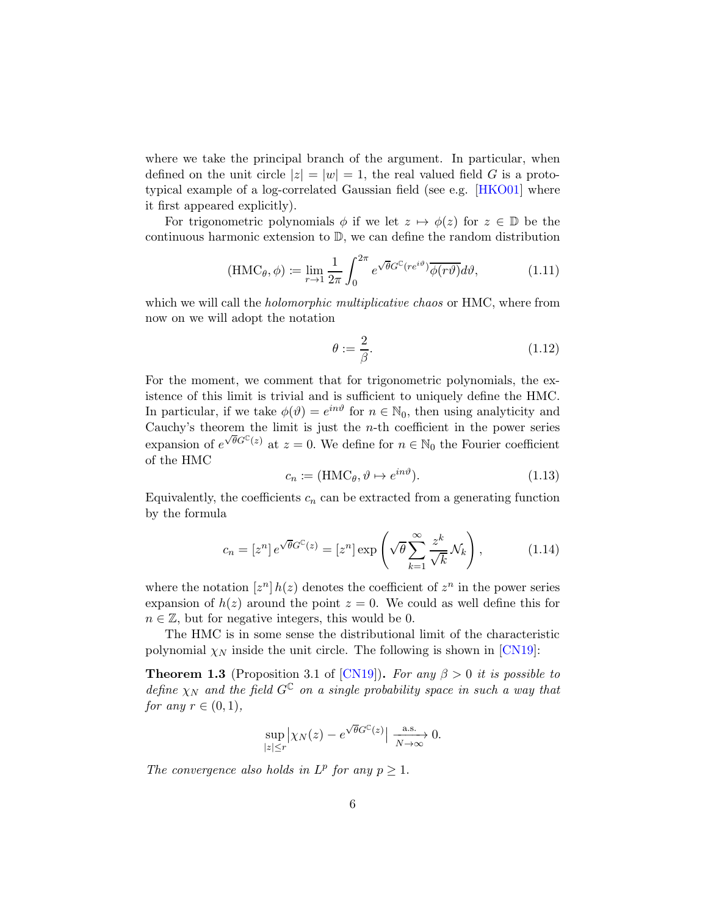where we take the principal branch of the argument. In particular, when defined on the unit circle  $|z| = |w| = 1$ , the real valued field G is a prototypical example of a log-correlated Gaussian field (see e.g. [\[HKO01\]](#page-69-4) where it first appeared explicitly).

For trigonometric polynomials  $\phi$  if we let  $z \mapsto \phi(z)$  for  $z \in \mathbb{D}$  be the continuous harmonic extension to D, we can define the random distribution

$$
(\text{HMC}_{\theta}, \phi) := \lim_{r \to 1} \frac{1}{2\pi} \int_0^{2\pi} e^{\sqrt{\theta}G^{\mathbb{C}}(re^{i\theta})} \overline{\phi(r\theta)} d\theta, \tag{1.11}
$$

which we will call the *holomorphic multiplicative chaos* or HMC, where from now on we will adopt the notation

$$
\theta := \frac{2}{\beta}.\tag{1.12}
$$

For the moment, we comment that for trigonometric polynomials, the existence of this limit is trivial and is sufficient to uniquely define the HMC. In particular, if we take  $\phi(\vartheta) = e^{in\vartheta}$  for  $n \in \mathbb{N}_0$ , then using analyticity and Cauchy's theorem the limit is just the  $n$ -th coefficient in the power series expansion of  $e^{\sqrt{\theta}G^{\mathbb{C}}(z)}$  at  $z=0$ . We define for  $n \in \mathbb{N}_0$  the Fourier coefficient of the HMC

<span id="page-5-2"></span>
$$
c_n \coloneqq (\text{HMC}_{\theta}, \vartheta \mapsto e^{in\vartheta}).\tag{1.13}
$$

Equivalently, the coefficients  $c_n$  can be extracted from a generating function by the formula

<span id="page-5-1"></span>
$$
c_n = [z^n] e^{\sqrt{\theta} G^{\mathbb{C}}(z)} = [z^n] \exp\left(\sqrt{\theta} \sum_{k=1}^{\infty} \frac{z^k}{\sqrt{k}} \mathcal{N}_k\right),\tag{1.14}
$$

where the notation  $[z^n] h(z)$  denotes the coefficient of  $z^n$  in the power series expansion of  $h(z)$  around the point  $z = 0$ . We could as well define this for  $n \in \mathbb{Z}$ , but for negative integers, this would be 0.

The HMC is in some sense the distributional limit of the characteristic polynomial  $\chi_N$  inside the unit circle. The following is shown in [\[CN19\]](#page-68-5):

<span id="page-5-0"></span>**Theorem 1.3** (Proposition 3.1 of [\[CN19\]](#page-68-5)). For any  $\beta > 0$  it is possible to define  $\chi_N$  and the field  $G^{\mathbb{C}}$  on a single probability space in such a way that for any  $r \in (0,1)$ ,

$$
\sup_{|z|\leq r}\left|\chi_N(z)-e^{\sqrt{\theta}G^{\mathbb{C}}(z)}\right|\xrightarrow[N\to\infty]{\text{a.s.}} 0.
$$

The convergence also holds in  $L^p$  for any  $p \geq 1$ .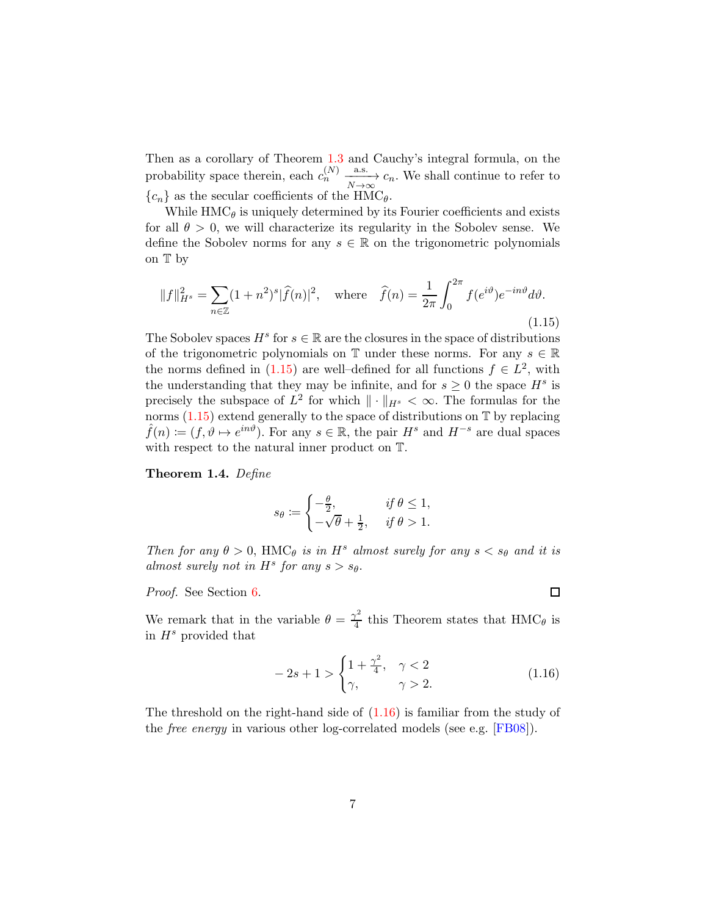Then as a corollary of Theorem [1.3](#page-5-0) and Cauchy's integral formula, on the probability space therein, each  $c_n^{(N)} \xrightarrow[N \to \infty]{a.s.} c_n$ . We shall continue to refer to  ${c_n}$  as the secular coefficients of the HMC<sub> $\theta$ </sub>.

While  $HMC_{\theta}$  is uniquely determined by its Fourier coefficients and exists for all  $\theta > 0$ , we will characterize its regularity in the Sobolev sense. We define the Sobolev norms for any  $s \in \mathbb{R}$  on the trigonometric polynomials on T by

<span id="page-6-0"></span>
$$
||f||_{H^s}^2 = \sum_{n \in \mathbb{Z}} (1+n^2)^s |\widehat{f}(n)|^2, \quad \text{where} \quad \widehat{f}(n) = \frac{1}{2\pi} \int_0^{2\pi} f(e^{i\vartheta}) e^{-in\vartheta} d\vartheta.
$$
\n(1.15)

The Sobolev spaces  $H^s$  for  $s \in \mathbb{R}$  are the closures in the space of distributions of the trigonometric polynomials on  $\mathbb T$  under these norms. For any  $s \in \mathbb R$ the norms defined in  $(1.15)$  are well-defined for all functions  $f \in L^2$ , with the understanding that they may be infinite, and for  $s \geq 0$  the space  $H^s$  is precisely the subspace of  $L^2$  for which  $\|\cdot\|_{H^s} < \infty$ . The formulas for the norms  $(1.15)$  extend generally to the space of distributions on  $\mathbb T$  by replacing  $\hat{f}(n) := (f, \vartheta \mapsto e^{in\vartheta})$ . For any  $s \in \mathbb{R}$ , the pair  $H^s$  and  $H^{-s}$  are dual spaces with respect to the natural inner product on T.

<span id="page-6-2"></span>Theorem 1.4. Define

$$
s_{\theta} := \begin{cases} -\frac{\theta}{2}, & \text{if } \theta \le 1, \\ -\sqrt{\theta} + \frac{1}{2}, & \text{if } \theta > 1. \end{cases}
$$

Then for any  $\theta > 0$ , HMC<sub> $\theta$ </sub> is in H<sup>s</sup> almost surely for any  $s < s_{\theta}$  and it is almost surely not in  $H^s$  for any  $s > s_\theta$ .

Proof. See Section [6.](#page-45-0)

We remark that in the variable  $\theta = \frac{\gamma^2}{4}$  $\frac{\gamma}{4}$  this Theorem states that  $HMC_{\theta}$  is in  $H^s$  provided that

<span id="page-6-1"></span>
$$
-2s + 1 > \begin{cases} 1 + \frac{\gamma^2}{4}, & \gamma < 2 \\ \gamma, & \gamma > 2. \end{cases} \tag{1.16}
$$

The threshold on the right-hand side of  $(1.16)$  is familiar from the study of the *free energy* in various other log-correlated models (see e.g. [\[FB08\]](#page-69-5)).

 $\Box$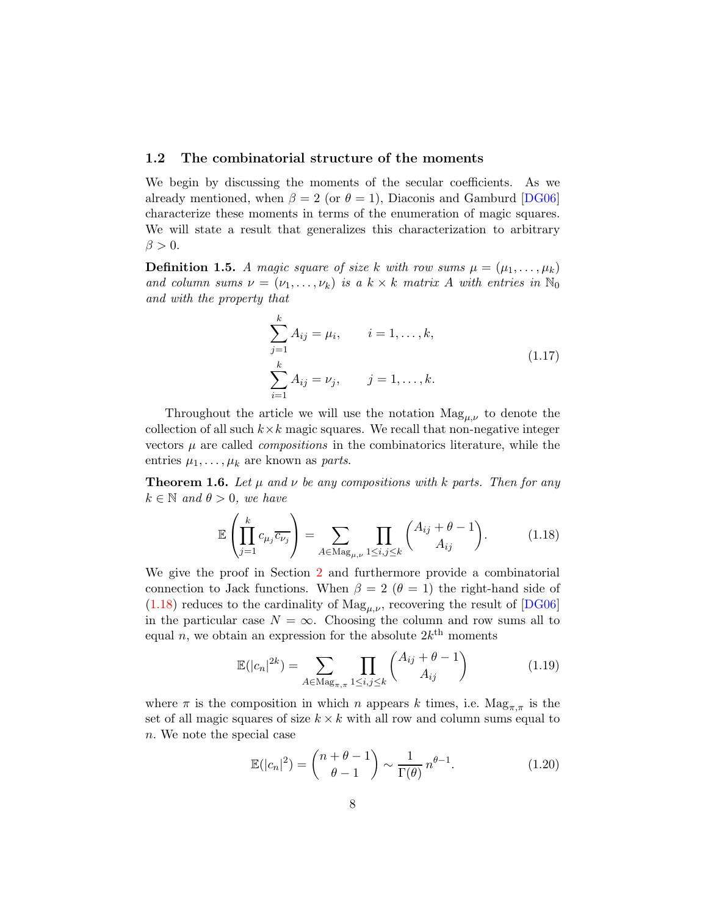### <span id="page-7-0"></span>1.2 The combinatorial structure of the moments

We begin by discussing the moments of the secular coefficients. As we already mentioned, when  $\beta = 2$  (or  $\theta = 1$ ), Diaconis and Gamburd [\[DG06\]](#page-68-0) characterize these moments in terms of the enumeration of magic squares. We will state a result that generalizes this characterization to arbitrary  $\beta > 0$ .

**Definition 1.5.** A magic square of size k with row sums  $\mu = (\mu_1, \dots, \mu_k)$ and column sums  $\nu = (\nu_1, \ldots, \nu_k)$  is a  $k \times k$  matrix A with entries in  $\mathbb{N}_0$ and with the property that

$$
\sum_{j=1}^{k} A_{ij} = \mu_i, \qquad i = 1, ..., k,
$$
  

$$
\sum_{i=1}^{k} A_{ij} = \nu_j, \qquad j = 1, ..., k.
$$
 (1.17)

Throughout the article we will use the notation  $Mag_{\mu,\nu}$  to denote the collection of all such  $k \times k$  magic squares. We recall that non-negative integer vectors  $\mu$  are called *compositions* in the combinatorics literature, while the entries  $\mu_1, \ldots, \mu_k$  are known as *parts*.

<span id="page-7-4"></span>**Theorem 1.6.** Let  $\mu$  and  $\nu$  be any compositions with k parts. Then for any  $k \in \mathbb{N}$  and  $\theta > 0$ , we have

<span id="page-7-1"></span>
$$
\mathbb{E}\left(\prod_{j=1}^{k}c_{\mu_{j}}\overline{c_{\nu_{j}}}\right) = \sum_{A \in \text{Mag}_{\mu,\nu}}\prod_{1 \leq i,j \leq k} \binom{A_{ij} + \theta - 1}{A_{ij}}.
$$
 (1.18)

We give the proof in Section [2](#page-16-0) and furthermore provide a combinatorial connection to Jack functions. When  $\beta = 2$  ( $\theta = 1$ ) the right-hand side of  $(1.18)$  reduces to the cardinality of  $\text{Mag}_{\mu,\nu}$ , recovering the result of [\[DG06\]](#page-68-0) in the particular case  $N = \infty$ . Choosing the column and row sums all to equal *n*, we obtain an expression for the absolute  $2k^{\text{th}}$  moments

<span id="page-7-2"></span>
$$
\mathbb{E}(|c_n|^{2k}) = \sum_{A \in \text{Mag}_{\pi,\pi}} \prod_{1 \le i,j \le k} \binom{A_{ij} + \theta - 1}{A_{ij}} \tag{1.19}
$$

where  $\pi$  is the composition in which n appears k times, i.e.  $\text{Mag}_{\pi,\pi}$  is the set of all magic squares of size  $k \times k$  with all row and column sums equal to n. We note the special case

<span id="page-7-3"></span>
$$
\mathbb{E}(|c_n|^2) = {n+\theta-1 \choose \theta-1} \sim \frac{1}{\Gamma(\theta)} n^{\theta-1}.
$$
 (1.20)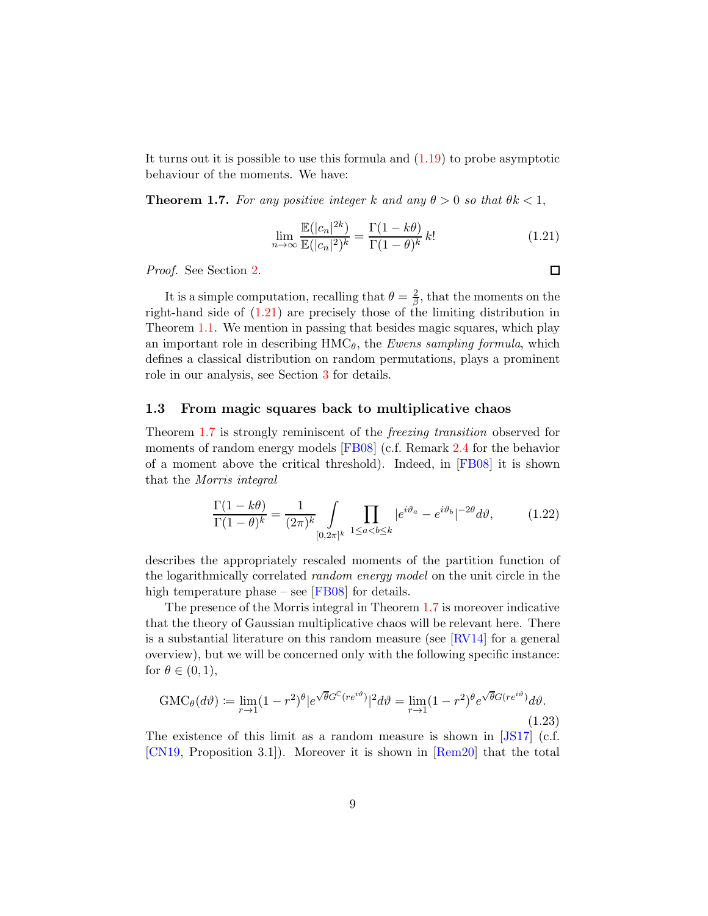It turns out it is possible to use this formula and  $(1.19)$  to probe asymptotic behaviour of the moments. We have:

<span id="page-8-1"></span>**Theorem 1.7.** For any positive integer k and any  $\theta > 0$  so that  $\theta k < 1$ ,

<span id="page-8-0"></span>
$$
\lim_{n \to \infty} \frac{\mathbb{E}(|c_n|^{2k})}{\mathbb{E}(|c_n|^2)^k} = \frac{\Gamma(1 - k\theta)}{\Gamma(1 - \theta)^k} k! \tag{1.21}
$$

Proof. See Section [2.](#page-16-0)

It is a simple computation, recalling that  $\theta = \frac{2}{\beta}$  $\frac{2}{\beta}$ , that the moments on the right-hand side of [\(1.21\)](#page-8-0) are precisely those of the limiting distribution in Theorem [1.1.](#page-3-0) We mention in passing that besides magic squares, which play an important role in describing  $HMC_{\theta}$ , the Ewens sampling formula, which defines a classical distribution on random permutations, plays a prominent role in our analysis, see Section [3](#page-23-0) for details.

#### 1.3 From magic squares back to multiplicative chaos

Theorem [1.7](#page-8-1) is strongly reminiscent of the freezing transition observed for moments of random energy models [\[FB08\]](#page-69-5) (c.f. Remark [2.4](#page-21-0) for the behavior of a moment above the critical threshold). Indeed, in [\[FB08\]](#page-69-5) it is shown that the Morris integral

<span id="page-8-3"></span>
$$
\frac{\Gamma(1-k\theta)}{\Gamma(1-\theta)^k} = \frac{1}{(2\pi)^k} \int\limits_{[0,2\pi]^k} \prod_{1 \le a < b \le k} |e^{i\vartheta_a} - e^{i\vartheta_b}|^{-2\theta} d\vartheta,\tag{1.22}
$$

describes the appropriately rescaled moments of the partition function of the logarithmically correlated *random energy model* on the unit circle in the high temperature phase – see  $[FB08]$  for details.

The presence of the Morris integral in Theorem [1.7](#page-8-1) is moreover indicative that the theory of Gaussian multiplicative chaos will be relevant here. There is a substantial literature on this random measure (see  $\lbrack \text{RV14} \rbrack$  for a general overview), but we will be concerned only with the following specific instance: for  $\theta \in (0,1)$ ,

<span id="page-8-2"></span>
$$
GMC_{\theta}(d\vartheta) := \lim_{r \to 1} (1 - r^2)^{\theta} |e^{\sqrt{\theta}G^{\mathbb{C}}(re^{i\vartheta})}|^2 d\vartheta = \lim_{r \to 1} (1 - r^2)^{\theta} e^{\sqrt{\theta}G(re^{i\vartheta})} d\vartheta.
$$
\n(1.23)

The existence of this limit as a random measure is shown in [\[JS17\]](#page-70-4) (c.f. [\[CN19,](#page-68-5) Proposition 3.1]). Moreover it is shown in [\[Rem20\]](#page-71-4) that the total

 $\Box$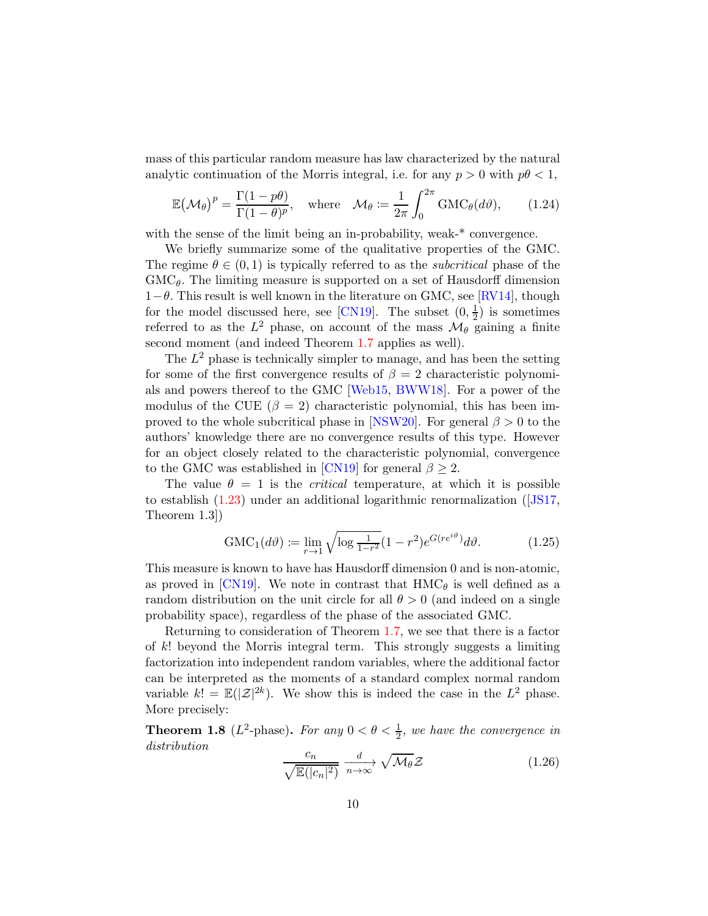mass of this particular random measure has law characterized by the natural analytic continuation of the Morris integral, i.e. for any  $p > 0$  with  $p\theta < 1$ ,

<span id="page-9-0"></span>
$$
\mathbb{E}(\mathcal{M}_{\theta})^p = \frac{\Gamma(1 - p\theta)}{\Gamma(1 - \theta)^p}, \quad \text{where} \quad \mathcal{M}_{\theta} := \frac{1}{2\pi} \int_0^{2\pi} \text{GMC}_{\theta}(d\vartheta), \qquad (1.24)
$$

with the sense of the limit being an in-probability, weak-\* convergence.

We briefly summarize some of the qualitative properties of the GMC. The regime  $\theta \in (0,1)$  is typically referred to as the *subcritical* phase of the  $GMC_{\theta}$ . The limiting measure is supported on a set of Hausdorff dimension  $1-\theta$ . This result is well known in the literature on GMC, see [\[RV14\]](#page-71-0), though for the model discussed here, see [\[CN19\]](#page-68-5). The subset  $(0, \frac{1}{2})$  $(\frac{1}{2})$  is sometimes referred to as the  $L^2$  phase, on account of the mass  $\mathcal{M}_{\theta}$  gaining a finite second moment (and indeed Theorem [1.7](#page-8-1) applies as well).

The  $L^2$  phase is technically simpler to manage, and has been the setting for some of the first convergence results of  $\beta = 2$  characteristic polynomials and powers thereof to the GMC [\[Web15,](#page-72-0) [BWW18\]](#page-68-7). For a power of the modulus of the CUE  $(\beta = 2)$  characteristic polynomial, this has been im-proved to the whole subcritical phase in [\[NSW20\]](#page-71-1). For general  $\beta > 0$  to the authors' knowledge there are no convergence results of this type. However for an object closely related to the characteristic polynomial, convergence to the GMC was established in [\[CN19\]](#page-68-5) for general  $\beta \geq 2$ .

The value  $\theta = 1$  is the *critical* temperature, at which it is possible to establish [\(1.23\)](#page-8-2) under an additional logarithmic renormalization([\[JS17,](#page-70-4) Theorem 1.3])

<span id="page-9-2"></span>
$$
GMC_1(d\vartheta) := \lim_{r \to 1} \sqrt{\log \frac{1}{1 - r^2}} (1 - r^2) e^{G(re^{i\vartheta})} d\vartheta.
$$
 (1.25)

This measure is known to have has Hausdorff dimension 0 and is non-atomic, as proved in [\[CN19\]](#page-68-5). We note in contrast that  $HMC_{\theta}$  is well defined as a random distribution on the unit circle for all  $\theta > 0$  (and indeed on a single probability space), regardless of the phase of the associated GMC.

Returning to consideration of Theorem [1.7,](#page-8-1) we see that there is a factor of k! beyond the Morris integral term. This strongly suggests a limiting factorization into independent random variables, where the additional factor can be interpreted as the moments of a standard complex normal random variable  $k! = \mathbb{E}(|\mathcal{Z}|^{2k})$ . We show this is indeed the case in the  $L^2$  phase. More precisely:

**Theorem 1.8** ( $L^2$ -phase). For any  $0 < \theta < \frac{1}{2}$ , we have the convergence in distribution

<span id="page-9-1"></span>
$$
\frac{c_n}{\sqrt{\mathbb{E}(|c_n|^2)}} \xrightarrow[n \to \infty]{} \sqrt{\mathcal{M}_{\theta}} \mathcal{Z}
$$
\n(1.26)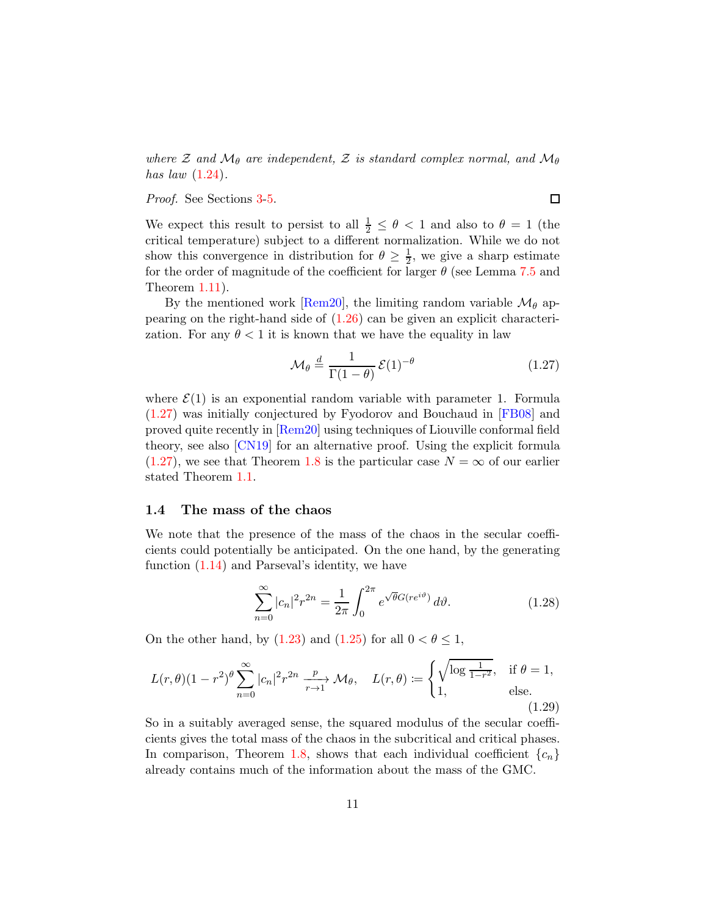where  $\mathcal Z$  and  $\mathcal M_\theta$  are independent,  $\mathcal Z$  is standard complex normal, and  $\mathcal M_\theta$ has law  $(1.24)$ .

Proof. See Sections [3](#page-23-0)[-5.](#page-37-0)

 $\Box$ 

We expect this result to persist to all  $\frac{1}{2} \leq \theta < 1$  and also to  $\theta = 1$  (the critical temperature) subject to a different normalization. While we do not show this convergence in distribution for  $\theta \geq \frac{1}{2}$ , we give a sharp estimate for the order of magnitude of the coefficient for larger  $\theta$  (see Lemma [7.5](#page-56-0) and Theorem [1.11\)](#page-12-0).

By the mentioned work [\[Rem20\]](#page-71-4), the limiting random variable  $\mathcal{M}_{\theta}$  appearing on the right-hand side of [\(1.26\)](#page-9-1) can be given an explicit characterization. For any  $\theta < 1$  it is known that we have the equality in law

<span id="page-10-0"></span>
$$
\mathcal{M}_{\theta} \stackrel{d}{=} \frac{1}{\Gamma(1-\theta)} \mathcal{E}(1)^{-\theta} \tag{1.27}
$$

where  $\mathcal{E}(1)$  is an exponential random variable with parameter 1. Formula [\(1.27\)](#page-10-0) was initially conjectured by Fyodorov and Bouchaud in [\[FB08\]](#page-69-5) and proved quite recently in [\[Rem20\]](#page-71-4) using techniques of Liouville conformal field theory, see also [\[CN19\]](#page-68-5) for an alternative proof. Using the explicit formula  $(1.27)$ , we see that Theorem [1.8](#page-9-1) is the particular case  $N = \infty$  of our earlier stated Theorem [1.1.](#page-3-0)

### 1.4 The mass of the chaos

We note that the presence of the mass of the chaos in the secular coefficients could potentially be anticipated. On the one hand, by the generating function  $(1.14)$  and Parseval's identity, we have

$$
\sum_{n=0}^{\infty} |c_n|^2 r^{2n} = \frac{1}{2\pi} \int_0^{2\pi} e^{\sqrt{\theta}G(re^{i\vartheta})} d\vartheta.
$$
 (1.28)

<span id="page-10-2"></span>On the other hand, by  $(1.23)$  and  $(1.25)$  for all  $0 < \theta \leq 1$ ,

<span id="page-10-1"></span>
$$
L(r,\theta)(1-r^2)^{\theta} \sum_{n=0}^{\infty} |c_n|^2 r^{2n} \xrightarrow[r\to 1]{p} \mathcal{M}_{\theta}, \quad L(r,\theta) := \begin{cases} \sqrt{\log \frac{1}{1-r^2}}, & \text{if } \theta = 1, \\ 1, & \text{else.} \end{cases}
$$
(1.29)

So in a suitably averaged sense, the squared modulus of the secular coefficients gives the total mass of the chaos in the subcritical and critical phases. In comparison, Theorem [1.8,](#page-9-1) shows that each individual coefficient  ${c_n}$ already contains much of the information about the mass of the GMC.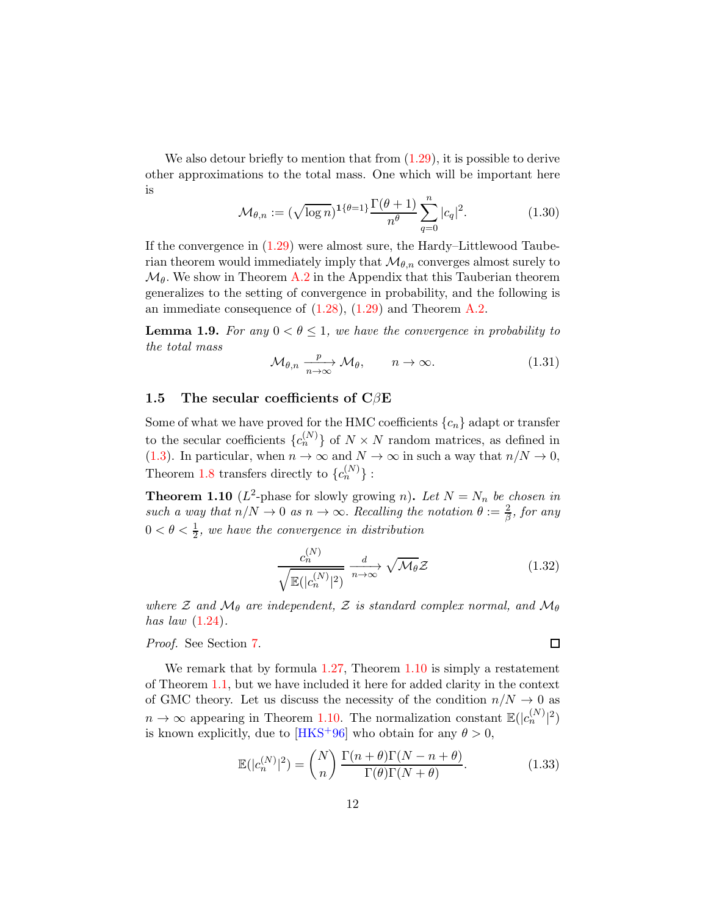We also detour briefly to mention that from  $(1.29)$ , it is possible to derive other approximations to the total mass. One which will be important here is

<span id="page-11-3"></span>
$$
\mathcal{M}_{\theta,n} := (\sqrt{\log n})^{1\{\theta=1\}} \frac{\Gamma(\theta+1)}{n^{\theta}} \sum_{q=0}^{n} |c_q|^2.
$$
 (1.30)

If the convergence in  $(1.29)$  were almost sure, the Hardy–Littlewood Tauberian theorem would immediately imply that  $\mathcal{M}_{\theta,n}$  converges almost surely to  $\mathcal{M}_{\theta}$ . We show in Theorem [A.2](#page-63-0) in the Appendix that this Tauberian theorem generalizes to the setting of convergence in probability, and the following is an immediate consequence of [\(1.28\)](#page-10-2), [\(1.29\)](#page-10-1) and Theorem [A.2.](#page-63-0)

**Lemma 1.9.** For any  $0 < \theta \leq 1$ , we have the convergence in probability to the total mass

$$
\mathcal{M}_{\theta,n} \xrightarrow[n \to \infty]{} \mathcal{M}_{\theta}, \qquad n \to \infty.
$$
 (1.31)

### <span id="page-11-0"></span>1.5 The secular coefficients of  $C\beta E$

Some of what we have proved for the HMC coefficients  ${c_n}$  adapt or transfer to the secular coefficients  ${c_n^{(N)}}$  of  $N \times N$  random matrices, as defined in [\(1.3\)](#page-1-2). In particular, when  $n \to \infty$  and  $N \to \infty$  in such a way that  $n/N \to 0$ , Theorem [1.8](#page-9-1) transfers directly to  ${c_n^{(N)}}$  :

**Theorem 1.10** ( $L^2$ -phase for slowly growing n). Let  $N = N_n$  be chosen in such a way that  $n/N \to 0$  as  $n \to \infty$ . Recalling the notation  $\theta := \frac{2}{\beta}$ , for any  $0 < \theta < \frac{1}{2}$ , we have the convergence in distribution

<span id="page-11-1"></span>
$$
\frac{c_n^{(N)}}{\sqrt{\mathbb{E}(|c_n^{(N)}|^2)}} \xrightarrow[n \to \infty]{d} \sqrt{\mathcal{M}_{\theta}} \mathcal{Z}
$$
\n(1.32)

 $\Box$ 

where  $\mathcal Z$  and  $\mathcal M_\theta$  are independent,  $\mathcal Z$  is standard complex normal, and  $\mathcal M_\theta$ has law  $(1.24)$ .

### Proof. See Section [7.](#page-49-0)

We remark that by formula [1.27,](#page-10-0) Theorem [1.10](#page-11-1) is simply a restatement of Theorem [1.1,](#page-3-0) but we have included it here for added clarity in the context of GMC theory. Let us discuss the necessity of the condition  $n/N \to 0$  as  $n \to \infty$  appearing in Theorem [1.10.](#page-11-1) The normalization constant  $\mathbb{E}(|c_n^{(N)}|^2)$ is known explicitly, due to [\[HKS](#page-70-5)<sup>+96]</sup> who obtain for any  $\theta > 0$ ,

<span id="page-11-2"></span>
$$
\mathbb{E}(|c_n^{(N)}|^2) = {N \choose n} \frac{\Gamma(n+\theta)\Gamma(N-n+\theta)}{\Gamma(\theta)\Gamma(N+\theta)}.
$$
 (1.33)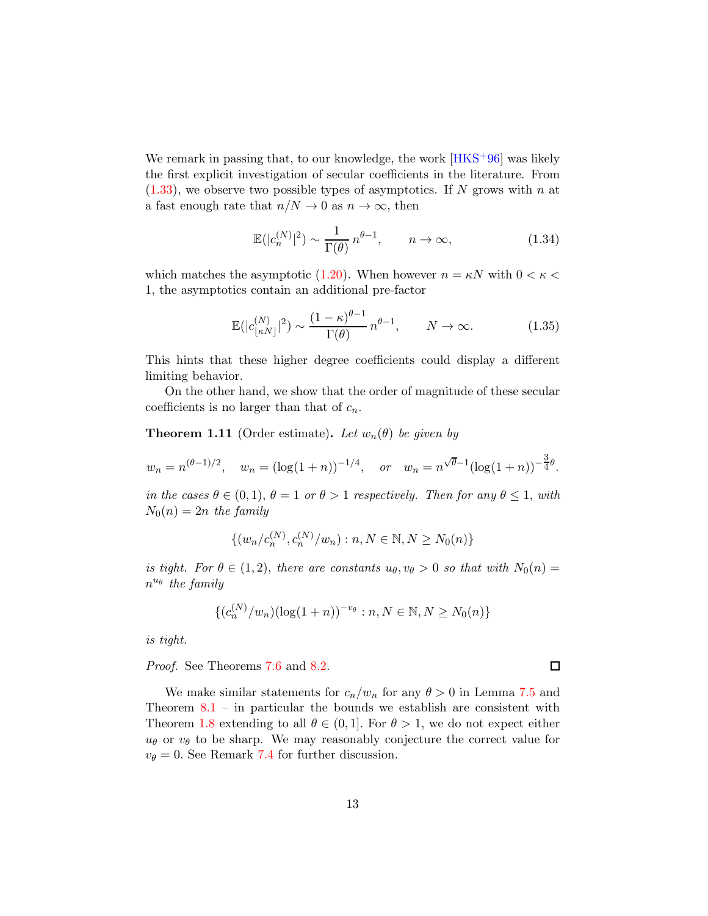We remark in passing that, to our knowledge, the work  $[HKS+96]$  was likely the first explicit investigation of secular coefficients in the literature. From  $(1.33)$ , we observe two possible types of asymptotics. If N grows with n at a fast enough rate that  $n/N \to 0$  as  $n \to \infty$ , then

$$
\mathbb{E}(|c_n^{(N)}|^2) \sim \frac{1}{\Gamma(\theta)} n^{\theta - 1}, \qquad n \to \infty,
$$
\n(1.34)

which matches the asymptotic [\(1.20\)](#page-7-3). When however  $n = \kappa N$  with  $0 < \kappa <$ 1, the asymptotics contain an additional pre-factor

$$
\mathbb{E}(|c_{\lfloor \kappa N \rfloor}^{(N)}|^2) \sim \frac{(1-\kappa)^{\theta-1}}{\Gamma(\theta)} n^{\theta-1}, \qquad N \to \infty.
$$
 (1.35)

This hints that these higher degree coefficients could display a different limiting behavior.

On the other hand, we show that the order of magnitude of these secular coefficients is no larger than that of  $c_n$ .

<span id="page-12-0"></span>**Theorem 1.11** (Order estimate). Let  $w_n(\theta)$  be given by

$$
w_n = n^{(\theta-1)/2}
$$
,  $w_n = (\log(1+n))^{-1/4}$ , or  $w_n = n^{\sqrt{\theta-1}}(\log(1+n))^{-\frac{3}{4}\theta}$ .

in the cases  $\theta \in (0,1)$ ,  $\theta = 1$  or  $\theta > 1$  respectively. Then for any  $\theta \leq 1$ , with  $N_0(n) = 2n$  the family

$$
\{(w_n/c_n^{(N)}, c_n^{(N)}/w_n) : n, N \in \mathbb{N}, N \ge N_0(n)\}\
$$

is tight. For  $\theta \in (1,2)$ , there are constants  $u_{\theta}, v_{\theta} > 0$  so that with  $N_0(n) =$  $n^{u_{\theta}}$  the family

$$
\{(c_n^{(N)}/w_n)(\log(1+n))^{-v_{\theta}} : n, N \in \mathbb{N}, N \ge N_0(n)\}\
$$

is tight.

Proof. See Theorems [7.6](#page-58-0) and [8.2.](#page-60-0)

We make similar statements for  $c_n/w_n$  for any  $\theta > 0$  in Lemma [7.5](#page-56-0) and Theorem  $8.1$  – in particular the bounds we establish are consistent with Theorem [1.8](#page-9-1) extending to all  $\theta \in (0,1]$ . For  $\theta > 1$ , we do not expect either  $u_{\theta}$  or  $v_{\theta}$  to be sharp. We may reasonably conjecture the correct value for  $v_{\theta} = 0$ . See Remark [7.4](#page-56-1) for further discussion.

 $\Box$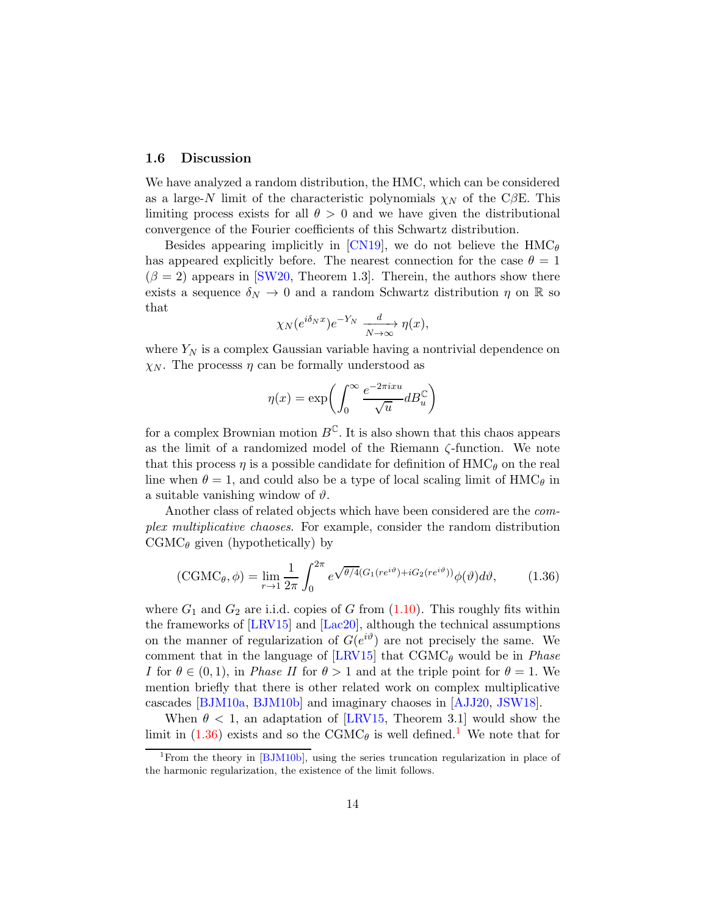### 1.6 Discussion

We have analyzed a random distribution, the HMC, which can be considered as a large-N limit of the characteristic polynomials  $\chi_N$  of the CβE. This limiting process exists for all  $\theta > 0$  and we have given the distributional convergence of the Fourier coefficients of this Schwartz distribution.

Besides appearing implicitly in [\[CN19\]](#page-68-5), we do not believe the  $HMC_{\theta}$ has appeared explicitly before. The nearest connection for the case  $\theta = 1$  $(\beta = 2)$  appears in [\[SW20,](#page-72-1) Theorem 1.3]. Therein, the authors show there exists a sequence  $\delta_N \to 0$  and a random Schwartz distribution  $\eta$  on R so that

$$
\chi_N(e^{i\delta_N x})e^{-Y_N} \xrightarrow[N \to \infty]{d} \eta(x),
$$

where  $Y_N$  is a complex Gaussian variable having a nontrivial dependence on  $\chi_N$ . The processs  $\eta$  can be formally understood as

$$
\eta(x) = \exp\left(\int_0^\infty \frac{e^{-2\pi i x u}}{\sqrt{u}} dB_u^{\mathbb{C}}\right)
$$

for a complex Brownian motion  $B^{\mathbb{C}}$ . It is also shown that this chaos appears as the limit of a randomized model of the Riemann ζ-function. We note that this process  $\eta$  is a possible candidate for definition of  $HMC_{\theta}$  on the real line when  $\theta = 1$ , and could also be a type of local scaling limit of  $HMC_{\theta}$  in a suitable vanishing window of  $\vartheta$ .

Another class of related objects which have been considered are the complex multiplicative chaoses. For example, consider the random distribution  $CGMC_{\theta}$  given (hypothetically) by

<span id="page-13-0"></span>
$$
(\text{CGMC}_{\theta}, \phi) = \lim_{r \to 1} \frac{1}{2\pi} \int_0^{2\pi} e^{\sqrt{\theta/4}(G_1(re^{i\vartheta}) + iG_2(re^{i\vartheta}))} \phi(\vartheta) d\vartheta, \tag{1.36}
$$

where  $G_1$  and  $G_2$  are i.i.d. copies of G from  $(1.10)$ . This roughly fits within the frameworks of [\[LRV15\]](#page-71-5) and [\[Lac20\]](#page-70-6), although the technical assumptions on the manner of regularization of  $G(e^{i\vartheta})$  are not precisely the same. We comment that in the language of  $[LRV15]$  that  $CGMC<sub>\theta</sub>$  would be in *Phase* I for  $\theta \in (0,1)$ , in *Phase II* for  $\theta > 1$  and at the triple point for  $\theta = 1$ . We mention briefly that there is other related work on complex multiplicative cascades [\[BJM10a,](#page-67-3) [BJM10b\]](#page-68-9) and imaginary chaoses in [\[AJJ20,](#page-67-4) [JSW18\]](#page-70-7).

When  $\theta$  < 1, an adaptation of [\[LRV15,](#page-71-5) Theorem 3.1] would show the limit in [\(1.36\)](#page-13-0) exists and so the CGMC<sub> $\theta$ </sub> is well defined.<sup>[1](#page-13-1)</sup> We note that for

<span id="page-13-1"></span><sup>&</sup>lt;sup>1</sup>From the theory in [\[BJM10b\]](#page-68-9), using the series truncation regularization in place of the harmonic regularization, the existence of the limit follows.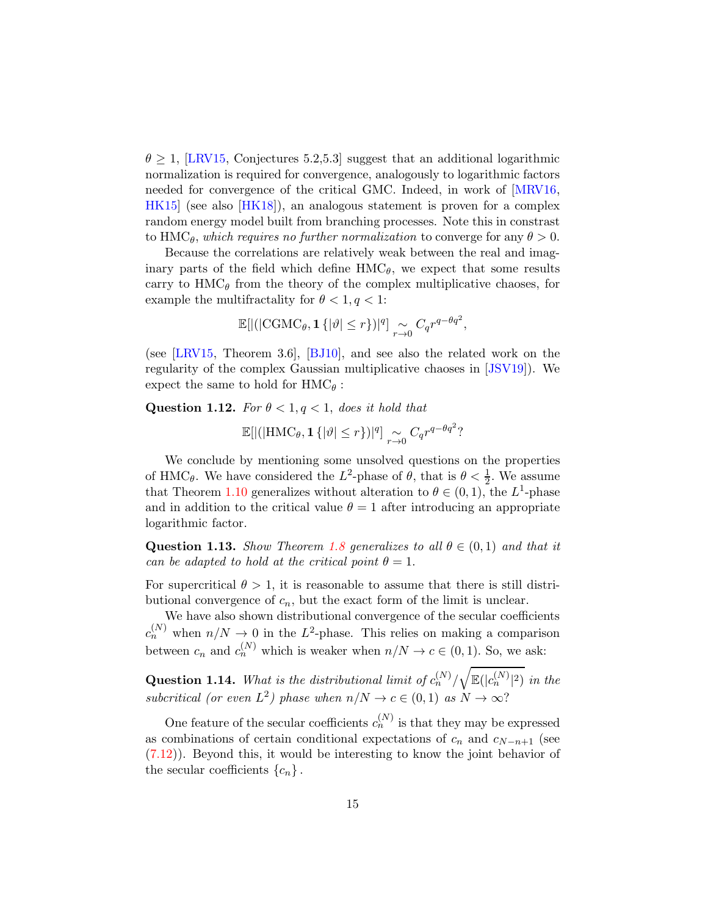$\theta \geq 1$ , [\[LRV15,](#page-71-5) Conjectures 5.2,5.3] suggest that an additional logarithmic normalization is required for convergence, analogously to logarithmic factors needed for convergence of the critical GMC. Indeed, in work of [\[MRV16,](#page-71-6) [HK15\]](#page-69-6) (see also [\[HK18\]](#page-69-7)), an analogous statement is proven for a complex random energy model built from branching processes. Note this in constrast to HMC<sub>θ</sub>, which requires no further normalization to converge for any  $\theta > 0$ .

Because the correlations are relatively weak between the real and imaginary parts of the field which define  $HMC_{\theta}$ , we expect that some results carry to  $HMC_\theta$  from the theory of the complex multiplicative chaoses, for example the multifractality for  $\theta < 1, q < 1$ :

$$
\mathbb{E}[|(|\text{CGMC}_{\theta}, \mathbf{1}\{|{\vartheta}| \leq r\})|^q] \underset{r \to 0}{\sim} C_q r^{q - \theta q^2},
$$

(see [\[LRV15,](#page-71-5) Theorem 3.6], [\[BJ10\]](#page-67-5), and see also the related work on the regularity of the complex Gaussian multiplicative chaoses in [\[JSV19\]](#page-70-8)). We expect the same to hold for  $HMC_{\theta}$ :

Question 1.12. For  $\theta < 1, q < 1$ , does it hold that

$$
\mathbb{E}[|(|\text{HMC}_{\theta}, \mathbf{1}\{|\vartheta| \le r\})|^q] \underset{r \to 0}{\sim} C_q r^{q - \theta q^2}?
$$

We conclude by mentioning some unsolved questions on the properties of HMC<sub> $\theta$ </sub>. We have considered the L<sup>2</sup>-phase of  $\theta$ , that is  $\theta < \frac{1}{2}$ . We assume that Theorem [1.10](#page-11-1) generalizes without alteration to  $\theta \in (0,1)$ , the L<sup>1</sup>-phase and in addition to the critical value  $\theta = 1$  after introducing an appropriate logarithmic factor.

Question 1.13. Show Theorem [1.8](#page-9-1) generalizes to all  $\theta \in (0,1)$  and that it can be adapted to hold at the critical point  $\theta = 1$ .

For supercritical  $\theta > 1$ , it is reasonable to assume that there is still distributional convergence of  $c_n$ , but the exact form of the limit is unclear.

We have also shown distributional convergence of the secular coefficients  $c_n^{(N)}$  when  $n/N \to 0$  in the L<sup>2</sup>-phase. This relies on making a comparison between  $c_n$  and  $c_n^{(N)}$  which is weaker when  $n/N \to c \in (0,1)$ . So, we ask:

**Question 1.14.** What is the distributional limit of  $c_n^{(N)}/$  $\sqrt{\mathbb{E}(|c_n^{(N)}|^2)}$  in the subcritical (or even  $L^2$ ) phase when  $n/N \to c \in (0,1)$  as  $N \to \infty$ ?

One feature of the secular coefficients  $c_n^{(N)}$  is that they may be expressed as combinations of certain conditional expectations of  $c_n$  and  $c_{N-n+1}$  (see [\(7.12\)](#page-53-0)). Beyond this, it would be interesting to know the joint behavior of the secular coefficients  ${c_n}$ .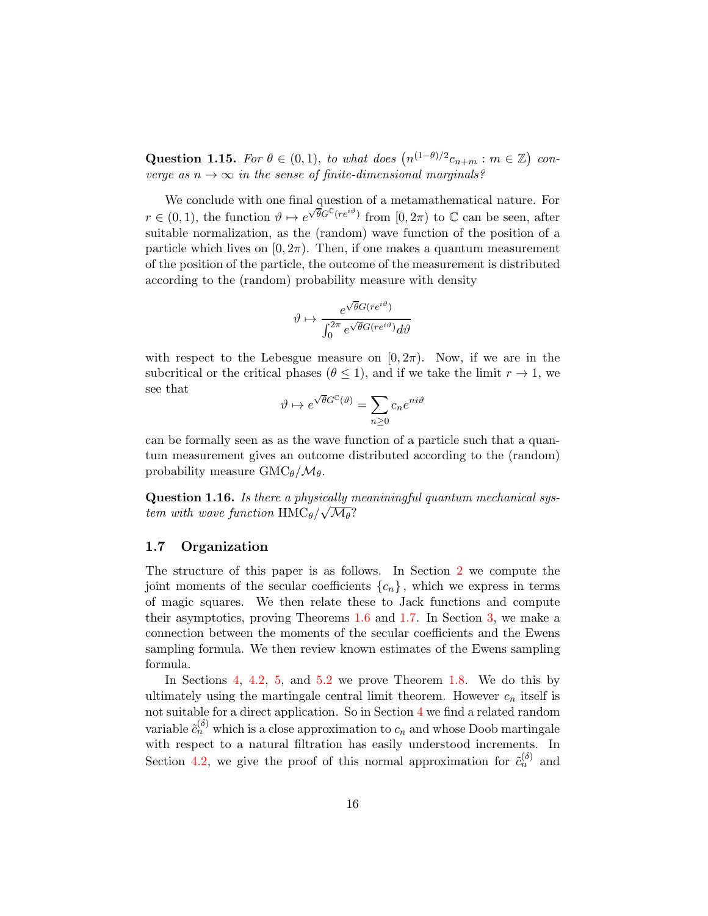Question 1.15. For  $\theta \in (0,1)$ , to what does  $(n^{(1-\theta)/2}c_{n+m}: m \in \mathbb{Z})$  converge as  $n \to \infty$  in the sense of finite-dimensional marginals?

We conclude with one final question of a metamathematical nature. For  $r \in (0,1)$ , the function  $\vartheta \mapsto e^{\sqrt{\theta}G^{\mathbb{C}}(re^{i\vartheta})}$  from  $[0,2\pi)$  to  $\mathbb{C}$  can be seen, after suitable normalization, as the (random) wave function of the position of a particle which lives on  $[0, 2\pi)$ . Then, if one makes a quantum measurement of the position of the particle, the outcome of the measurement is distributed according to the (random) probability measure with density

$$
\vartheta \mapsto \frac{e^{\sqrt{\theta}G(re^{i\vartheta})}}{\int_0^{2\pi} e^{\sqrt{\theta}G(re^{i\vartheta})}d\vartheta}
$$

with respect to the Lebesgue measure on  $[0, 2\pi)$ . Now, if we are in the subcritical or the critical phases ( $\theta \leq 1$ ), and if we take the limit  $r \to 1$ , we see that

$$
\vartheta \mapsto e^{\sqrt{\theta}G^{\mathbb{C}}(\vartheta)} = \sum_{n \ge 0} c_n e^{ni\vartheta}
$$

can be formally seen as as the wave function of a particle such that a quantum measurement gives an outcome distributed according to the (random) probability measure  $\text{GMC}_{\theta}/\mathcal{M}_{\theta}$ .

Question 1.16. Is there a physically meaniningful quantum mechanical system with wave function  $\text{HMC}_\theta/\sqrt{\mathcal{M}_\theta}$ ?

### 1.7 Organization

The structure of this paper is as follows. In Section [2](#page-16-0) we compute the joint moments of the secular coefficients  ${c_n}$ , which we express in terms of magic squares. We then relate these to Jack functions and compute their asymptotics, proving Theorems [1.6](#page-7-4) and [1.7.](#page-8-1) In Section [3,](#page-23-0) we make a connection between the moments of the secular coefficients and the Ewens sampling formula. We then review known estimates of the Ewens sampling formula.

In Sections [4,](#page-28-0) [4.2,](#page-31-0) [5,](#page-37-0) and [5.2](#page-39-0) we prove Theorem [1.8.](#page-9-1) We do this by ultimately using the martingale central limit theorem. However  $c_n$  itself is not suitable for a direct application. So in Section [4](#page-28-0) we find a related random variable  $\tilde{c}_n^{(\delta)}$  which is a close approximation to  $c_n$  and whose Doob martingale with respect to a natural filtration has easily understood increments. In Section [4.2,](#page-31-0) we give the proof of this normal approximation for  $\tilde{c}_n^{(\delta)}$  and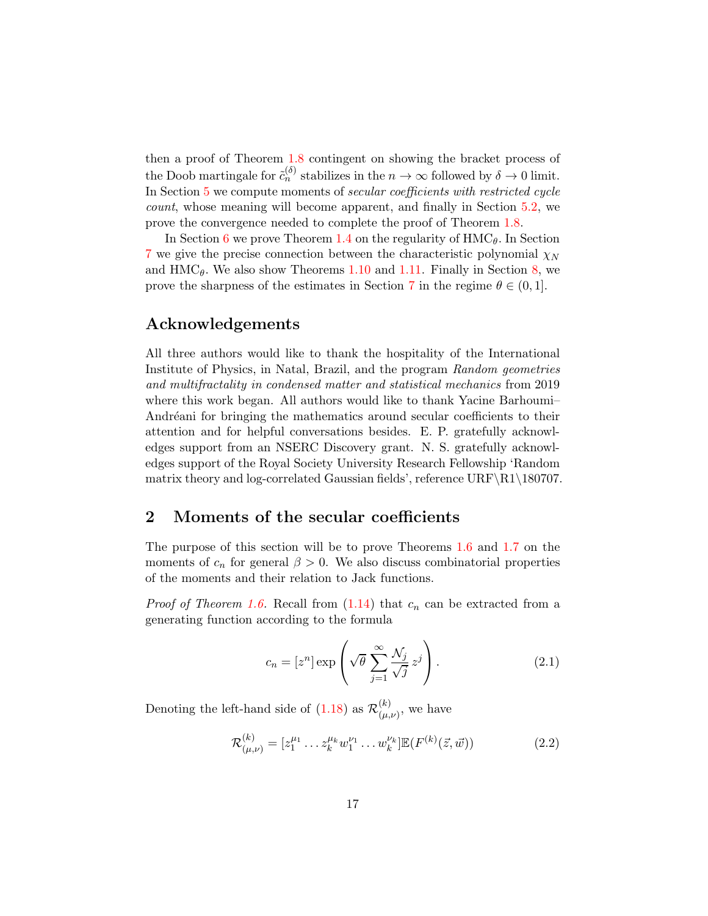then a proof of Theorem [1.8](#page-9-1) contingent on showing the bracket process of the Doob martingale for  $\tilde{c}_n^{(\delta)}$  stabilizes in the  $n \to \infty$  followed by  $\delta \to 0$  limit. In Section [5](#page-37-0) we compute moments of secular coefficients with restricted cycle count, whose meaning will become apparent, and finally in Section [5.2,](#page-39-0) we prove the convergence needed to complete the proof of Theorem [1.8.](#page-9-1)

In Section [6](#page-45-0) we prove Theorem [1.4](#page-6-2) on the regularity of  $HMC_{\theta}$ . In Section [7](#page-49-0) we give the precise connection between the characteristic polynomial  $\chi_N$ and  $\text{HMC}_\theta$ . We also show Theorems [1.10](#page-11-1) and [1.11.](#page-12-0) Finally in Section [8,](#page-59-1) we prove the sharpness of the estimates in Section [7](#page-49-0) in the regime  $\theta \in (0,1]$ .

### Acknowledgements

All three authors would like to thank the hospitality of the International Institute of Physics, in Natal, Brazil, and the program Random geometries and multifractality in condensed matter and statistical mechanics from 2019 where this work began. All authors would like to thank Yacine Barhoumi– Andréani for bringing the mathematics around secular coefficients to their attention and for helpful conversations besides. E. P. gratefully acknowledges support from an NSERC Discovery grant. N. S. gratefully acknowledges support of the Royal Society University Research Fellowship 'Random matrix theory and log-correlated Gaussian fields', reference URF\R1\180707.

## <span id="page-16-0"></span>2 Moments of the secular coefficients

The purpose of this section will be to prove Theorems [1.6](#page-7-4) and [1.7](#page-8-1) on the moments of  $c_n$  for general  $\beta > 0$ . We also discuss combinatorial properties of the moments and their relation to Jack functions.

*Proof of Theorem [1.6.](#page-7-4)* Recall from  $(1.14)$  that  $c_n$  can be extracted from a generating function according to the formula

$$
c_n = [z^n] \exp\left(\sqrt{\theta} \sum_{j=1}^{\infty} \frac{\mathcal{N}_j}{\sqrt{j}} z^j\right).
$$
 (2.1)

Denoting the left-hand side of  $(1.18)$  as  $\mathcal{R}_{(\mu)}^{(k)}$  $\binom{n}{(\mu,\nu)}$ , we have

<span id="page-16-1"></span>
$$
\mathcal{R}^{(k)}_{(\mu,\nu)} = [z_1^{\mu_1} \dots z_k^{\mu_k} w_1^{\nu_1} \dots w_k^{\nu_k}] \mathbb{E}(F^{(k)}(\vec{z}, \vec{w})) \tag{2.2}
$$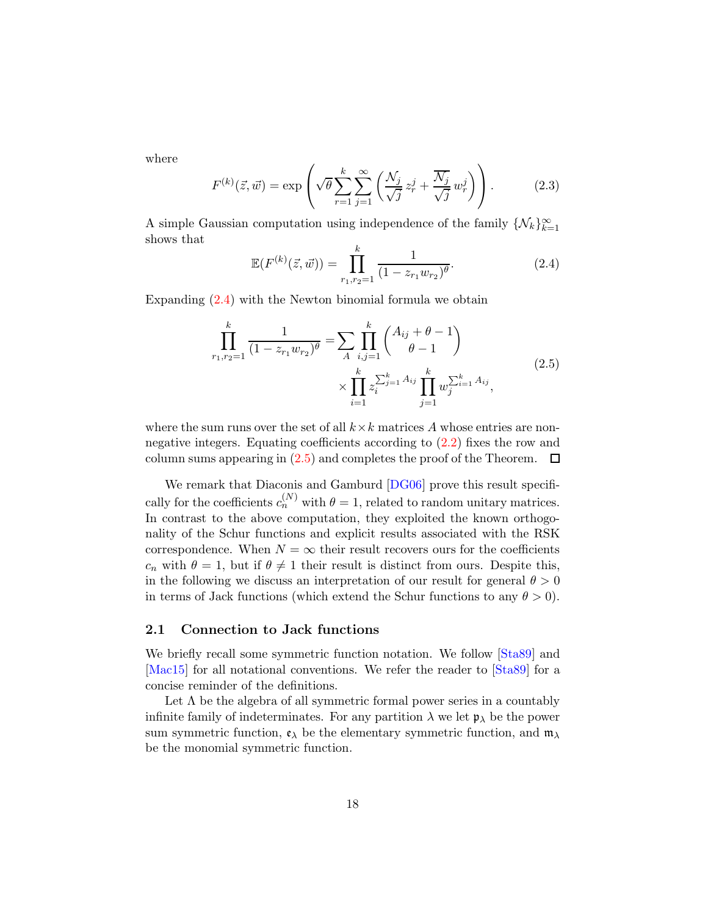where

$$
F^{(k)}(\vec{z}, \vec{w}) = \exp\left(\sqrt{\theta} \sum_{r=1}^{k} \sum_{j=1}^{\infty} \left(\frac{\mathcal{N}_j}{\sqrt{j}} z_r^j + \frac{\overline{\mathcal{N}_j}}{\sqrt{j}} w_r^j\right)\right).
$$
 (2.3)

A simple Gaussian computation using independence of the family  $\{N_k\}_{k=1}^{\infty}$ shows that

<span id="page-17-0"></span>
$$
\mathbb{E}(F^{(k)}(\vec{z},\vec{w})) = \prod_{r_1,r_2=1}^k \frac{1}{(1 - z_{r_1}w_{r_2})^\theta}.
$$
\n(2.4)

<span id="page-17-1"></span>Expanding [\(2.4\)](#page-17-0) with the Newton binomial formula we obtain

$$
\prod_{r_1, r_2=1}^k \frac{1}{(1 - z_{r_1} w_{r_2})^\theta} = \sum_A \prod_{i,j=1}^k {A_{ij} + \theta - 1 \choose \theta - 1} \times \prod_{i=1}^k z_i^{\sum_{j=1}^k A_{ij}} \prod_{j=1}^k w_j^{\sum_{i=1}^k A_{ij}},
$$
\n(2.5)

where the sum runs over the set of all  $k \times k$  matrices A whose entries are nonnegative integers. Equating coefficients according to [\(2.2\)](#page-16-1) fixes the row and column sums appearing in  $(2.5)$  and completes the proof of the Theorem.  $\Box$ 

We remark that Diaconis and Gamburd  $[DG06]$  prove this result specifically for the coefficients  $c_n^{(N)}$  with  $\theta = 1$ , related to random unitary matrices. In contrast to the above computation, they exploited the known orthogonality of the Schur functions and explicit results associated with the RSK correspondence. When  $N = \infty$  their result recovers ours for the coefficients  $c_n$  with  $\theta = 1$ , but if  $\theta \neq 1$  their result is distinct from ours. Despite this, in the following we discuss an interpretation of our result for general  $\theta > 0$ in terms of Jack functions (which extend the Schur functions to any  $\theta > 0$ ).

### 2.1 Connection to Jack functions

We briefly recall some symmetric function notation. We follow [\[Sta89\]](#page-71-7) and [\[Mac15\]](#page-71-8) for all notational conventions. We refer the reader to [\[Sta89\]](#page-71-7) for a concise reminder of the definitions.

Let  $\Lambda$  be the algebra of all symmetric formal power series in a countably infinite family of indeterminates. For any partition  $\lambda$  we let  $\mathfrak{p}_{\lambda}$  be the power sum symmetric function,  $\mathfrak{e}_{\lambda}$  be the elementary symmetric function, and  $\mathfrak{m}_{\lambda}$ be the monomial symmetric function.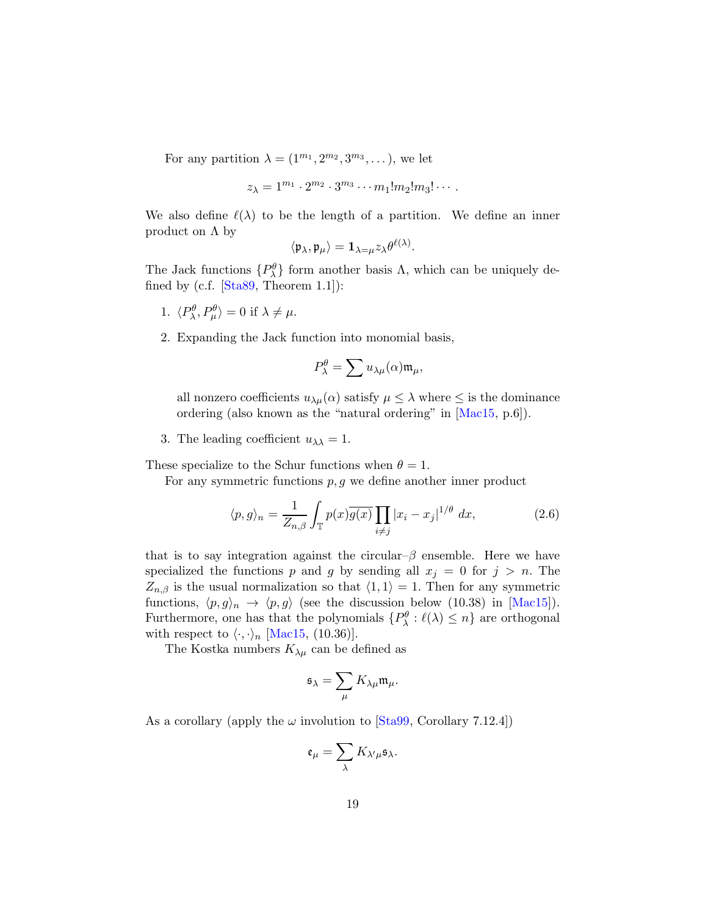For any partition  $\lambda = (1^{m_1}, 2^{m_2}, 3^{m_3}, \dots)$ , we let

$$
z_{\lambda}=1^{m_1}\cdot 2^{m_2}\cdot 3^{m_3}\cdots m_1!m_2!m_3!\cdots.
$$

We also define  $\ell(\lambda)$  to be the length of a partition. We define an inner product on  $\Lambda$  by

$$
\langle \mathfrak{p}_{\lambda}, \mathfrak{p}_{\mu} \rangle = \mathbf{1}_{\lambda = \mu} z_{\lambda} \theta^{\ell(\lambda)}
$$

.

The Jack functions  $\{P^{\theta}_{\lambda}\}\$  form another basis  $\Lambda$ , which can be uniquely defined by (c.f.  $[Sta89, Theorem 1.1]$ ):

- 1.  $\langle P_\lambda^{\theta}, P_\mu^{\theta} \rangle = 0$  if  $\lambda \neq \mu$ .
- 2. Expanding the Jack function into monomial basis,

$$
P_{\lambda}^{\theta} = \sum u_{\lambda\mu}(\alpha) \mathfrak{m}_{\mu},
$$

all nonzero coefficients  $u_{\lambda\mu}(\alpha)$  satisfy  $\mu \leq \lambda$  where  $\leq$  is the dominance ordering (also known as the "natural ordering" in [\[Mac15,](#page-71-8) p.6]).

3. The leading coefficient  $u_{\lambda\lambda} = 1$ .

These specialize to the Schur functions when  $\theta = 1$ .

For any symmetric functions  $p, g$  we define another inner product

$$
\langle p, g \rangle_n = \frac{1}{Z_{n,\beta}} \int_{\mathbb{T}} p(x) \overline{g(x)} \prod_{i \neq j} |x_i - x_j|^{1/\theta} dx, \tag{2.6}
$$

that is to say integration against the circular– $\beta$  ensemble. Here we have specialized the functions p and g by sending all  $x_j = 0$  for  $j > n$ . The  $Z_{n,\beta}$  is the usual normalization so that  $\langle 1, 1 \rangle = 1$ . Then for any symmetric functions,  $\langle p, g \rangle_n \to \langle p, g \rangle$  (see the discussion below (10.38) in [\[Mac15\]](#page-71-8)). Furthermore, one has that the polynomials  $\{P_{\lambda}^{\theta} : \ell(\lambda) \leq n\}$  are orthogonal with respect to  $\langle \cdot, \cdot \rangle_n$  [\[Mac15,](#page-71-8) (10.36)].

The Kostka numbers  $K_{\lambda\mu}$  can be defined as

$$
\mathfrak{s}_\lambda = \sum_\mu K_{\lambda\mu} \mathfrak{m}_\mu.
$$

As a corollary (apply the  $\omega$  involution to [\[Sta99,](#page-71-9) Corollary 7.12.4])

$$
\mathfrak{e}_{\mu}=\sum_{\lambda}K_{\lambda'\mu}\mathfrak{s}_{\lambda}.
$$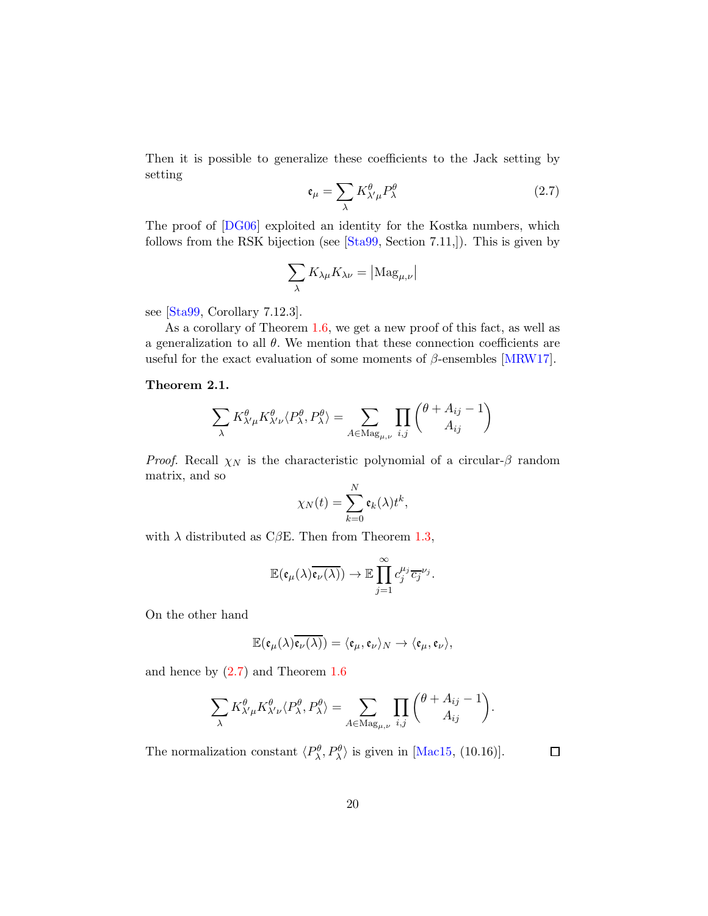Then it is possible to generalize these coefficients to the Jack setting by setting

<span id="page-19-0"></span>
$$
\mathfrak{e}_{\mu} = \sum_{\lambda} K^{\theta}_{\lambda'\mu} P^{\theta}_{\lambda} \tag{2.7}
$$

The proof of [\[DG06\]](#page-68-0) exploited an identity for the Kostka numbers, which follows from the RSK bijection (see [\[Sta99,](#page-71-9) Section 7.11,]). This is given by

$$
\sum_\lambda K_{\lambda\mu}K_{\lambda\nu}=\left|\mathrm{Mag}_{\mu,\nu}\right|
$$

see [\[Sta99,](#page-71-9) Corollary 7.12.3].

As a corollary of Theorem [1.6,](#page-7-4) we get a new proof of this fact, as well as a generalization to all  $\theta$ . We mention that these connection coefficients are useful for the exact evaluation of some moments of  $\beta$ -ensembles [\[MRW17\]](#page-71-10).

### Theorem 2.1.

$$
\sum_{\lambda} K^{\theta}_{\lambda'\mu} K^{\theta}_{\lambda'\nu} \langle P^{\theta}_{\lambda}, P^{\theta}_{\lambda} \rangle = \sum_{A \in \text{Mag}_{\mu, \nu}} \prod_{i,j} \binom{\theta + A_{ij} - 1}{A_{ij}}
$$

*Proof.* Recall  $\chi_N$  is the characteristic polynomial of a circular- $\beta$  random matrix, and so

$$
\chi_N(t) = \sum_{k=0}^N \mathfrak{e}_k(\lambda) t^k,
$$

with  $\lambda$  distributed as C $\beta$ E. Then from Theorem [1.3,](#page-5-0)

$$
\mathbb{E}(\mathfrak{e}_{\mu}(\lambda)\overline{\mathfrak{e}_{\nu}(\lambda)}) \to \mathbb{E}\prod_{j=1}^{\infty}c_j^{\mu_j}\overline{c_j}^{\nu_j}.
$$

On the other hand

$$
\mathbb{E}(\mathfrak{e}_{\mu}(\lambda)\overline{\mathfrak{e}_{\nu}(\lambda)})=\langle\mathfrak{e}_{\mu},\mathfrak{e}_{\nu}\rangle_{N}\rightarrow\langle\mathfrak{e}_{\mu},\mathfrak{e}_{\nu}\rangle,
$$

and hence by [\(2.7\)](#page-19-0) and Theorem [1.6](#page-7-4)

$$
\sum_{\lambda} K_{\lambda'\mu}^{\theta} K_{\lambda'\nu}^{\theta} \langle P_{\lambda}^{\theta}, P_{\lambda}^{\theta} \rangle = \sum_{A \in \text{Mag}_{\mu,\nu}} \prod_{i,j} {\theta + A_{ij} - 1 \choose A_{ij}}.
$$

The normalization constant  $\langle P^{\theta}_{\lambda}, P^{\theta}_{\lambda} \rangle$  is given in [\[Mac15,](#page-71-8) (10.16)].

 $\Box$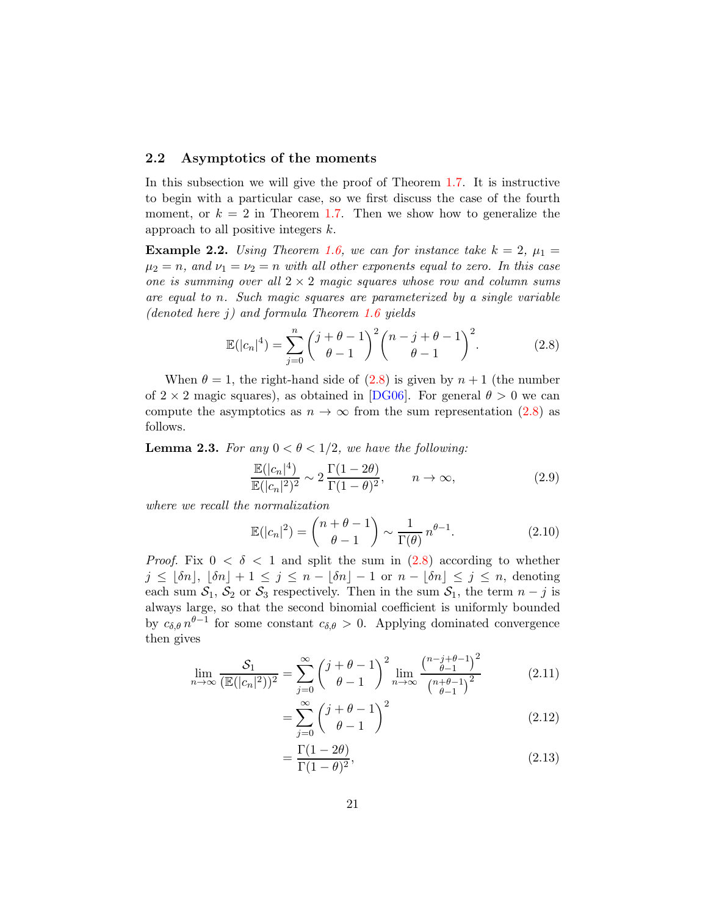### 2.2 Asymptotics of the moments

In this subsection we will give the proof of Theorem [1.7.](#page-8-1) It is instructive to begin with a particular case, so we first discuss the case of the fourth moment, or  $k = 2$  in Theorem [1.7.](#page-8-1) Then we show how to generalize the approach to all positive integers  $k$ .

**Example 2.2.** Using Theorem [1.6,](#page-7-4) we can for instance take  $k = 2$ ,  $\mu_1 =$  $\mu_2 = n$ , and  $\nu_1 = \nu_2 = n$  with all other exponents equal to zero. In this case one is summing over all  $2 \times 2$  magic squares whose row and column sums are equal to n. Such magic squares are parameterized by a single variable (denoted here  $j$ ) and formula Theorem [1.6](#page-7-4) yields

<span id="page-20-0"></span>
$$
\mathbb{E}(|c_n|^4) = \sum_{j=0}^n \binom{j+\theta-1}{\theta-1}^2 \binom{n-j+\theta-1}{\theta-1}^2.
$$
 (2.8)

When  $\theta = 1$ , the right-hand side of  $(2.8)$  is given by  $n + 1$  (the number of  $2 \times 2$  magic squares), as obtained in [\[DG06\]](#page-68-0). For general  $\theta > 0$  we can compute the asymptotics as  $n \to \infty$  from the sum representation [\(2.8\)](#page-20-0) as follows.

**Lemma 2.3.** For any  $0 < \theta < 1/2$ , we have the following:

<span id="page-20-2"></span>
$$
\frac{\mathbb{E}(|c_n|^4)}{\mathbb{E}(|c_n|^2)^2} \sim 2 \frac{\Gamma(1-2\theta)}{\Gamma(1-\theta)^2}, \qquad n \to \infty,
$$
\n(2.9)

where we recall the normalization

$$
\mathbb{E}(|c_n|^2) = \binom{n+\theta-1}{\theta-1} \sim \frac{1}{\Gamma(\theta)} n^{\theta-1}.
$$
\n(2.10)

*Proof.* Fix  $0 < \delta < 1$  and split the sum in  $(2.8)$  according to whether  $j \leq |\delta n|, |\delta n| + 1 \leq j \leq n - |\delta n| - 1$  or  $n - |\delta n| \leq j \leq n$ , denoting each sum  $S_1$ ,  $S_2$  or  $S_3$  respectively. Then in the sum  $S_1$ , the term  $n - j$  is always large, so that the second binomial coefficient is uniformly bounded by  $c_{\delta,\theta} n^{\theta-1}$  for some constant  $c_{\delta,\theta} > 0$ . Applying dominated convergence then gives

$$
\lim_{n \to \infty} \frac{S_1}{(\mathbb{E}(|c_n|^2))^2} = \sum_{j=0}^{\infty} \binom{j+\theta-1}{\theta-1}^2 \lim_{n \to \infty} \frac{\binom{n-j+\theta-1}{\theta-1}^2}{\binom{n+\theta-1}{\theta-1}^2}
$$
(2.11)

$$
=\sum_{j=0}^{\infty} \binom{j+\theta-1}{\theta-1}^2\tag{2.12}
$$

<span id="page-20-3"></span><span id="page-20-1"></span>
$$
=\frac{\Gamma(1-2\theta)}{\Gamma(1-\theta)^2},\tag{2.13}
$$

=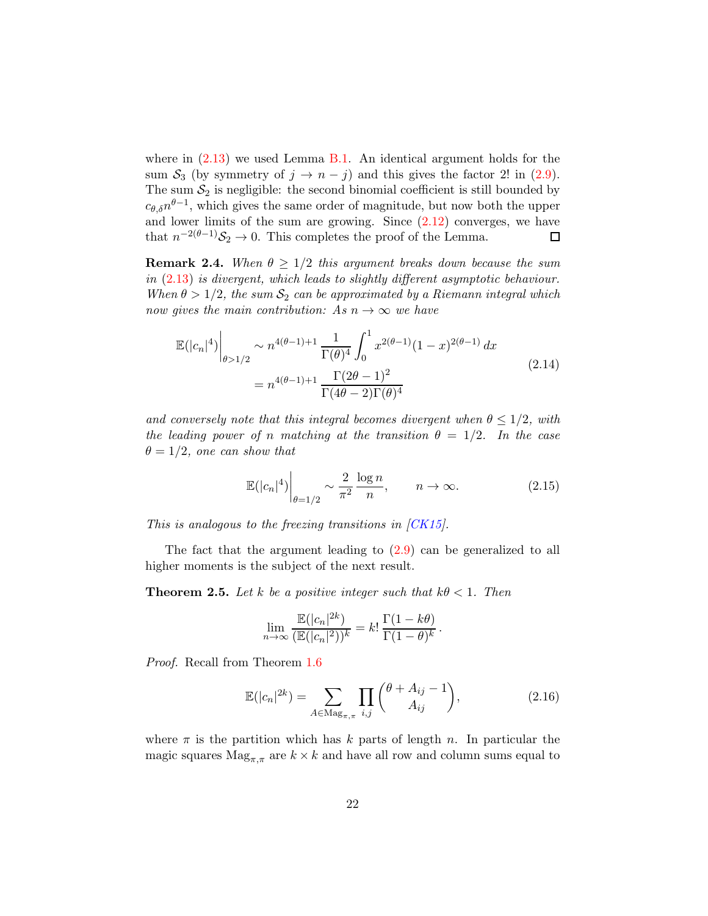where in  $(2.13)$  we used Lemma [B.1.](#page-66-0) An identical argument holds for the sum  $S_3$  (by symmetry of  $j \to n - j$ ) and this gives the factor 2! in [\(2.9\)](#page-20-2). The sum  $S_2$  is negligible: the second binomial coefficient is still bounded by  $c_{\theta,\delta}n^{\theta-1}$ , which gives the same order of magnitude, but now both the upper and lower limits of the sum are growing. Since  $(2.12)$  converges, we have that  $n^{-2(\theta-1)}\mathcal{S}_2 \to 0$ . This completes the proof of the Lemma. 口

<span id="page-21-0"></span>**Remark 2.4.** When  $\theta \geq 1/2$  this argument breaks down because the sum in [\(2.13\)](#page-20-1) is divergent, which leads to slightly different asymptotic behaviour. When  $\theta > 1/2$ , the sum  $S_2$  can be approximated by a Riemann integral which now gives the main contribution: As  $n \to \infty$  we have

$$
\mathbb{E}(|c_n|^4) \Big|_{\theta > 1/2} \sim n^{4(\theta - 1) + 1} \frac{1}{\Gamma(\theta)^4} \int_0^1 x^{2(\theta - 1)} (1 - x)^{2(\theta - 1)} dx
$$
\n
$$
= n^{4(\theta - 1) + 1} \frac{\Gamma(2\theta - 1)^2}{\Gamma(4\theta - 2)\Gamma(\theta)^4}
$$
\n(2.14)

and conversely note that this integral becomes divergent when  $\theta \leq 1/2$ , with the leading power of n matching at the transition  $\theta = 1/2$ . In the case  $\theta = 1/2$ , one can show that

$$
\mathbb{E}(|c_n|^4) \bigg|_{\theta=1/2} \sim \frac{2}{\pi^2} \frac{\log n}{n}, \qquad n \to \infty.
$$
 (2.15)

This is analogous to the freezing transitions in [\[CK15\]](#page-68-10).

The fact that the argument leading to [\(2.9\)](#page-20-2) can be generalized to all higher moments is the subject of the next result.

**Theorem 2.5.** Let k be a positive integer such that  $k\theta < 1$ . Then

$$
\lim_{n \to \infty} \frac{\mathbb{E}(|c_n|^{2k})}{(\mathbb{E}(|c_n|^2))^k} = k! \frac{\Gamma(1 - k\theta)}{\Gamma(1 - \theta)^k}.
$$

Proof. Recall from Theorem [1.6](#page-7-4)

<span id="page-21-1"></span>
$$
\mathbb{E}(|c_n|^{2k}) = \sum_{A \in \text{Mag}_{\pi,\pi}} \prod_{i,j} \binom{\theta + A_{ij} - 1}{A_{ij}},\tag{2.16}
$$

where  $\pi$  is the partition which has k parts of length n. In particular the magic squares  $\text{Mag}_{\pi,\pi}$  are  $k \times k$  and have all row and column sums equal to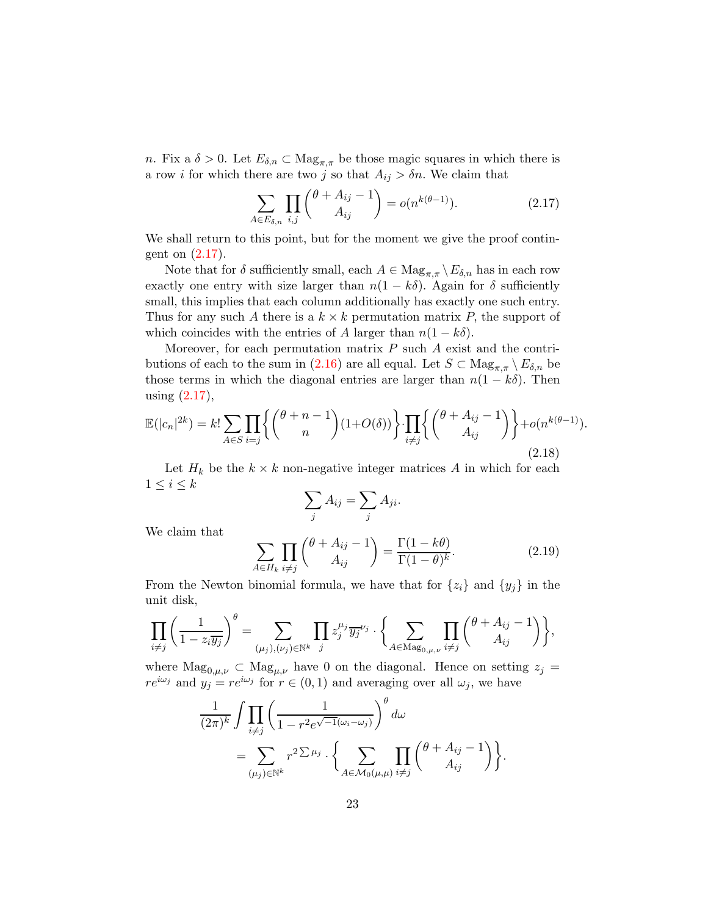n. Fix a  $\delta > 0$ . Let  $E_{\delta,n} \subset \text{Mag}_{\pi,\pi}$  be those magic squares in which there is a row *i* for which there are two *j* so that  $A_{ij} > \delta n$ . We claim that

<span id="page-22-0"></span>
$$
\sum_{A \in E_{\delta,n}} \prod_{i,j} \binom{\theta + A_{ij} - 1}{A_{ij}} = o(n^{k(\theta - 1)}).
$$
 (2.17)

We shall return to this point, but for the moment we give the proof contingent on [\(2.17\)](#page-22-0).

Note that for  $\delta$  sufficiently small, each  $A \in \text{Mag}_{\pi,\pi} \setminus E_{\delta,n}$  has in each row exactly one entry with size larger than  $n(1 - k\delta)$ . Again for  $\delta$  sufficiently small, this implies that each column additionally has exactly one such entry. Thus for any such A there is a  $k \times k$  permutation matrix P, the support of which coincides with the entries of A larger than  $n(1 - k\delta)$ .

Moreover, for each permutation matrix  $P$  such  $A$  exist and the contri-butions of each to the sum in [\(2.16\)](#page-21-1) are all equal. Let  $S \subset \text{Mag}_{\pi,\pi} \setminus E_{\delta,n}$  be those terms in which the diagonal entries are larger than  $n(1 - k\delta)$ . Then using  $(2.17)$ ,

<span id="page-22-2"></span>
$$
\mathbb{E}(|c_n|^{2k}) = k! \sum_{A \in S} \prod_{i=j} \left\{ \binom{\theta+n-1}{n} (1+O(\delta)) \right\} \cdot \prod_{i \neq j} \left\{ \binom{\theta+A_{ij}-1}{A_{ij}} \right\} + o(n^{k(\theta-1)}).
$$
\n(2.18)

Let  $H_k$  be the  $k \times k$  non-negative integer matrices A in which for each  $1 \leq i \leq k$ 

$$
\sum_j A_{ij} = \sum_j A_{ji}.
$$

We claim that

<span id="page-22-1"></span>
$$
\sum_{A \in H_k} \prod_{i \neq j} {\theta + A_{ij} - 1 \choose A_{ij}} = \frac{\Gamma(1 - k\theta)}{\Gamma(1 - \theta)^k}.
$$
\n(2.19)

From the Newton binomial formula, we have that for  $\{z_i\}$  and  $\{y_j\}$  in the unit disk,

$$
\prod_{i \neq j} \left( \frac{1}{1 - z_i \overline{y_j}} \right)^{\theta} = \sum_{(\mu_j), (\nu_j) \in \mathbb{N}^k} \prod_j z_j^{\mu_j} \overline{y_j}^{\nu_j} \cdot \left\{ \sum_{A \in \text{Mag}_{0, \mu, \nu}} \prod_{i \neq j} {\theta + A_{ij} - 1 \choose A_{ij}} \right\},
$$

where  $\text{Mag}_{0,\mu,\nu} \subset \text{Mag}_{\mu,\nu}$  have 0 on the diagonal. Hence on setting  $z_j =$  $re^{i\omega_j}$  and  $y_j = re^{i\omega_j}$  for  $r \in (0,1)$  and averaging over all  $\omega_j$ , we have

$$
\frac{1}{(2\pi)^k} \int \prod_{i \neq j} \left( \frac{1}{1 - r^2 e^{\sqrt{-1}(\omega_i - \omega_j)}} \right)^{\theta} d\omega
$$
  
= 
$$
\sum_{(\mu_j) \in \mathbb{N}^k} r^2 \Sigma^{\mu_j} \cdot \left\{ \sum_{A \in \mathcal{M}_0(\mu, \mu)} \prod_{i \neq j} {\theta + A_{ij} - 1 \choose A_{ij}} \right\}.
$$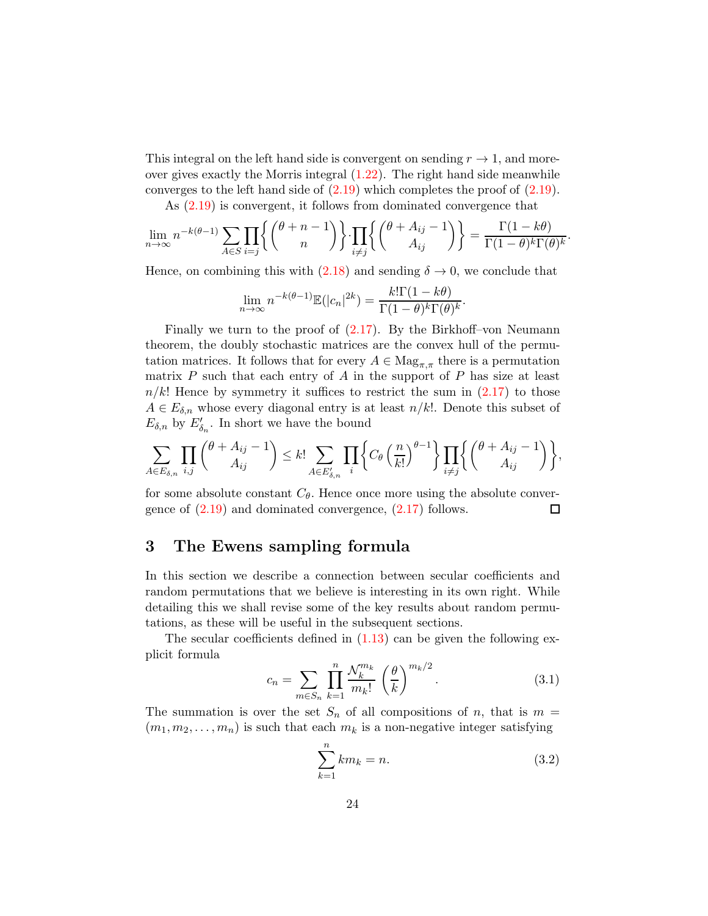This integral on the left hand side is convergent on sending  $r \to 1$ , and moreover gives exactly the Morris integral  $(1.22)$ . The right hand side meanwhile converges to the left hand side of [\(2.19\)](#page-22-1) which completes the proof of [\(2.19\)](#page-22-1).

As [\(2.19\)](#page-22-1) is convergent, it follows from dominated convergence that

$$
\lim_{n \to \infty} n^{-k(\theta - 1)} \sum_{A \in S} \prod_{i = j} \left\{ \binom{\theta + n - 1}{n} \right\} \cdot \prod_{i \neq j} \left\{ \binom{\theta + A_{ij} - 1}{A_{ij}} \right\} = \frac{\Gamma(1 - k\theta)}{\Gamma(1 - \theta)^k \Gamma(\theta)^k}.
$$

Hence, on combining this with [\(2.18\)](#page-22-2) and sending  $\delta \rightarrow 0$ , we conclude that

$$
\lim_{n \to \infty} n^{-k(\theta - 1)} \mathbb{E}(|c_n|^{2k}) = \frac{k! \Gamma(1 - k\theta)}{\Gamma(1 - \theta)^k \Gamma(\theta)^k}.
$$

Finally we turn to the proof of [\(2.17\)](#page-22-0). By the Birkhoff–von Neumann theorem, the doubly stochastic matrices are the convex hull of the permutation matrices. It follows that for every  $A \in \text{Mag}_{\pi,\pi}$  there is a permutation matrix  $P$  such that each entry of  $A$  in the support of  $P$  has size at least  $n/k!$  Hence by symmetry it suffices to restrict the sum in  $(2.17)$  to those  $A \in E_{\delta,n}$  whose every diagonal entry is at least  $n/k!$ . Denote this subset of  $E_{\delta,n}$  by  $E'_{\delta_n}$ . In short we have the bound

$$
\sum_{A\in E_{\delta,n}}\prod_{i,j}\binom{\theta+A_{ij}-1}{A_{ij}}\leq k!\sum_{A\in E'_{\delta,n}}\prod_{i}\left\{C_{\theta}\left(\frac{n}{k!}\right)^{\theta-1}\right\}\prod_{i\neq j}\left\{\binom{\theta+A_{ij}-1}{A_{ij}}\right\},\,
$$

for some absolute constant  $C_{\theta}$ . Hence once more using the absolute convergence of  $(2.19)$  and dominated convergence,  $(2.17)$  follows. □

# <span id="page-23-0"></span>3 The Ewens sampling formula

In this section we describe a connection between secular coefficients and random permutations that we believe is interesting in its own right. While detailing this we shall revise some of the key results about random permutations, as these will be useful in the subsequent sections.

The secular coefficients defined in  $(1.13)$  can be given the following explicit formula

<span id="page-23-1"></span>
$$
c_n = \sum_{m \in S_n} \prod_{k=1}^n \frac{\mathcal{N}_k^{m_k}}{m_k!} \left(\frac{\theta}{k}\right)^{m_k/2}.
$$
 (3.1)

The summation is over the set  $S_n$  of all compositions of n, that is  $m =$  $(m_1, m_2, \ldots, m_n)$  is such that each  $m_k$  is a non-negative integer satisfying

$$
\sum_{k=1}^{n} km_k = n.
$$
\n(3.2)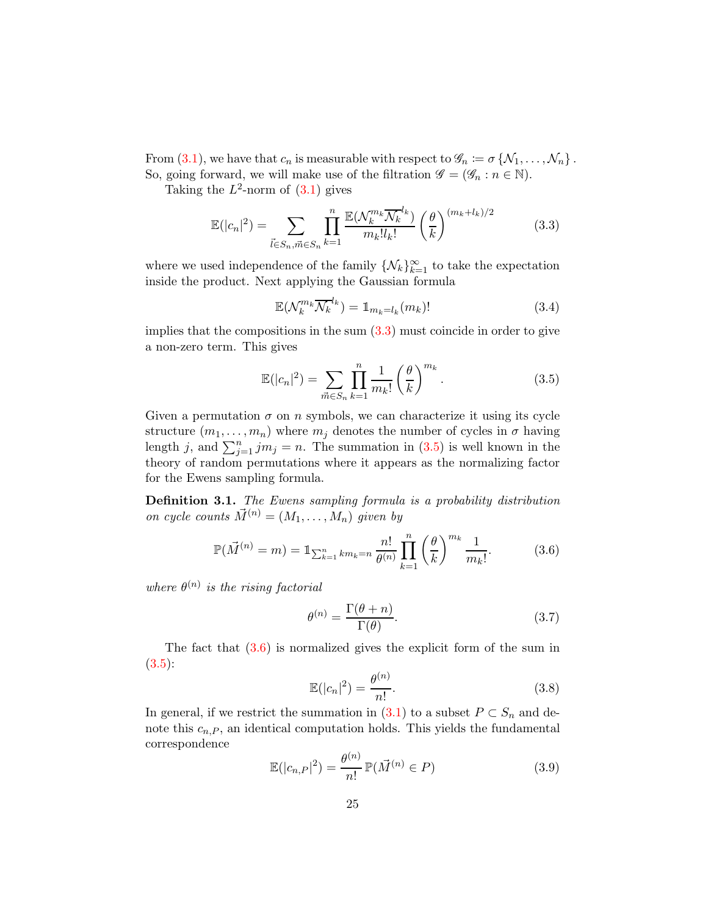From [\(3.1\)](#page-23-1), we have that  $c_n$  is measurable with respect to  $\mathscr{G}_n := \sigma \{\mathcal{N}_1, \ldots, \mathcal{N}_n\}$ . So, going forward, we will make use of the filtration  $\mathscr{G} = (\mathscr{G}_n : n \in \mathbb{N})$ .

Taking the  $L^2$ -norm of  $(3.1)$  gives

<span id="page-24-0"></span>
$$
\mathbb{E}(|c_n|^2) = \sum_{\vec{l} \in S_n, \vec{m} \in S_n} \prod_{k=1}^n \frac{\mathbb{E}(\mathcal{N}_k^{m_k} \overline{\mathcal{N}_k}^{l_k})}{m_k! l_k!} \left(\frac{\theta}{k}\right)^{(m_k + l_k)/2} \tag{3.3}
$$

where we used independence of the family  $\{N_k\}_{k=1}^{\infty}$  to take the expectation inside the product. Next applying the Gaussian formula

$$
\mathbb{E}(\mathcal{N}_k^{m_k} \overline{\mathcal{N}_k}^{l_k}) = \mathbb{1}_{m_k = l_k}(m_k)!
$$
 (3.4)

implies that the compositions in the sum  $(3.3)$  must coincide in order to give a non-zero term. This gives

<span id="page-24-1"></span>
$$
\mathbb{E}(|c_n|^2) = \sum_{\vec{m}\in S_n} \prod_{k=1}^n \frac{1}{m_k!} \left(\frac{\theta}{k}\right)^{m_k}.
$$
 (3.5)

Given a permutation  $\sigma$  on n symbols, we can characterize it using its cycle structure  $(m_1, \ldots, m_n)$  where  $m_j$  denotes the number of cycles in  $\sigma$  having length j, and  $\sum_{j=1}^{n} j m_j = n$ . The summation in [\(3.5\)](#page-24-1) is well known in the theory of random permutations where it appears as the normalizing factor for the Ewens sampling formula.

Definition 3.1. The Ewens sampling formula is a probability distribution on cycle counts  $\vec{M}^{(n)} = (M_1, \ldots, M_n)$  given by

<span id="page-24-2"></span>
$$
\mathbb{P}(\vec{M}^{(n)} = m) = \mathbb{1}_{\sum_{k=1}^{n} km_k = n} \frac{n!}{\theta^{(n)}} \prod_{k=1}^{n} \left(\frac{\theta}{k}\right)^{m_k} \frac{1}{m_k!}.
$$
 (3.6)

where  $\theta^{(n)}$  is the rising factorial

$$
\theta^{(n)} = \frac{\Gamma(\theta + n)}{\Gamma(\theta)}.\tag{3.7}
$$

The fact that  $(3.6)$  is normalized gives the explicit form of the sum in  $(3.5):$  $(3.5):$ 

$$
\mathbb{E}(|c_n|^2) = \frac{\theta^{(n)}}{n!}.
$$
\n(3.8)

In general, if we restrict the summation in  $(3.1)$  to a subset  $P \subset S_n$  and denote this  $c_{n,P}$ , an identical computation holds. This yields the fundamental correspondence

<span id="page-24-3"></span>
$$
\mathbb{E}(|c_{n,P}|^2) = \frac{\theta^{(n)}}{n!} \mathbb{P}(\vec{M}^{(n)} \in P)
$$
\n(3.9)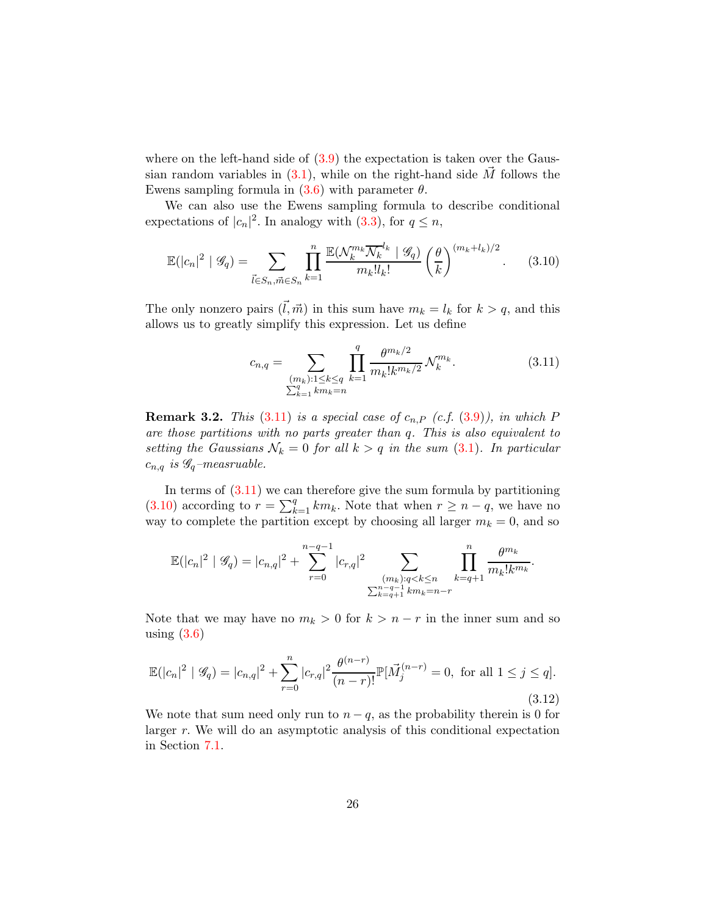where on the left-hand side of  $(3.9)$  the expectation is taken over the Gaussian random variables in  $(3.1)$ , while on the right-hand side M follows the Ewens sampling formula in  $(3.6)$  with parameter  $\theta$ .

We can also use the Ewens sampling formula to describe conditional expectations of  $|c_n|^2$ . In analogy with [\(3.3\)](#page-24-0), for  $q \leq n$ ,

<span id="page-25-1"></span>
$$
\mathbb{E}(|c_n|^2 \mid \mathcal{G}_q) = \sum_{\vec{l} \in S_n, \vec{m} \in S_n} \prod_{k=1}^n \frac{\mathbb{E}(\mathcal{N}_k^{m_k} \overline{\mathcal{N}_k}^{l_k} \mid \mathcal{G}_q)}{m_k! l_k!} \left(\frac{\theta}{k}\right)^{(m_k + l_k)/2}.
$$
 (3.10)

The only nonzero pairs  $(\vec{l}, \vec{m})$  in this sum have  $m_k = l_k$  for  $k > q$ , and this allows us to greatly simplify this expression. Let us define

<span id="page-25-0"></span>
$$
c_{n,q} = \sum_{\substack{(m_k): 1 \le k \le q \\ \sum_{k=1}^q k m_k = n}} \prod_{k=1}^q \frac{\theta^{m_k/2}}{m_k! k^{m_k/2}} \mathcal{N}_k^{m_k}.
$$
 (3.11)

<span id="page-25-3"></span>**Remark 3.2.** This  $(3.11)$  is a special case of  $c_{n,P}$   $(c.f. (3.9))$  $(c.f. (3.9))$  $(c.f. (3.9))$ , in which P are those partitions with no parts greater than q. This is also equivalent to setting the Gaussians  $\mathcal{N}_k = 0$  for all  $k > q$  in the sum [\(3.1\)](#page-23-1). In particular  $c_{n,q}$  is  $\mathscr{G}_q$ -measruable.

In terms of  $(3.11)$  we can therefore give the sum formula by partitioning [\(3.10\)](#page-25-1) according to  $r = \sum_{k=1}^{q} km_k$ . Note that when  $r \geq n - q$ , we have no way to complete the partition except by choosing all larger  $m_k = 0$ , and so

$$
\mathbb{E}(|c_n|^2 \mid \mathscr{G}_q) = |c_{n,q}|^2 + \sum_{r=0}^{n-q-1} |c_{r,q}|^2 \sum_{\substack{(m_k): q < k \le n \\ \sum_{k=q+1}^{n-q-1} k m_k = n-r}} \prod_{k=q+1}^n \frac{\theta^{m_k}}{m_k! k^{m_k}}.
$$

Note that we may have no  $m_k > 0$  for  $k > n - r$  in the inner sum and so using  $(3.6)$ 

<span id="page-25-2"></span>
$$
\mathbb{E}(|c_n|^2 \mid \mathcal{G}_q) = |c_{n,q}|^2 + \sum_{r=0}^n |c_{r,q}|^2 \frac{\theta^{(n-r)}}{(n-r)!} \mathbb{P}[\vec{M}_j^{(n-r)} = 0, \text{ for all } 1 \le j \le q].
$$
\n(3.12)

We note that sum need only run to  $n - q$ , as the probability therein is 0 for larger r. We will do an asymptotic analysis of this conditional expectation in Section [7.1.](#page-54-0)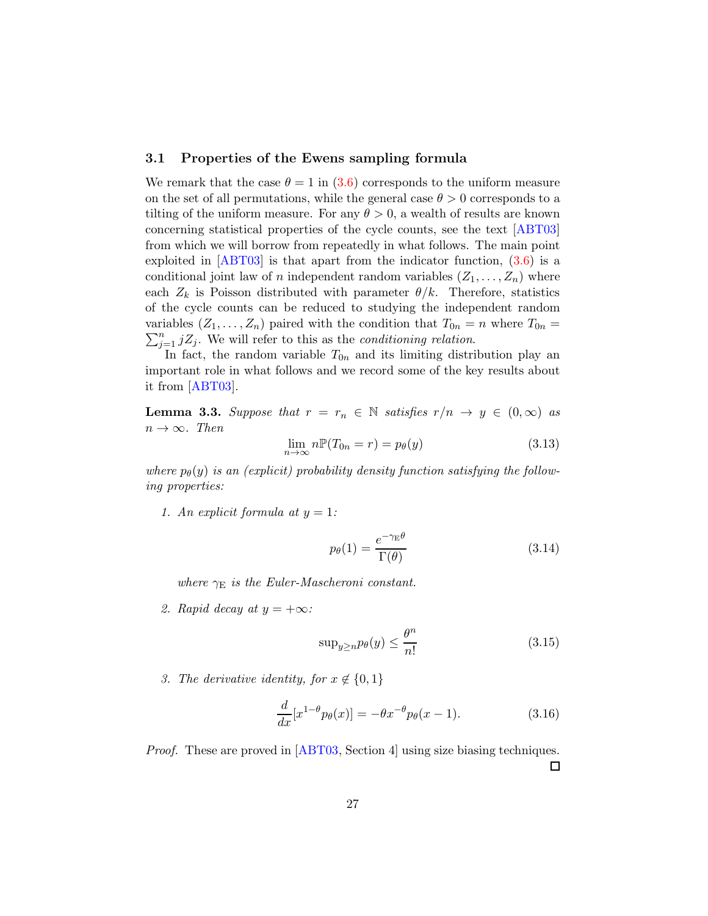### 3.1 Properties of the Ewens sampling formula

We remark that the case  $\theta = 1$  in [\(3.6\)](#page-24-2) corresponds to the uniform measure on the set of all permutations, while the general case  $\theta > 0$  corresponds to a tilting of the uniform measure. For any  $\theta > 0$ , a wealth of results are known concerning statistical properties of the cycle counts, see the text [\[ABT03\]](#page-67-6) from which we will borrow from repeatedly in what follows. The main point exploited in  $[ABT03]$  is that apart from the indicator function,  $(3.6)$  is a conditional joint law of *n* independent random variables  $(Z_1, \ldots, Z_n)$  where each  $Z_k$  is Poisson distributed with parameter  $\theta/k$ . Therefore, statistics of the cycle counts can be reduced to studying the independent random  $\sum_{j=1}^{n} jZ_j$ . We will refer to this as the *conditioning relation*. variables  $(Z_1, \ldots, Z_n)$  paired with the condition that  $T_{0n} = n$  where  $T_{0n} =$ 

In fact, the random variable  $T_{0n}$  and its limiting distribution play an important role in what follows and we record some of the key results about it from [\[ABT03\]](#page-67-6).

<span id="page-26-0"></span>**Lemma 3.3.** Suppose that  $r = r_n \in \mathbb{N}$  satisfies  $r/n \rightarrow y \in (0,\infty)$  as  $n \to \infty$ . Then

<span id="page-26-2"></span>
$$
\lim_{n \to \infty} n \mathbb{P}(T_{0n} = r) = p_{\theta}(y) \tag{3.13}
$$

where  $p_{\theta}(y)$  is an (explicit) probability density function satisfying the following properties:

1. An explicit formula at  $y = 1$ :

$$
p_{\theta}(1) = \frac{e^{-\gamma_{\rm E}\theta}}{\Gamma(\theta)}\tag{3.14}
$$

where  $\gamma_{\rm E}$  is the Euler-Mascheroni constant.

2. Rapid decay at  $y = +\infty$ :

<span id="page-26-1"></span>
$$
\sup_{y \ge n} p_{\theta}(y) \le \frac{\theta^n}{n!} \tag{3.15}
$$

3. The derivative identity, for  $x \notin \{0,1\}$ 

$$
\frac{d}{dx}[x^{1-\theta}p_{\theta}(x)] = -\theta x^{-\theta}p_{\theta}(x-1). \tag{3.16}
$$

*Proof.* These are proved in [\[ABT03,](#page-67-6) Section 4] using size biasing techniques.  $\Box$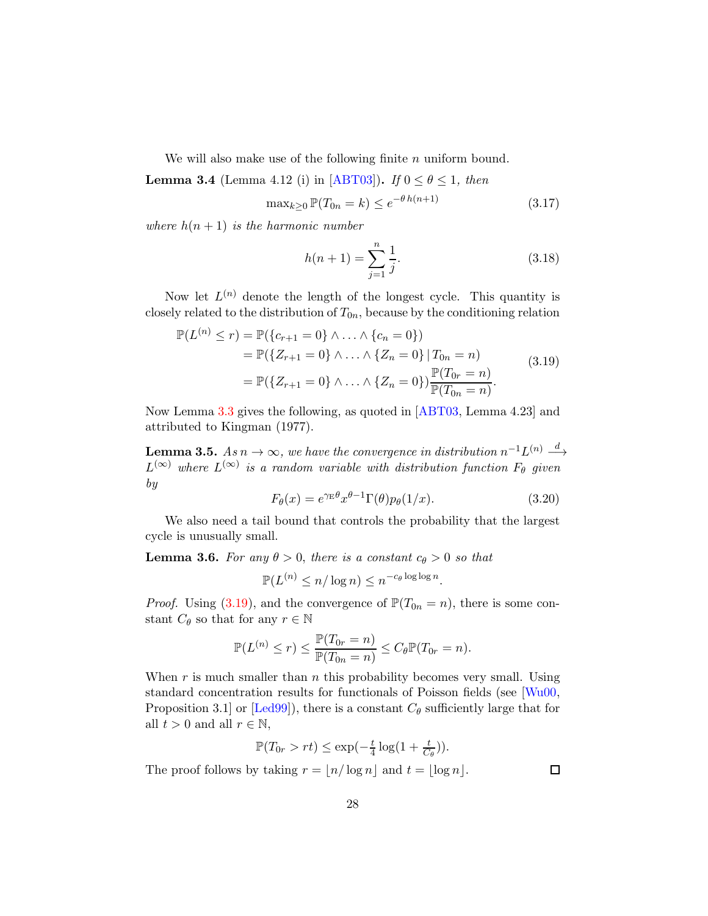We will also make use of the following finite  $n$  uniform bound.

<span id="page-27-2"></span>**Lemma 3.4** (Lemma 4.12 (i) in [\[ABT03\]](#page-67-6)). If  $0 \le \theta \le 1$ , then

$$
\max_{k\geq 0} \mathbb{P}(T_{0n} = k) \leq e^{-\theta h(n+1)} \tag{3.17}
$$

where  $h(n + 1)$  is the harmonic number

$$
h(n+1) = \sum_{j=1}^{n} \frac{1}{j}.
$$
\n(3.18)

Now let  $L^{(n)}$  denote the length of the longest cycle. This quantity is closely related to the distribution of  $T_{0n}$ , because by the conditioning relation

<span id="page-27-0"></span>
$$
\mathbb{P}(L^{(n)} \le r) = \mathbb{P}(\{c_{r+1} = 0\} \land ... \land \{c_n = 0\})
$$
  
=  $\mathbb{P}(\{Z_{r+1} = 0\} \land ... \land \{Z_n = 0\} | T_{0n} = n)$   
=  $\mathbb{P}(\{Z_{r+1} = 0\} \land ... \land \{Z_n = 0\}) \frac{\mathbb{P}(T_{0r} = n)}{\mathbb{P}(T_{0n} = n)}.$  (3.19)

Now Lemma [3.3](#page-26-0) gives the following, as quoted in [\[ABT03,](#page-67-6) Lemma 4.23] and attributed to Kingman (1977).

<span id="page-27-1"></span>**Lemma 3.5.** As  $n \to \infty$ , we have the convergence in distribution  $n^{-1}L^{(n)} \stackrel{d}{\longrightarrow}$  $L^{(\infty)}$  where  $L^{(\infty)}$  is a random variable with distribution function  $F_{\theta}$  given by

$$
F_{\theta}(x) = e^{\gamma_{\rm E}\theta} x^{\theta - 1} \Gamma(\theta) p_{\theta}(1/x).
$$
 (3.20)

.

We also need a tail bound that controls the probability that the largest cycle is unusually small.

**Lemma 3.6.** For any  $\theta > 0$ , there is a constant  $c_{\theta} > 0$  so that

$$
\mathbb{P}(L^{(n)} \le n/\log n) \le n^{-c_{\theta}\log\log n}
$$

*Proof.* Using [\(3.19\)](#page-27-0), and the convergence of  $\mathbb{P}(T_{0n} = n)$ , there is some constant  $C_{\theta}$  so that for any  $r \in \mathbb{N}$ 

$$
\mathbb{P}(L^{(n)} \le r) \le \frac{\mathbb{P}(T_{0r} = n)}{\mathbb{P}(T_{0n} = n)} \le C_{\theta} \mathbb{P}(T_{0r} = n).
$$

When r is much smaller than n this probability becomes very small. Using standard concentration results for functionals of Poisson fields (see [\[Wu00,](#page-72-2) Proposition 3.1] or [\[Led99\]](#page-70-9)), there is a constant  $C_{\theta}$  sufficiently large that for all  $t > 0$  and all  $r \in \mathbb{N}$ ,

$$
\mathbb{P}(T_{0r} > rt) \le \exp(-\frac{t}{4}\log(1 + \frac{t}{C_{\theta}})).
$$

The proof follows by taking  $r = \lfloor n/\log n \rfloor$  and  $t = \lfloor \log n \rfloor$ .

 $\Box$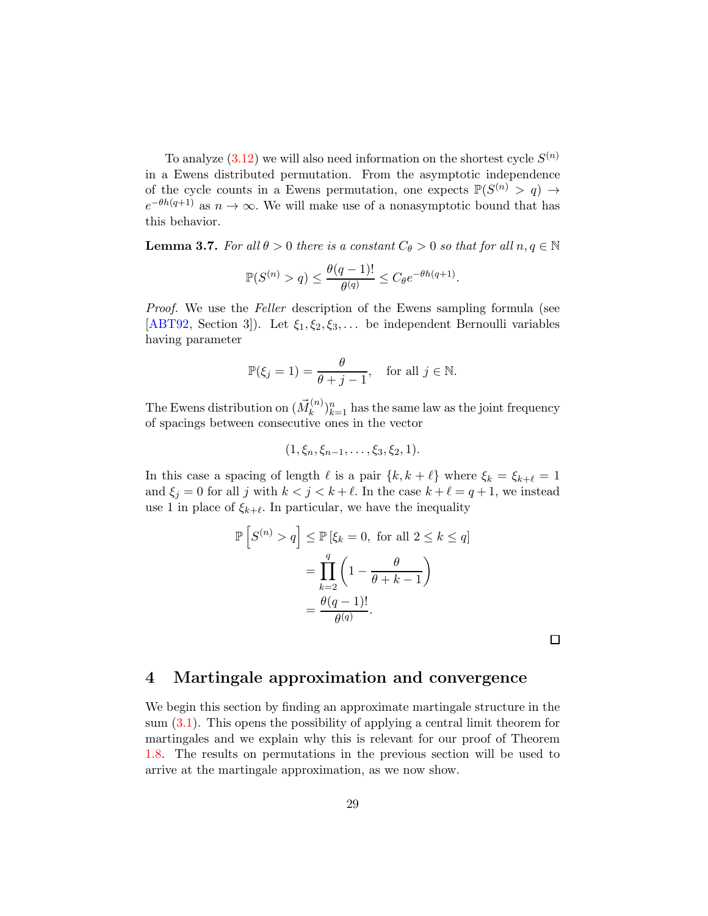To analyze  $(3.12)$  we will also need information on the shortest cycle  $S^{(n)}$ in a Ewens distributed permutation. From the asymptotic independence of the cycle counts in a Ewens permutation, one expects  $\mathbb{P}(S^{(n)} > q) \to$  $e^{-\theta h(q+1)}$  as  $n \to \infty$ . We will make use of a nonasymptotic bound that has this behavior.

**Lemma 3.7.** For all  $\theta > 0$  there is a constant  $C_{\theta} > 0$  so that for all  $n, q \in \mathbb{N}$ 

$$
\mathbb{P}(S^{(n)} > q) \le \frac{\theta(q-1)!}{\theta^{(q)}} \le C_{\theta}e^{-\theta h(q+1)}.
$$

*Proof.* We use the *Feller* description of the Ewens sampling formula (see [\[ABT92,](#page-67-7) Section 3]). Let  $\xi_1, \xi_2, \xi_3, \ldots$  be independent Bernoulli variables having parameter

$$
\mathbb{P}(\xi_j = 1) = \frac{\theta}{\theta + j - 1}, \quad \text{for all } j \in \mathbb{N}.
$$

The Ewens distribution on  $(\vec{M}_k^{(n)})$  $(k^{(n)})_{k=1}^n$  has the same law as the joint frequency of spacings between consecutive ones in the vector

$$
(1, \xi_n, \xi_{n-1}, \ldots, \xi_3, \xi_2, 1).
$$

In this case a spacing of length  $\ell$  is a pair  $\{k, k + \ell\}$  where  $\xi_k = \xi_{k+\ell} = 1$ and  $\xi_j = 0$  for all j with  $k < j < k + \ell$ . In the case  $k + \ell = q + 1$ , we instead use 1 in place of  $\xi_{k+\ell}$ . In particular, we have the inequality

$$
\mathbb{P}\left[S^{(n)} > q\right] \le \mathbb{P}\left[\xi_k = 0, \text{ for all } 2 \le k \le q\right]
$$
\n
$$
= \prod_{k=2}^q \left(1 - \frac{\theta}{\theta + k - 1}\right)
$$
\n
$$
= \frac{\theta(q - 1)!}{\theta(q)}.
$$

 $\Box$ 

### <span id="page-28-0"></span>4 Martingale approximation and convergence

We begin this section by finding an approximate martingale structure in the sum [\(3.1\)](#page-23-1). This opens the possibility of applying a central limit theorem for martingales and we explain why this is relevant for our proof of Theorem [1.8.](#page-9-1) The results on permutations in the previous section will be used to arrive at the martingale approximation, as we now show.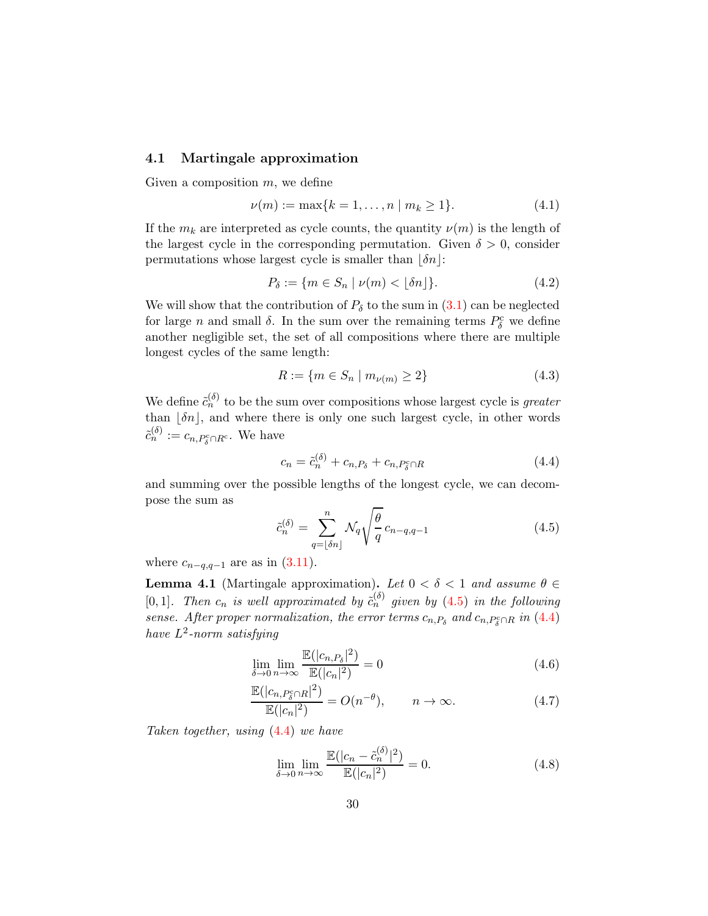### 4.1 Martingale approximation

Given a composition  $m$ , we define

$$
\nu(m) := \max\{k = 1, \dots, n \mid m_k \ge 1\}.
$$
 (4.1)

If the  $m_k$  are interpreted as cycle counts, the quantity  $\nu(m)$  is the length of the largest cycle in the corresponding permutation. Given  $\delta > 0$ , consider permutations whose largest cycle is smaller than  $|\delta n|$ :

$$
P_{\delta} := \{ m \in S_n \mid \nu(m) < \lfloor \delta n \rfloor \}. \tag{4.2}
$$

We will show that the contribution of  $P_\delta$  to the sum in  $(3.1)$  can be neglected for large *n* and small  $\delta$ . In the sum over the remaining terms  $P_{\delta}^{\rm c}$  we define another negligible set, the set of all compositions where there are multiple longest cycles of the same length:

$$
R := \{ m \in S_n \mid m_{\nu(m)} \ge 2 \}
$$
\n(4.3)

We define  $\tilde{c}_n^{(\delta)}$  to be the sum over compositions whose largest cycle is greater than  $|\delta n|$ , and where there is only one such largest cycle, in other words  $\tilde{c}_n^{(\delta)} := c_{n,P^c_{\delta} \cap R^c}$ . We have

<span id="page-29-1"></span>
$$
c_n = \tilde{c}_n^{(\delta)} + c_{n,P_\delta} + c_{n,P_\delta^c \cap R} \tag{4.4}
$$

and summing over the possible lengths of the longest cycle, we can decompose the sum as

<span id="page-29-0"></span>
$$
\tilde{c}_n^{(\delta)} = \sum_{q=\lfloor \delta n \rfloor}^n \mathcal{N}_q \sqrt{\frac{\theta}{q}} c_{n-q,q-1}
$$
\n(4.5)

where  $c_{n-q,q-1}$  are as in  $(3.11)$ .

<span id="page-29-4"></span>**Lemma 4.1** (Martingale approximation). Let  $0 < \delta < 1$  and assume  $\theta \in$ [0,1]. Then  $c_n$  is well approximated by  $\tilde{c}_n^{(\delta)}$  given by [\(4.5\)](#page-29-0) in the following sense. After proper normalization, the error terms  $c_{n,P_\delta}$  and  $c_{n,P_\delta^c \cap R}$  in [\(4.4\)](#page-29-1) have  $L^2$ -norm satisfying

$$
\lim_{\delta \to 0} \lim_{n \to \infty} \frac{\mathbb{E}(|c_{n,P_{\delta}}|^2)}{\mathbb{E}(|c_n|^2)} = 0
$$
\n(4.6)

$$
\frac{\mathbb{E}(|c_{n,P_0^c \cap R}|^2)}{\mathbb{E}(|c_n|^2)} = O(n^{-\theta}), \qquad n \to \infty.
$$
\n(4.7)

Taken together, using [\(4.4\)](#page-29-1) we have

<span id="page-29-3"></span><span id="page-29-2"></span>
$$
\lim_{\delta \to 0} \lim_{n \to \infty} \frac{\mathbb{E}(|c_n - \tilde{c}_n^{(\delta)}|^2)}{\mathbb{E}(|c_n|^2)} = 0.
$$
\n(4.8)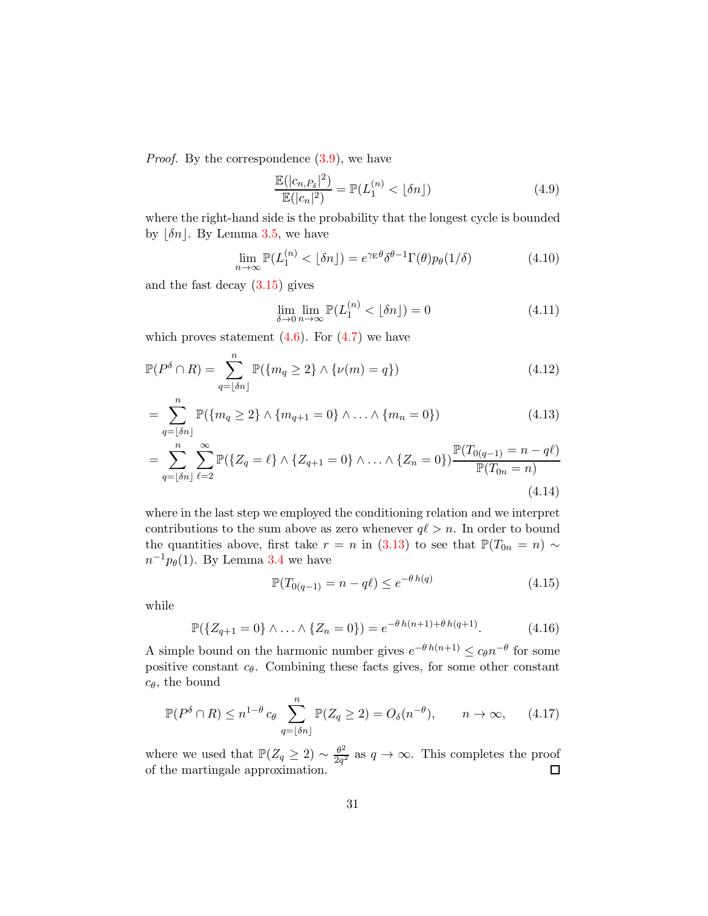*Proof.* By the correspondence  $(3.9)$ , we have

$$
\frac{\mathbb{E}(|c_{n,P_\delta}|^2)}{\mathbb{E}(|c_n|^2)} = \mathbb{P}(L_1^{(n)} < \lfloor \delta n \rfloor) \tag{4.9}
$$

where the right-hand side is the probability that the longest cycle is bounded by  $|\delta n|$ . By Lemma [3.5,](#page-27-1) we have

$$
\lim_{n \to \infty} \mathbb{P}(L_1^{(n)} < \lfloor \delta n \rfloor) = e^{\gamma_{\rm E} \theta} \delta^{\theta - 1} \Gamma(\theta) p_{\theta}(1/\delta) \tag{4.10}
$$

and the fast decay  $(3.15)$  gives

$$
\lim_{\delta \to 0} \lim_{n \to \infty} \mathbb{P}(L_1^{(n)} < \lfloor \delta n \rfloor) = 0 \tag{4.11}
$$

which proves statement  $(4.6)$ . For  $(4.7)$  we have

$$
\mathbb{P}(P^{\delta} \cap R) = \sum_{q=\lfloor \delta n \rfloor}^{n} \mathbb{P}(\{m_q \ge 2\} \wedge \{\nu(m) = q\})
$$
\n(4.12)

$$
= \sum_{q=\lfloor \delta n \rfloor}^{n} \mathbb{P}(\{m_q \geq 2\} \wedge \{m_{q+1} = 0\} \wedge \ldots \wedge \{m_n = 0\})
$$
\n(4.13)

$$
= \sum_{q=\lfloor \delta n \rfloor}^{n} \sum_{\ell=2}^{\infty} \mathbb{P}(\{Z_q = \ell\} \wedge \{Z_{q+1} = 0\} \wedge \ldots \wedge \{Z_n = 0\}) \frac{\mathbb{P}(T_{0(q-1)} = n - q\ell)}{\mathbb{P}(T_{0n} = n)}
$$
\n(4.14)

where in the last step we employed the conditioning relation and we interpret contributions to the sum above as zero whenever  $q\ell > n$ . In order to bound the quantities above, first take  $r = n$  in [\(3.13\)](#page-26-2) to see that  $\mathbb{P}(T_{0n} = n) \sim$  $n^{-1}p_{\theta}(1)$ . By Lemma [3.4](#page-27-2) we have

$$
\mathbb{P}(T_{0(q-1)} = n - q\ell) \le e^{-\theta h(q)} \tag{4.15}
$$

while

$$
\mathbb{P}(\{Z_{q+1}=0\} \wedge \ldots \wedge \{Z_n=0\}) = e^{-\theta \, h(n+1) + \theta \, h(q+1)}.\tag{4.16}
$$

A simple bound on the harmonic number gives  $e^{-\theta h(n+1)} \leq c_{\theta} n^{-\theta}$  for some positive constant  $c_{\theta}$ . Combining these facts gives, for some other constant  $c_{\theta}$ , the bound

$$
\mathbb{P}(P^{\delta} \cap R) \le n^{1-\theta} c_{\theta} \sum_{q=\lfloor \delta n \rfloor}^{n} \mathbb{P}(Z_q \ge 2) = O_{\delta}(n^{-\theta}), \qquad n \to \infty,
$$
 (4.17)

where we used that  $\mathbb{P}(Z_q \geq 2) \sim \frac{\theta^2}{2q^2}$  $\frac{\theta^2}{2q^2}$  as  $q \to \infty$ . This completes the proof of the martingale approximation.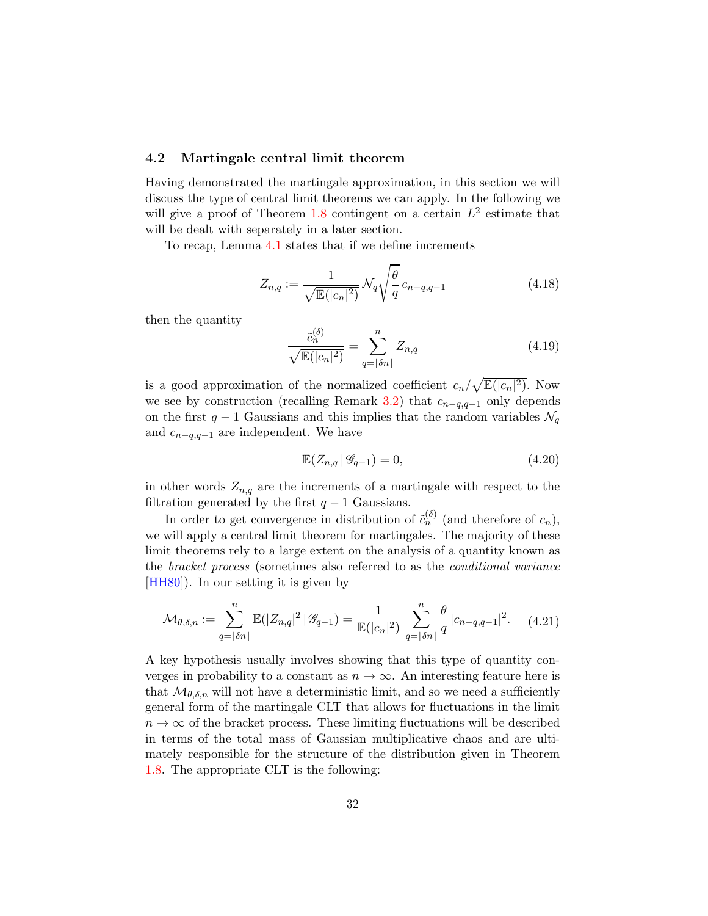### <span id="page-31-0"></span>4.2 Martingale central limit theorem

Having demonstrated the martingale approximation, in this section we will discuss the type of central limit theorems we can apply. In the following we will give a proof of Theorem [1.8](#page-9-1) contingent on a certain  $L^2$  estimate that will be dealt with separately in a later section.

To recap, Lemma [4.1](#page-29-4) states that if we define increments

<span id="page-31-1"></span>
$$
Z_{n,q} := \frac{1}{\sqrt{\mathbb{E}(|c_n|^2)}} \mathcal{N}_q \sqrt{\frac{\theta}{q}} c_{n-q,q-1}
$$
 (4.18)

then the quantity

$$
\frac{\tilde{c}_n^{(\delta)}}{\sqrt{\mathbb{E}(|c_n|^2)}} = \sum_{q=\lfloor \delta n \rfloor}^n Z_{n,q}
$$
\n(4.19)

is a good approximation of the normalized coefficient  $c_n/\sqrt{\mathbb{E}(|c_n|^2)}$ . Now we see by construction (recalling Remark [3.2\)](#page-25-3) that  $c_{n-q,q-1}$  only depends on the first  $q-1$  Gaussians and this implies that the random variables  $\mathcal{N}_q$ and  $c_{n-q,q-1}$  are independent. We have

$$
\mathbb{E}(Z_{n,q} \,|\, \mathcal{G}_{q-1}) = 0,\tag{4.20}
$$

in other words  $Z_{n,q}$  are the increments of a martingale with respect to the filtration generated by the first  $q - 1$  Gaussians.

In order to get convergence in distribution of  $\tilde{c}_n^{(\delta)}$  (and therefore of  $c_n$ ), we will apply a central limit theorem for martingales. The majority of these limit theorems rely to a large extent on the analysis of a quantity known as the bracket process (sometimes also referred to as the conditional variance [\[HH80\]](#page-69-8)). In our setting it is given by

<span id="page-31-2"></span>
$$
\mathcal{M}_{\theta,\delta,n} := \sum_{q=\lfloor \delta n \rfloor}^n \mathbb{E}(|Z_{n,q}|^2 \, | \, \mathcal{G}_{q-1}) = \frac{1}{\mathbb{E}(|c_n|^2)} \sum_{q=\lfloor \delta n \rfloor}^n \frac{\theta}{q} \, |c_{n-q,q-1}|^2. \tag{4.21}
$$

A key hypothesis usually involves showing that this type of quantity converges in probability to a constant as  $n \to \infty$ . An interesting feature here is that  $\mathcal{M}_{\theta,\delta,n}$  will not have a deterministic limit, and so we need a sufficiently general form of the martingale CLT that allows for fluctuations in the limit  $n \to \infty$  of the bracket process. These limiting fluctuations will be described in terms of the total mass of Gaussian multiplicative chaos and are ultimately responsible for the structure of the distribution given in Theorem [1.8.](#page-9-1) The appropriate CLT is the following: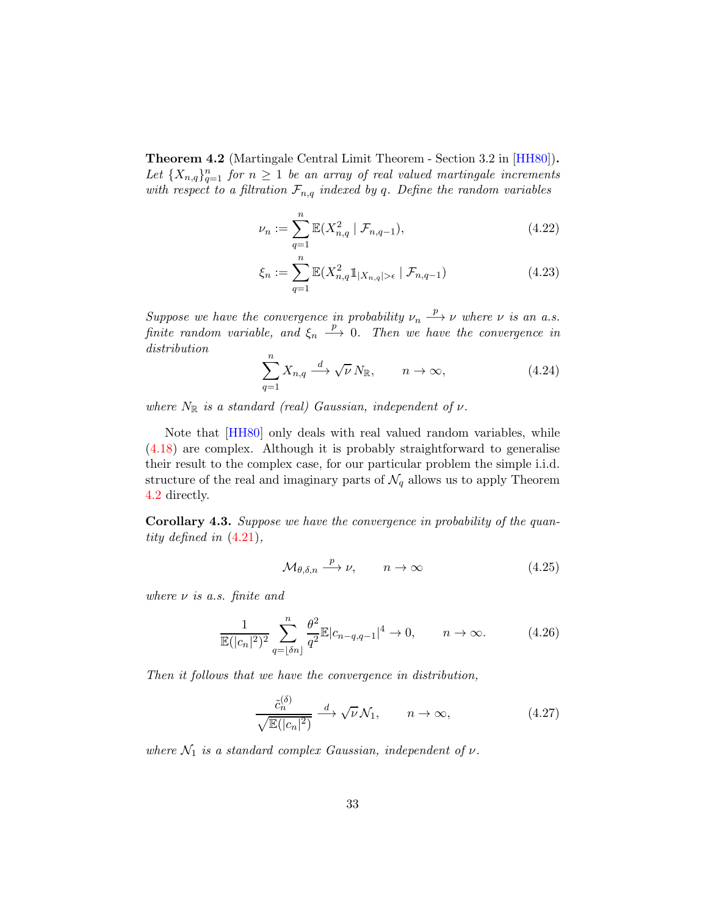Theorem 4.2 (Martingale Central Limit Theorem - Section 3.2 in [\[HH80\]](#page-69-8)). Let  ${X_{n,q}}_{q=1}^n$  for  $n \geq 1$  be an array of real valued martingale increments with respect to a filtration  $\mathcal{F}_{n,q}$  indexed by q. Define the random variables

$$
\nu_n := \sum_{q=1}^n \mathbb{E}(X_{n,q}^2 \mid \mathcal{F}_{n,q-1}),\tag{4.22}
$$

$$
\xi_n := \sum_{q=1}^n \mathbb{E}(X_{n,q}^2 \mathbb{1}_{|X_{n,q}| > \epsilon} | \mathcal{F}_{n,q-1})
$$
\n(4.23)

Suppose we have the convergence in probability  $\nu_n \stackrel{p}{\longrightarrow} \nu$  where  $\nu$  is an a.s. finite random variable, and  $\xi_n \stackrel{p}{\longrightarrow} 0$ . Then we have the convergence in distribution

<span id="page-32-0"></span>
$$
\sum_{q=1}^{n} X_{n,q} \xrightarrow{d} \sqrt{\nu} N_{\mathbb{R}}, \qquad n \to \infty,
$$
 (4.24)

where  $N_{\mathbb{R}}$  is a standard (real) Gaussian, independent of  $\nu$ .

Note that [\[HH80\]](#page-69-8) only deals with real valued random variables, while [\(4.18\)](#page-31-1) are complex. Although it is probably straightforward to generalise their result to the complex case, for our particular problem the simple i.i.d. structure of the real and imaginary parts of  $\mathcal{N}_q$  allows us to apply Theorem [4.2](#page-32-0) directly.

Corollary 4.3. Suppose we have the convergence in probability of the quantity defined in [\(4.21\)](#page-31-2),

<span id="page-32-1"></span>
$$
\mathcal{M}_{\theta,\delta,n} \stackrel{p}{\longrightarrow} \nu, \qquad n \to \infty \tag{4.25}
$$

where  $\nu$  is a.s. finite and

<span id="page-32-2"></span>
$$
\frac{1}{\mathbb{E}(|c_n|^2)^2} \sum_{q=\lfloor \delta n \rfloor}^n \frac{\theta^2}{q^2} \mathbb{E}|c_{n-q,q-1}|^4 \to 0, \qquad n \to \infty.
$$
 (4.26)

Then it follows that we have the convergence in distribution,

<span id="page-32-3"></span>
$$
\frac{\tilde{c}_n^{(\delta)}}{\sqrt{\mathbb{E}(|c_n|^2)}} \xrightarrow{d} \sqrt{\nu} \mathcal{N}_1, \qquad n \to \infty,
$$
\n(4.27)

where  $\mathcal{N}_1$  is a standard complex Gaussian, independent of  $\nu$ .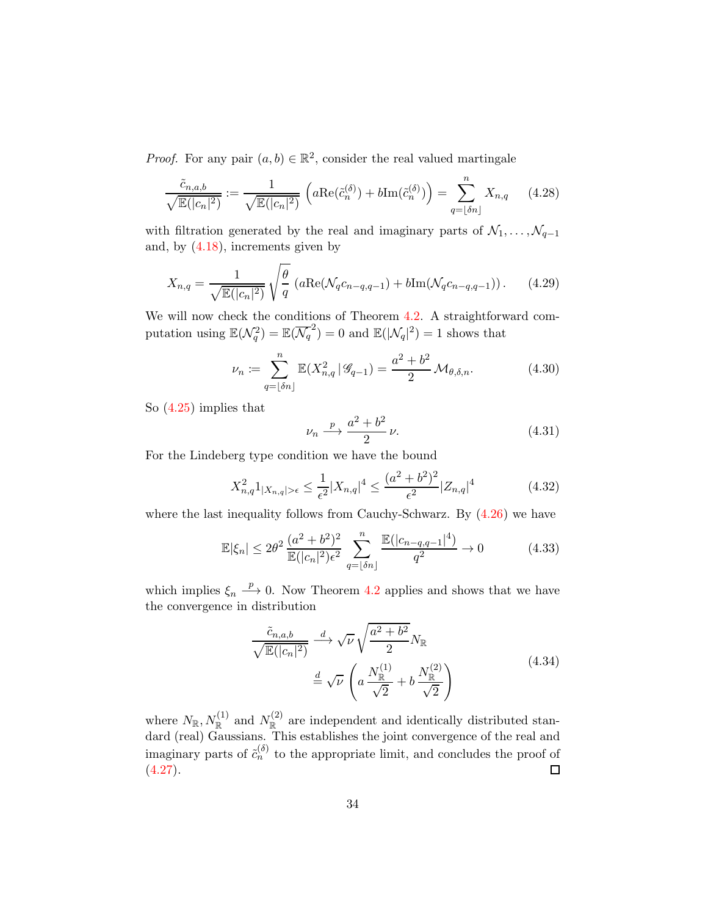*Proof.* For any pair  $(a, b) \in \mathbb{R}^2$ , consider the real valued martingale

$$
\frac{\tilde{c}_{n,a,b}}{\sqrt{\mathbb{E}(|c_n|^2)}} := \frac{1}{\sqrt{\mathbb{E}(|c_n|^2)}} \left( a \text{Re}(\tilde{c}_n^{(\delta)}) + b \text{Im}(\tilde{c}_n^{(\delta)}) \right) = \sum_{q=\lfloor \delta n \rfloor}^n X_{n,q} \tag{4.28}
$$

with filtration generated by the real and imaginary parts of  $\mathcal{N}_1, \ldots, \mathcal{N}_{q-1}$ and, by  $(4.18)$ , increments given by

$$
X_{n,q} = \frac{1}{\sqrt{\mathbb{E}(|c_n|^2)}} \sqrt{\frac{\theta}{q}} \left( a \text{Re}(\mathcal{N}_q c_{n-q,q-1}) + b \text{Im}(\mathcal{N}_q c_{n-q,q-1}) \right). \tag{4.29}
$$

We will now check the conditions of Theorem [4.2.](#page-32-0) A straightforward computation using  $\mathbb{E}(\mathcal{N}_q^2) = \mathbb{E}(\overline{\mathcal{N}_q}^2) = 0$  and  $\mathbb{E}(|\mathcal{N}_q|^2) = 1$  shows that

$$
\nu_n := \sum_{q=\lfloor \delta n \rfloor}^n \mathbb{E}(X_{n,q}^2 \, | \, \mathcal{G}_{q-1}) = \frac{a^2 + b^2}{2} \, \mathcal{M}_{\theta, \delta, n}.\tag{4.30}
$$

So [\(4.25\)](#page-32-1) implies that

$$
\nu_n \xrightarrow{p} \frac{a^2 + b^2}{2} \nu. \tag{4.31}
$$

For the Lindeberg type condition we have the bound

$$
X_{n,q}^2 1_{|X_{n,q}|>\epsilon} \le \frac{1}{\epsilon^2} |X_{n,q}|^4 \le \frac{(a^2 + b^2)^2}{\epsilon^2} |Z_{n,q}|^4 \tag{4.32}
$$

where the last inequality follows from Cauchy-Schwarz. By [\(4.26\)](#page-32-2) we have

$$
\mathbb{E}|\xi_n| \le 2\theta^2 \frac{(a^2 + b^2)^2}{\mathbb{E}(|c_n|^2)\epsilon^2} \sum_{q=\lfloor \delta n \rfloor}^n \frac{\mathbb{E}(|c_{n-q,q-1}|^4)}{q^2} \to 0 \tag{4.33}
$$

which implies  $\xi_n \stackrel{p}{\longrightarrow} 0$ . Now Theorem [4.2](#page-32-0) applies and shows that we have the convergence in distribution

$$
\frac{\tilde{c}_{n,a,b}}{\sqrt{\mathbb{E}(|c_n|^2)}} \xrightarrow{d} \sqrt{\nu} \sqrt{\frac{a^2 + b^2}{2}} N_{\mathbb{R}}
$$
\n
$$
\stackrel{d}{=} \sqrt{\nu} \left( a \frac{N_{\mathbb{R}}^{(1)}}{\sqrt{2}} + b \frac{N_{\mathbb{R}}^{(2)}}{\sqrt{2}} \right) \tag{4.34}
$$

where  $N_{\mathbb{R}}, N_{\mathbb{R}}^{(1)}$  and  $N_{\mathbb{R}}^{(2)}$  are independent and identically distributed standard (real) Gaussians. This establishes the joint convergence of the real and imaginary parts of  $\tilde{c}_n^{(\delta)}$  to the appropriate limit, and concludes the proof of  $(4.27).$  $(4.27).$  $\Box$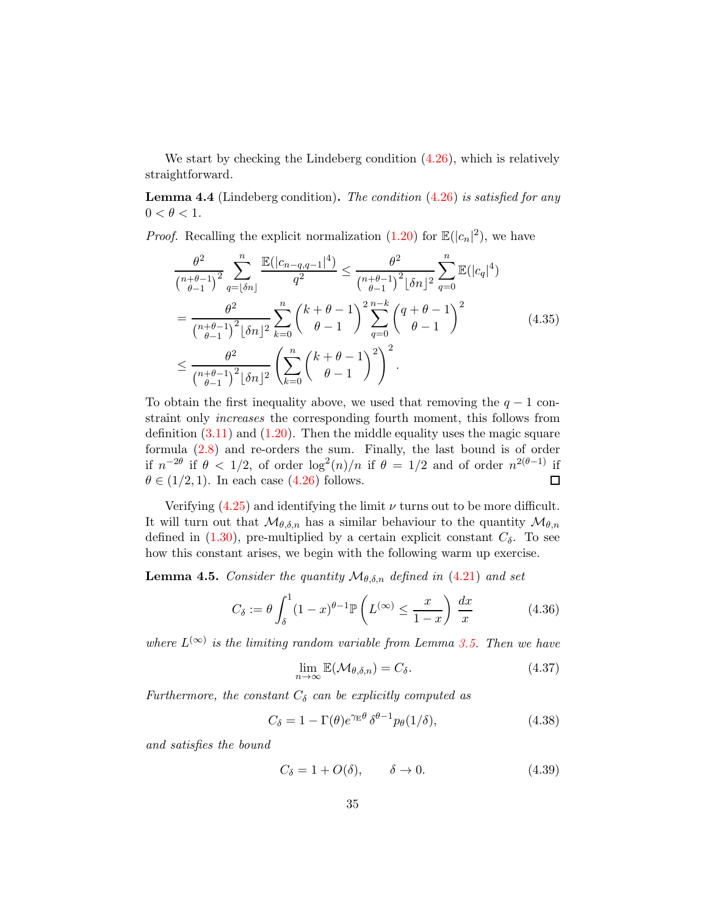We start by checking the Lindeberg condition  $(4.26)$ , which is relatively straightforward.

**Lemma 4.4** (Lindeberg condition). The condition  $(4.26)$  is satisfied for any  $0 < \theta < 1$ .

*Proof.* Recalling the explicit normalization  $(1.20)$  for  $\mathbb{E}(|c_n|^2)$ , we have

$$
\frac{\theta^2}{\binom{n+\theta-1}{\theta-1}^2} \sum_{q=\lfloor \delta n \rfloor}^n \frac{\mathbb{E}(|c_{n-q,q-1}|^4)}{q^2} \le \frac{\theta^2}{\binom{n+\theta-1}{\theta-1}^2} \sum_{q=0}^n \mathbb{E}(|c_q|^4)
$$

$$
= \frac{\theta^2}{\binom{n+\theta-1}{\theta-1}^2} \sum_{k=0}^n \binom{k+\theta-1}{\theta-1}^2 \sum_{q=0}^{n-k} \binom{q+\theta-1}{\theta-1}^2
$$
(4.35)
$$
\le \frac{\theta^2}{\binom{n+\theta-1}{\theta-1}^2} \sum_{k=0}^n \binom{k+\theta-1}{\theta-1}^2.
$$

To obtain the first inequality above, we used that removing the  $q - 1$  constraint only increases the corresponding fourth moment, this follows from definition  $(3.11)$  and  $(1.20)$ . Then the middle equality uses the magic square formula [\(2.8\)](#page-20-0) and re-orders the sum. Finally, the last bound is of order if  $n^{-2\theta}$  if  $\theta < 1/2$ , of order  $\log^2(n)/n$  if  $\theta = 1/2$  and of order  $n^{2(\theta-1)}$  if  $\theta \in (1/2, 1)$ . In each case  $(4.26)$  follows.  $\Box$ 

Verifying  $(4.25)$  and identifying the limit  $\nu$  turns out to be more difficult. It will turn out that  $\mathcal{M}_{\theta,\delta,n}$  has a similar behaviour to the quantity  $\mathcal{M}_{\theta,n}$ defined in  $(1.30)$ , pre-multiplied by a certain explicit constant  $C_{\delta}$ . To see how this constant arises, we begin with the following warm up exercise.

**Lemma 4.5.** Consider the quantity  $\mathcal{M}_{\theta,\delta,n}$  defined in [\(4.21\)](#page-31-2) and set

<span id="page-34-0"></span>
$$
C_{\delta} := \theta \int_{\delta}^{1} (1 - x)^{\theta - 1} \mathbb{P}\left(L^{(\infty)} \le \frac{x}{1 - x}\right) \frac{dx}{x}
$$
(4.36)

where  $L^{(\infty)}$  is the limiting random variable from Lemma [3.5.](#page-27-1) Then we have

$$
\lim_{n \to \infty} \mathbb{E}(\mathcal{M}_{\theta,\delta,n}) = C_{\delta}.
$$
\n(4.37)

Furthermore, the constant  $C_{\delta}$  can be explicitly computed as

<span id="page-34-1"></span>
$$
C_{\delta} = 1 - \Gamma(\theta)e^{\gamma_{\rm E}\theta} \delta^{\theta - 1} p_{\theta}(1/\delta), \tag{4.38}
$$

and satisfies the bound

$$
C_{\delta} = 1 + O(\delta), \qquad \delta \to 0. \tag{4.39}
$$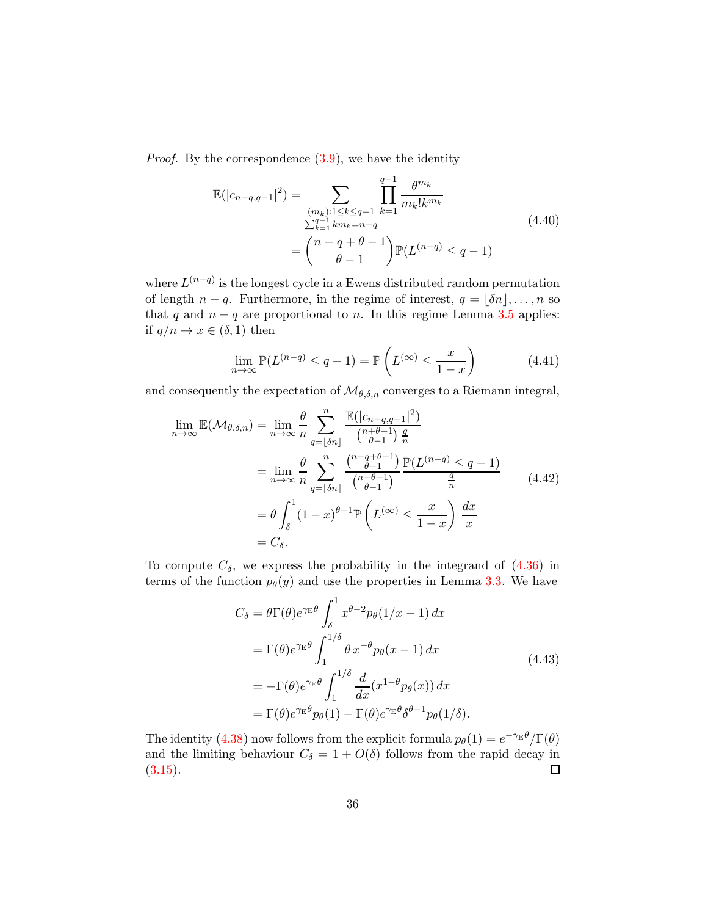Proof. By the correspondence [\(3.9\)](#page-24-3), we have the identity

$$
\mathbb{E}(|c_{n-q,q-1}|^2) = \sum_{\substack{(m_k):1 \le k \le q-1\\ \sum_{k=1}^{q-1} k m_k = n-q\\ \theta-1}} \prod_{k=1}^{q-1} \frac{\theta^{m_k}}{m_k! k^{m_k}}
$$
\n
$$
= \binom{n-q+\theta-1}{\theta-1} \mathbb{P}(L^{(n-q)} \le q-1)
$$
\n(4.40)

where  $L^{(n-q)}$  is the longest cycle in a Ewens distributed random permutation of length  $n - q$ . Furthermore, in the regime of interest,  $q = |\delta n|, \ldots, n$  so that q and  $n - q$  are proportional to n. In this regime Lemma [3.5](#page-27-1) applies: if  $q/n \to x \in (\delta, 1)$  then

$$
\lim_{n \to \infty} \mathbb{P}(L^{(n-q)} \le q - 1) = \mathbb{P}\left(L^{(\infty)} \le \frac{x}{1 - x}\right) \tag{4.41}
$$

and consequently the expectation of  $\mathcal{M}_{\theta,\delta,n}$  converges to a Riemann integral,

$$
\lim_{n \to \infty} \mathbb{E}(\mathcal{M}_{\theta,\delta,n}) = \lim_{n \to \infty} \frac{\theta}{n} \sum_{q=\lfloor \delta n \rfloor}^{n} \frac{\mathbb{E}(|c_{n-q,q-1}|^2)}{\binom{n+\theta-1}{\theta-1} \frac{q}{n}}
$$
\n
$$
= \lim_{n \to \infty} \frac{\theta}{n} \sum_{q=\lfloor \delta n \rfloor}^{n} \frac{\binom{n-q+\theta-1}{\theta-1}}{\binom{n+\theta-1}{\theta-1}} \frac{\mathbb{P}(L^{(n-q)} \leq q-1)}{\frac{q}{n}} \qquad (4.42)
$$
\n
$$
= \theta \int_{\delta}^{1} (1-x)^{\theta-1} \mathbb{P}\left(L^{(\infty)} \leq \frac{x}{1-x}\right) \frac{dx}{x}
$$
\n
$$
= C_{\delta}.
$$

To compute  $C_{\delta}$ , we express the probability in the integrand of  $(4.36)$  in terms of the function  $p_{\theta}(y)$  and use the properties in Lemma [3.3.](#page-26-0) We have

$$
C_{\delta} = \theta \Gamma(\theta) e^{\gamma_{\rm E}\theta} \int_{\delta}^{1} x^{\theta - 2} p_{\theta}(1/x - 1) dx
$$
  
\n
$$
= \Gamma(\theta) e^{\gamma_{\rm E}\theta} \int_{1}^{1/\delta} \theta x^{-\theta} p_{\theta}(x - 1) dx
$$
  
\n
$$
= -\Gamma(\theta) e^{\gamma_{\rm E}\theta} \int_{1}^{1/\delta} \frac{d}{dx} (x^{1-\theta} p_{\theta}(x)) dx
$$
  
\n
$$
= \Gamma(\theta) e^{\gamma_{\rm E}\theta} p_{\theta}(1) - \Gamma(\theta) e^{\gamma_{\rm E}\theta} \delta^{\theta - 1} p_{\theta}(1/\delta).
$$
\n(4.43)

The identity [\(4.38\)](#page-34-1) now follows from the explicit formula  $p_{\theta}(1) = e^{-\gamma E \theta}/\Gamma(\theta)$ and the limiting behaviour  $C_{\delta} = 1 + O(\delta)$  follows from the rapid decay in  $(3.15).$  $(3.15).$  $\Box$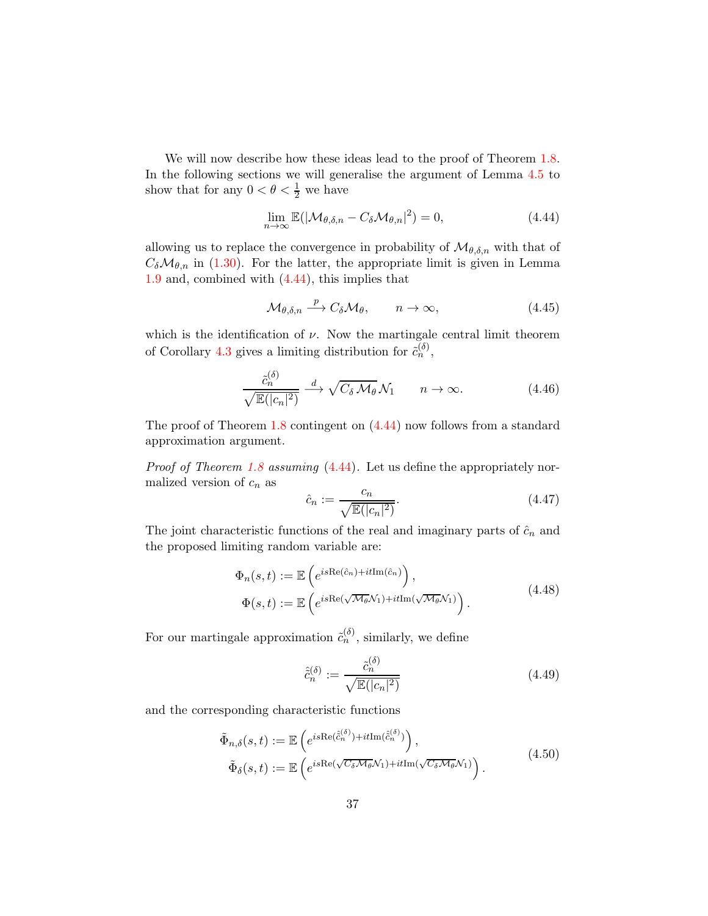We will now describe how these ideas lead to the proof of Theorem [1.8.](#page-9-0) In the following sections we will generalise the argument of Lemma [4.5](#page-34-0) to show that for any  $0 < \theta < \frac{1}{2}$  we have

<span id="page-36-0"></span>
$$
\lim_{n \to \infty} \mathbb{E}(|\mathcal{M}_{\theta,\delta,n} - C_{\delta} \mathcal{M}_{\theta,n}|^2) = 0,
$$
\n(4.44)

allowing us to replace the convergence in probability of  $\mathcal{M}_{\theta,\delta,n}$  with that of  $C_{\delta} \mathcal{M}_{\theta,n}$  in [\(1.30\)](#page-11-0). For the latter, the appropriate limit is given in Lemma [1.9](#page-11-1) and, combined with  $(4.44)$ , this implies that

$$
\mathcal{M}_{\theta,\delta,n} \stackrel{p}{\longrightarrow} C_{\delta} \mathcal{M}_{\theta}, \qquad n \to \infty,
$$
\n(4.45)

which is the identification of  $\nu$ . Now the martingale central limit theorem of Corollary [4.3](#page-32-0) gives a limiting distribution for  $\tilde{c}_n^{(\delta)}$ ,

<span id="page-36-1"></span>
$$
\frac{\tilde{c}_n^{(\delta)}}{\sqrt{\mathbb{E}(|c_n|^2)}} \xrightarrow{d} \sqrt{C_\delta \mathcal{M}_\theta} \mathcal{N}_1 \qquad n \to \infty. \tag{4.46}
$$

The proof of Theorem [1.8](#page-9-0) contingent on [\(4.44\)](#page-36-0) now follows from a standard approximation argument.

Proof of Theorem [1.8](#page-9-0) assuming [\(4.44\)](#page-36-0). Let us define the appropriately normalized version of  $c_n$  as

$$
\hat{c}_n := \frac{c_n}{\sqrt{\mathbb{E}(|c_n|^2)}}.\tag{4.47}
$$

The joint characteristic functions of the real and imaginary parts of  $\hat{c}_n$  and the proposed limiting random variable are:

$$
\Phi_n(s,t) := \mathbb{E}\left(e^{is\text{Re}(\hat{c}_n) + it\text{Im}(\hat{c}_n)}\right),
$$
\n
$$
\Phi(s,t) := \mathbb{E}\left(e^{is\text{Re}(\sqrt{\mathcal{M}_{\theta}}\mathcal{N}_1) + it\text{Im}(\sqrt{\mathcal{M}_{\theta}}\mathcal{N}_1)}\right).
$$
\n(4.48)

For our martingale approximation  $\tilde{c}_n^{(\delta)}$ , similarly, we define

$$
\hat{c}_n^{(\delta)} := \frac{\tilde{c}_n^{(\delta)}}{\sqrt{\mathbb{E}(|c_n|^2)}}
$$
(4.49)

and the corresponding characteristic functions

$$
\tilde{\Phi}_{n,\delta}(s,t) := \mathbb{E}\left(e^{is\text{Re}(\hat{\tilde{c}}_n^{(\delta)}) + it\text{Im}(\hat{\tilde{c}}_n^{(\delta)})}\right),\n\tilde{\Phi}_{\delta}(s,t) := \mathbb{E}\left(e^{is\text{Re}(\sqrt{C_{\delta}\mathcal{M}_{\theta}}\mathcal{N}_1) + it\text{Im}(\sqrt{C_{\delta}\mathcal{M}_{\theta}}\mathcal{N}_1)}\right).
$$
\n(4.50)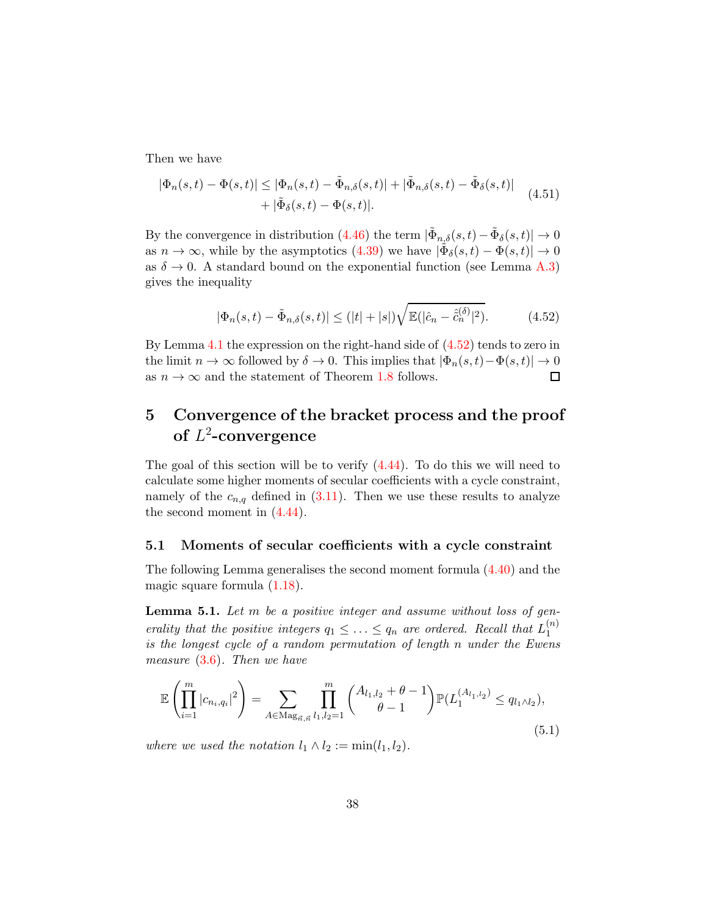Then we have

$$
|\Phi_n(s,t) - \Phi(s,t)| \leq |\Phi_n(s,t) - \tilde{\Phi}_{n,\delta}(s,t)| + |\tilde{\Phi}_{n,\delta}(s,t) - \tilde{\Phi}_{\delta}(s,t)|
$$
  
+ 
$$
|\tilde{\Phi}_{\delta}(s,t) - \Phi(s,t)|.
$$
 (4.51)

By the convergence in distribution [\(4.46\)](#page-36-1) the term  $|\tilde{\Phi}_{n,\delta}(s,t) - \tilde{\Phi}_{\delta}(s,t)| \to 0$ as  $n \to \infty$ , while by the asymptotics [\(4.39\)](#page-34-1) we have  $|\tilde{\Phi}_{\delta}(s,t) - \Phi(s,t)| \to 0$ as  $\delta \to 0$ . A standard bound on the exponential function (see Lemma [A.3\)](#page-65-0) gives the inequality

<span id="page-37-0"></span>
$$
|\Phi_n(s,t) - \tilde{\Phi}_{n,\delta}(s,t)| \le (|t| + |s|) \sqrt{\mathbb{E}(|\hat{c}_n - \hat{c}_n^{(\delta)}|^2)}.
$$
 (4.52)

By Lemma [4.1](#page-29-0) the expression on the right-hand side of  $(4.52)$  tends to zero in the limit  $n \to \infty$  followed by  $\delta \to 0$ . This implies that  $|\Phi_n(s,t) - \Phi(s,t)| \to 0$ <br>as  $n \to \infty$  and the statement of Theorem 1.8 follows. as  $n \to \infty$  and the statement of Theorem [1.8](#page-9-0) follows.

# 5 Convergence of the bracket process and the proof of  $L^2$ -convergence

The goal of this section will be to verify  $(4.44)$ . To do this we will need to calculate some higher moments of secular coefficients with a cycle constraint, namely of the  $c_{n,q}$  defined in [\(3.11\)](#page-25-0). Then we use these results to analyze the second moment in  $(4.44)$ .

#### 5.1 Moments of secular coefficients with a cycle constraint

The following Lemma generalises the second moment formula [\(4.40\)](#page-35-0) and the magic square formula [\(1.18\)](#page-7-0).

**Lemma 5.1.** Let m be a positive integer and assume without loss of generality that the positive integers  $q_1 \leq \ldots \leq q_n$  are ordered. Recall that  $L_1^{(n)}$ 1 is the longest cycle of a random permutation of length n under the Ewens measure  $(3.6)$ . Then we have

<span id="page-37-1"></span>
$$
\mathbb{E}\left(\prod_{i=1}^{m}|c_{n_i,q_i}|^2\right) = \sum_{A \in \text{Mag}_{\vec{n},\vec{n}}}\prod_{l_1,l_2=1}^{m}\binom{A_{l_1,l_2}+\theta-1}{\theta-1}\mathbb{P}(L_1^{(A_{l_1,l_2})} \le q_{l_1 \wedge l_2}),\tag{5.1}
$$

where we used the notation  $l_1 \wedge l_2 := \min(l_1, l_2)$ .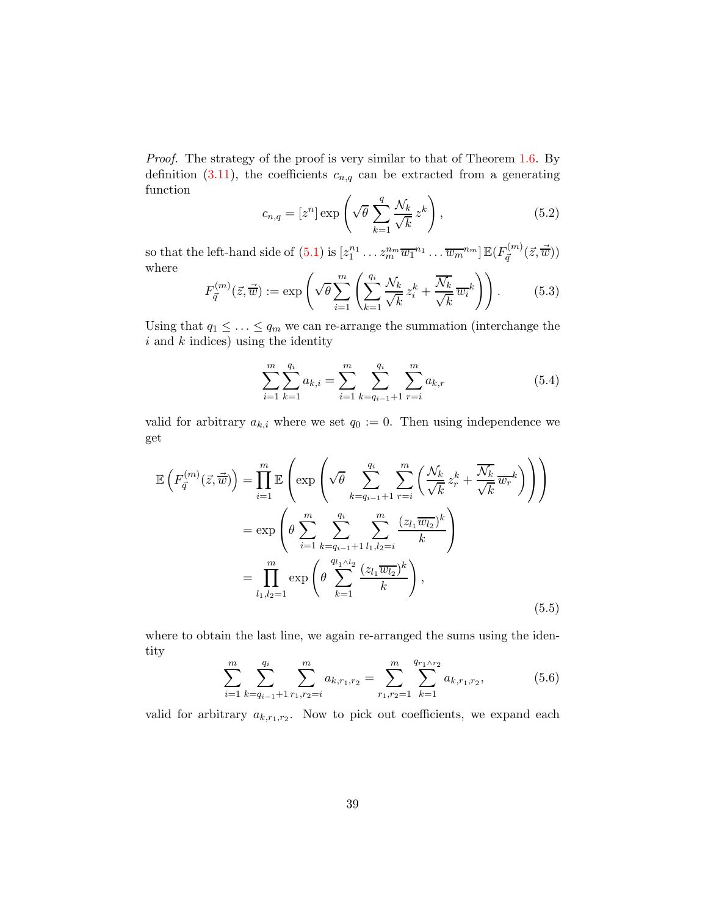Proof. The strategy of the proof is very similar to that of Theorem [1.6.](#page-7-1) By definition [\(3.11\)](#page-25-0), the coefficients  $c_{n,q}$  can be extracted from a generating function

<span id="page-38-1"></span>
$$
c_{n,q} = [z^n] \exp\left(\sqrt{\theta} \sum_{k=1}^q \frac{\mathcal{N}_k}{\sqrt{k}} z^k\right),\tag{5.2}
$$

so that the left-hand side of  $(5.1)$  is  $[z_1^{n_1} \dots z_m^{n_m} \overline{w_1}^{n_1} \dots \overline{w_m}^{n_m}] \mathbb{E}(F_{\vec{q}}^{(m)})$  $\vec{q}^{(m)}(\vec{z},\vec{\overline{w}}))$ where

$$
F_{\vec{q}}^{(m)}(\vec{z}, \vec{\overline{w}}) := \exp\left(\sqrt{\theta} \sum_{i=1}^{m} \left( \sum_{k=1}^{q_i} \frac{\mathcal{N}_k}{\sqrt{k}} z_i^k + \frac{\overline{\mathcal{N}_k}}{\sqrt{k}} \overline{w_i}^k \right) \right). \tag{5.3}
$$

Using that  $q_1 \leq \ldots \leq q_m$  we can re-arrange the summation (interchange the  $i$  and  $k$  indices) using the identity

$$
\sum_{i=1}^{m} \sum_{k=1}^{q_i} a_{k,i} = \sum_{i=1}^{m} \sum_{k=q_{i-1}+1}^{q_i} \sum_{r=i}^{m} a_{k,r}
$$
(5.4)

valid for arbitrary  $a_{k,i}$  where we set  $q_0 := 0$ . Then using independence we get

<span id="page-38-0"></span>
$$
\mathbb{E}\left(F_{\vec{q}}^{(m)}(\vec{z},\vec{\overline{w}})\right) = \prod_{i=1}^{m} \mathbb{E}\left(\exp\left(\sqrt{\theta} \sum_{k=q_{i-1}+1}^{q_i} \sum_{r=i}^{m} \left(\frac{\mathcal{N}_k}{\sqrt{k}} z_r^k + \frac{\overline{\mathcal{N}_k}}{\sqrt{k}} \overline{w_r}^k\right)\right)\right)
$$

$$
= \exp\left(\theta \sum_{i=1}^{m} \sum_{k=q_{i-1}+1}^{q_i} \sum_{l_1,l_2=i}^{m} \frac{(z_{l_1} \overline{w_{l_2}})^k}{k}\right)
$$

$$
= \prod_{l_1,l_2=1}^{m} \exp\left(\theta \sum_{k=1}^{q_{l_1} \wedge l_2} \frac{(z_{l_1} \overline{w_{l_2}})^k}{k}\right),\tag{5.5}
$$

where to obtain the last line, we again re-arranged the sums using the identity

$$
\sum_{i=1}^{m} \sum_{k=q_{i-1}+1}^{q_i} \sum_{r_1,r_2=i}^{m} a_{k,r_1,r_2} = \sum_{r_1,r_2=1}^{m} \sum_{k=1}^{q_{r_1 \wedge r_2}} a_{k,r_1,r_2}, \qquad (5.6)
$$

valid for arbitrary  $a_{k,r_1,r_2}$ . Now to pick out coefficients, we expand each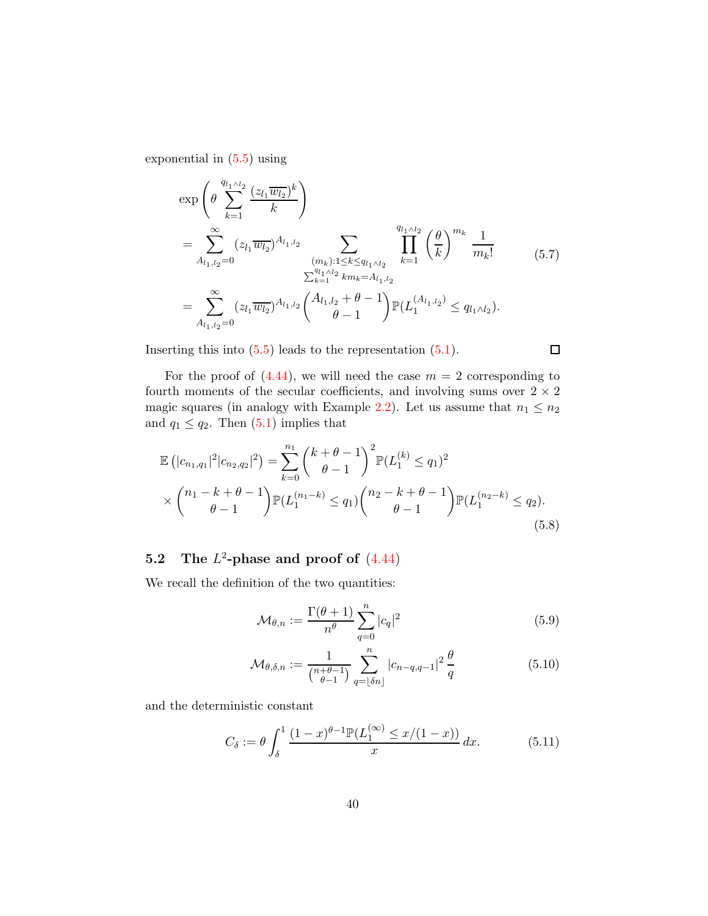exponential in [\(5.5\)](#page-38-0) using

$$
\exp\left(\theta \sum_{k=1}^{q_{l_1 \wedge l_2}} \frac{(z_{l_1} \overline{w_{l_2}})^k}{k}\right)
$$
\n
$$
= \sum_{A_{l_1, l_2=0}}^{\infty} (z_{l_1} \overline{w_{l_2}})^{A_{l_1, l_2}} \sum_{\substack{(m_k): 1 \le k \le q_{l_1 \wedge l_2} \\ \sum_{k=1}^{q_{l_1 \wedge l_2}} k m_k = A_{l_1, l_2}}}^{\sum_{l_1 \wedge l_2} \sum_{k=1}^{\sum_{k=1}^{q_{l_1 \wedge l_2}} \sum_{k=1}^{\sum_{k=1}^{q_{l_1 \wedge l_2}} \binom{\theta}{k}} m_k} \frac{1}{m_k!}
$$
\n
$$
= \sum_{A_{l_1, l_2=0}}^{\infty} (z_{l_1} \overline{w_{l_2}})^{A_{l_1, l_2}} \binom{A_{l_1, l_2} + \theta - 1}{\theta - 1} \mathbb{P}(L_1^{(A_{l_1, l_2})} \le q_{l_1 \wedge l_2}).
$$
\n
$$
(5.7)
$$

Inserting this into  $(5.5)$  leads to the representation  $(5.1)$ .

For the proof of  $(4.44)$ , we will need the case  $m = 2$  corresponding to fourth moments of the secular coefficients, and involving sums over  $2 \times 2$ magic squares (in analogy with Example [2.2\)](#page-20-0). Let us assume that  $n_1 \leq n_2$ and  $q_1 \leq q_2$ . Then  $(5.1)$  implies that

<span id="page-39-1"></span>
$$
\mathbb{E}\left(|c_{n_1,q_1}|^2|c_{n_2,q_2}|^2\right) = \sum_{k=0}^{n_1} {k+\theta-1 \choose \theta-1}^2 \mathbb{P}(L_1^{(k)} \leq q_1)^2
$$
  
 
$$
\times {n_1-k+\theta-1 \choose \theta-1} \mathbb{P}(L_1^{(n_1-k)} \leq q_1) {n_2-k+\theta-1 \choose \theta-1} \mathbb{P}(L_1^{(n_2-k)} \leq q_2).
$$
 (5.8)

### 5.2 The  $L^2$ -phase and proof of  $(4.44)$

We recall the definition of the two quantities:

<span id="page-39-0"></span>
$$
\mathcal{M}_{\theta,n} := \frac{\Gamma(\theta+1)}{n^{\theta}} \sum_{q=0}^{n} |c_q|^2 \tag{5.9}
$$

 $\Box$ 

$$
\mathcal{M}_{\theta,\delta,n} := \frac{1}{\binom{n+\theta-1}{\theta-1}} \sum_{q=\lfloor \delta n \rfloor}^n |c_{n-q,q-1}|^2 \frac{\theta}{q} \tag{5.10}
$$

and the deterministic constant

$$
C_{\delta} := \theta \int_{\delta}^{1} \frac{(1-x)^{\theta-1} \mathbb{P}(L_1^{(\infty)} \le x/(1-x))}{x} dx.
$$
 (5.11)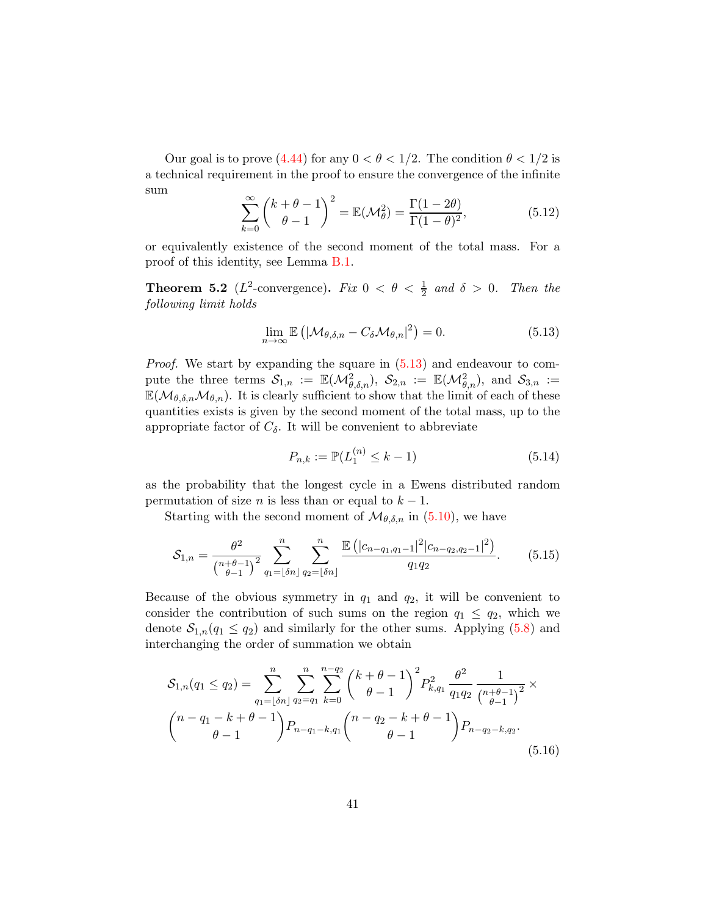Our goal is to prove [\(4.44\)](#page-36-0) for any  $0 < \theta < 1/2$ . The condition  $\theta < 1/2$  is a technical requirement in the proof to ensure the convergence of the infinite sum

$$
\sum_{k=0}^{\infty} \binom{k+\theta-1}{\theta-1}^2 = \mathbb{E}(\mathcal{M}_{\theta}^2) = \frac{\Gamma(1-2\theta)}{\Gamma(1-\theta)^2},\tag{5.12}
$$

or equivalently existence of the second moment of the total mass. For a proof of this identity, see Lemma [B.1.](#page-66-0)

**Theorem 5.2** ( $L^2$ -convergence). Fix  $0 < \theta < \frac{1}{2}$  and  $\delta > 0$ . Then the following limit holds

<span id="page-40-0"></span>
$$
\lim_{n \to \infty} \mathbb{E} \left( |\mathcal{M}_{\theta, \delta, n} - C_{\delta} \mathcal{M}_{\theta, n}|^2 \right) = 0. \tag{5.13}
$$

Proof. We start by expanding the square in  $(5.13)$  and endeavour to compute the three terms  $\mathcal{S}_{1,n} := \mathbb{E}(\mathcal{M}_{\theta,\delta,n}^2), \ \mathcal{S}_{2,n} := \mathbb{E}(\mathcal{M}_{\theta,n}^2), \text{ and } \mathcal{S}_{3,n} :=$  $\mathbb{E}(\mathcal{M}_{\theta,\delta,n}\mathcal{M}_{\theta,n})$ . It is clearly sufficient to show that the limit of each of these quantities exists is given by the second moment of the total mass, up to the appropriate factor of  $C_{\delta}$ . It will be convenient to abbreviate

$$
P_{n,k} := \mathbb{P}(L_1^{(n)} \le k - 1) \tag{5.14}
$$

as the probability that the longest cycle in a Ewens distributed random permutation of size *n* is less than or equal to  $k - 1$ .

Starting with the second moment of  $\mathcal{M}_{\theta,\delta,n}$  in [\(5.10\)](#page-39-0), we have

$$
S_{1,n} = \frac{\theta^2}{\binom{n+\theta-1}{\theta-1}^2} \sum_{q_1=\lfloor \delta n \rfloor}^n \sum_{q_2=\lfloor \delta n \rfloor}^n \frac{\mathbb{E}\left(|c_{n-q_1,q_1-1}|^2 | c_{n-q_2,q_2-1}|^2\right)}{q_1 q_2}.
$$
 (5.15)

Because of the obvious symmetry in  $q_1$  and  $q_2$ , it will be convenient to consider the contribution of such sums on the region  $q_1 \n\t\leq q_2$ , which we denote  $S_{1,n}(q_1 \leq q_2)$  and similarly for the other sums. Applying [\(5.8\)](#page-39-1) and interchanging the order of summation we obtain

<span id="page-40-1"></span>
$$
S_{1,n}(q_1 \leq q_2) = \sum_{q_1=\lfloor \delta n \rfloor}^n \sum_{q_2=q_1}^n \sum_{k=0}^{n-q_2} {k+\theta-1 \choose \theta-1}^2 P_{k,q_1}^2 \frac{\theta^2}{q_1 q_2} \frac{1}{\binom{n+\theta-1}{\theta-1}^2} \times
$$
  

$$
{n-q_1-k+\theta-1 \choose \theta-1} P_{n-q_1-k,q_1} {n-q_2-k+\theta-1 \choose \theta-1} P_{n-q_2-k,q_2}.
$$
(5.16)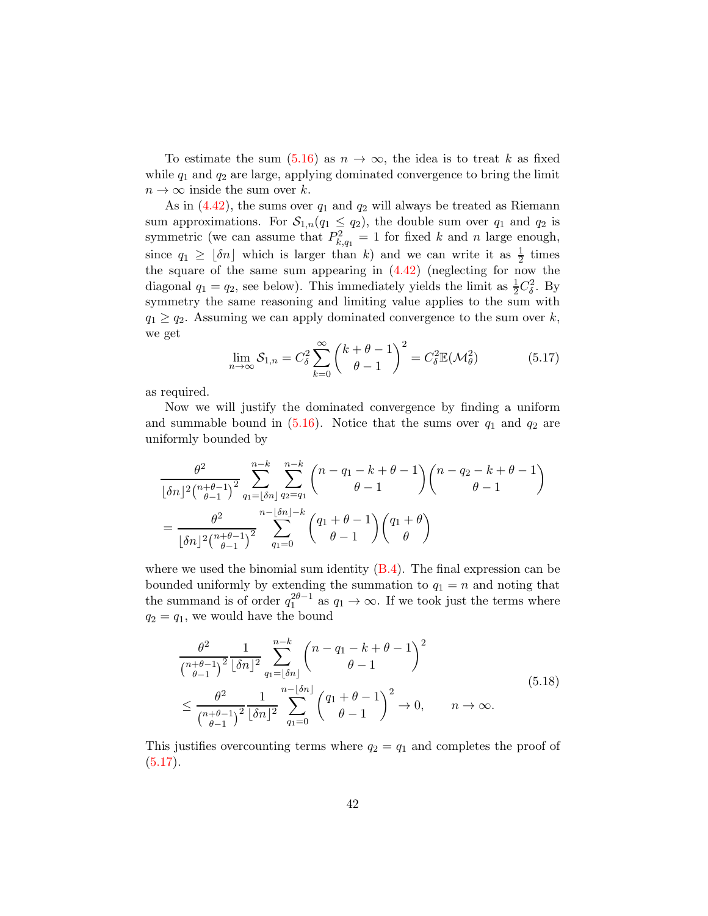To estimate the sum  $(5.16)$  as  $n \to \infty$ , the idea is to treat k as fixed while  $q_1$  and  $q_2$  are large, applying dominated convergence to bring the limit  $n \to \infty$  inside the sum over k.

As in  $(4.42)$ , the sums over  $q_1$  and  $q_2$  will always be treated as Riemann sum approximations. For  $S_{1,n}(q_1 \leq q_2)$ , the double sum over  $q_1$  and  $q_2$  is symmetric (we can assume that  $P_{k,q_1}^2 = 1$  for fixed k and n large enough, since  $q_1 \geq \lfloor \delta n \rfloor$  which is larger than k) and we can write it as  $\frac{1}{2}$  times the square of the same sum appearing in  $(4.42)$  (neglecting for now the diagonal  $q_1 = q_2$ , see below). This immediately yields the limit as  $\frac{1}{2}C_{\delta}^2$ . By symmetry the same reasoning and limiting value applies to the sum with  $q_1 \geq q_2$ . Assuming we can apply dominated convergence to the sum over k, we get

<span id="page-41-0"></span>
$$
\lim_{n \to \infty} S_{1,n} = C_{\delta}^2 \sum_{k=0}^{\infty} \binom{k+\theta-1}{\theta-1}^2 = C_{\delta}^2 \mathbb{E}(\mathcal{M}_{\theta}^2)
$$
(5.17)

as required.

Now we will justify the dominated convergence by finding a uniform and summable bound in  $(5.16)$ . Notice that the sums over  $q_1$  and  $q_2$  are uniformly bounded by

$$
\frac{\theta^2}{\lfloor \delta n \rfloor^2 \binom{n+\theta-1}{\theta-1}^2} \sum_{q_1=\lfloor \delta n \rfloor}^{n-k} \sum_{q_2=q_1}^{n-k} \binom{n-q_1-k+\theta-1}{\theta-1} \binom{n-q_2-k+\theta-1}{\theta-1}
$$

$$
= \frac{\theta^2}{\lfloor \delta n \rfloor^2 \binom{n+\theta-1}{\theta-1}^2} \sum_{q_1=0}^{n-\lfloor \delta n \rfloor-k} \binom{q_1+\theta-1}{\theta-1} \binom{q_1+\theta}{\theta}
$$

where we used the binomial sum identity  $(B.4)$ . The final expression can be bounded uniformly by extending the summation to  $q_1 = n$  and noting that the summand is of order  $q_1^{2\theta-1}$  as  $q_1 \to \infty$ . If we took just the terms where  $q_2 = q_1$ , we would have the bound

$$
\frac{\theta^2}{\binom{n+\theta-1}{\theta-1}^2} \frac{1}{\lfloor \delta n \rfloor^2} \sum_{q_1=\lfloor \delta n \rfloor}^{n-k} \binom{n-q_1-k+\theta-1}{\theta-1}^2
$$
\n
$$
\leq \frac{\theta^2}{\binom{n+\theta-1}{\theta-1}^2} \frac{1}{\lfloor \delta n \rfloor^2} \sum_{q_1=0}^{n-\lfloor \delta n \rfloor} \binom{q_1+\theta-1}{\theta-1}^2 \to 0, \qquad n \to \infty.
$$
\n(5.18)

This justifies overcounting terms where  $q_2 = q_1$  and completes the proof of  $(5.17).$  $(5.17).$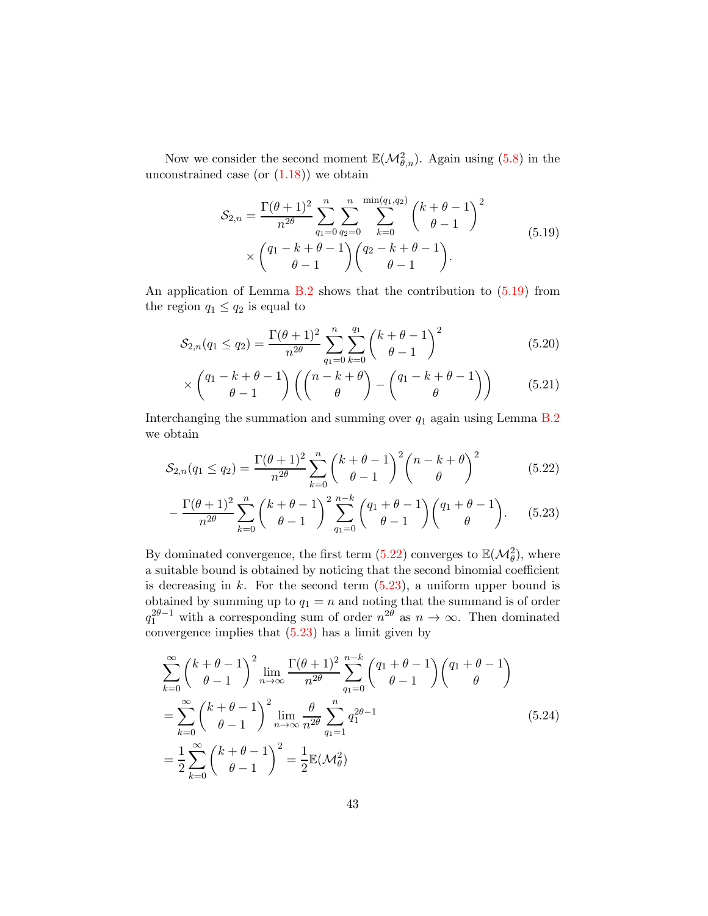Now we consider the second moment  $\mathbb{E}(\mathcal{M}_{\theta,n}^2)$ . Again using [\(5.8\)](#page-39-1) in the unconstrained case (or  $(1.18)$ ) we obtain

$$
S_{2,n} = \frac{\Gamma(\theta+1)^2}{n^{2\theta}} \sum_{q_1=0}^n \sum_{q_2=0}^n \sum_{k=0}^{\min(q_1, q_2)} \binom{k+\theta-1}{\theta-1}^2
$$
  
 
$$
\times \binom{q_1-k+\theta-1}{\theta-1} \binom{q_2-k+\theta-1}{\theta-1}.
$$
 (5.19)

<span id="page-42-0"></span>An application of Lemma  $B.2$  shows that the contribution to  $(5.19)$  from the region  $q_1 \leq q_2$  is equal to

$$
S_{2,n}(q_1 \le q_2) = \frac{\Gamma(\theta + 1)^2}{n^{2\theta}} \sum_{q_1=0}^n \sum_{k=0}^{q_1} {k + \theta - 1 \choose \theta - 1}^2
$$
(5.20)

<span id="page-42-1"></span>
$$
\times \begin{pmatrix} q_1 - k + \theta - 1 \\ \theta - 1 \end{pmatrix} \left( \begin{pmatrix} n - k + \theta \\ \theta \end{pmatrix} - \begin{pmatrix} q_1 - k + \theta - 1 \\ \theta \end{pmatrix} \right) \tag{5.21}
$$

Interchanging the summation and summing over  $q_1$  again using Lemma [B.2](#page-66-2) we obtain

$$
S_{2,n}(q_1 \le q_2) = \frac{\Gamma(\theta + 1)^2}{n^{2\theta}} \sum_{k=0}^n {k + \theta - 1 \choose \theta - 1}^2 {n - k + \theta \choose \theta}^2
$$
(5.22)

<span id="page-42-2"></span>
$$
-\frac{\Gamma(\theta+1)^2}{n^{2\theta}}\sum_{k=0}^n \binom{k+\theta-1}{\theta-1}^2 \sum_{q_1=0}^{n-k} \binom{q_1+\theta-1}{\theta-1} \binom{q_1+\theta-1}{\theta}.
$$
 (5.23)

By dominated convergence, the first term [\(5.22\)](#page-42-1) converges to  $\mathbb{E}(\mathcal{M}_{\theta}^2)$ , where a suitable bound is obtained by noticing that the second binomial coefficient is decreasing in  $k$ . For the second term  $(5.23)$ , a uniform upper bound is obtained by summing up to  $q_1 = n$  and noting that the summand is of order  $q_1^{2\theta-1}$  with a corresponding sum of order  $n^{2\theta}$  as  $n \to \infty$ . Then dominated convergence implies that  $(5.23)$  has a limit given by

$$
\sum_{k=0}^{\infty} {k + \theta - 1 \choose \theta - 1}^2 \lim_{n \to \infty} \frac{\Gamma(\theta + 1)^2}{n^{2\theta}} \sum_{q_1=0}^{n-k} {q_1 + \theta - 1 \choose \theta - 1} {q_1 + \theta - 1 \choose \theta}
$$
  
= 
$$
\sum_{k=0}^{\infty} {k + \theta - 1 \choose \theta - 1}^2 \lim_{n \to \infty} \frac{\theta}{n^{2\theta}} \sum_{q_1=1}^{n} q_1^{2\theta - 1}
$$
  
= 
$$
\frac{1}{2} \sum_{k=0}^{\infty} {k + \theta - 1 \choose \theta - 1}^2 = \frac{1}{2} \mathbb{E}(\mathcal{M}_{\theta}^2)
$$
(5.24)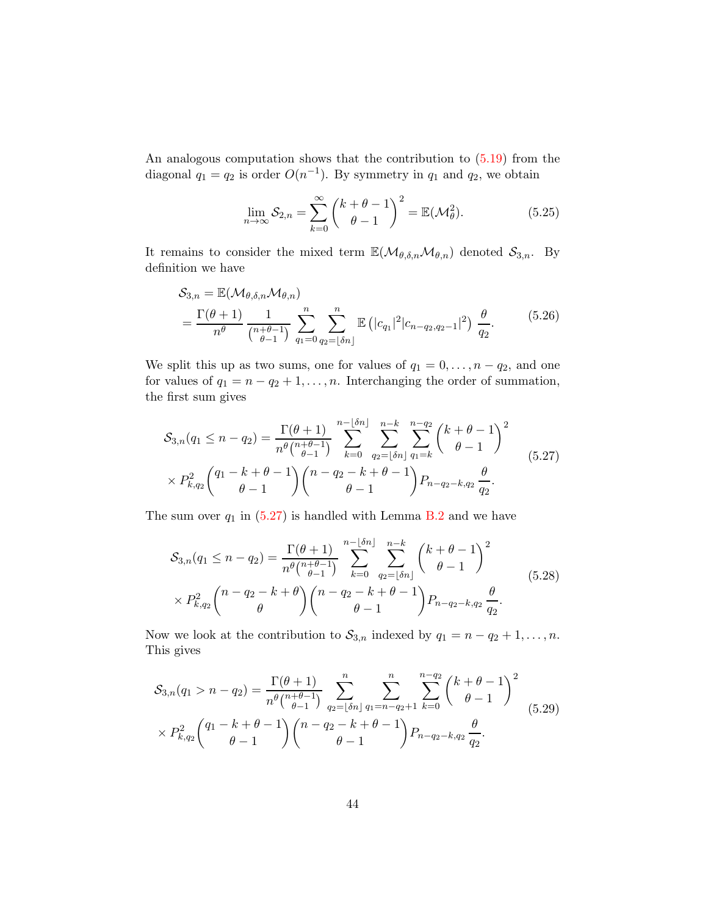An analogous computation shows that the contribution to [\(5.19\)](#page-42-0) from the diagonal  $q_1 = q_2$  is order  $O(n^{-1})$ . By symmetry in  $q_1$  and  $q_2$ , we obtain

$$
\lim_{n \to \infty} S_{2,n} = \sum_{k=0}^{\infty} {k + \theta - 1 \choose \theta - 1}^2 = \mathbb{E}(\mathcal{M}_{\theta}^2).
$$
 (5.25)

It remains to consider the mixed term  $\mathbb{E}(\mathcal{M}_{\theta,\delta,n}\mathcal{M}_{\theta,n})$  denoted  $\mathcal{S}_{3,n}$ . By definition we have

$$
S_{3,n} = \mathbb{E}(\mathcal{M}_{\theta,\delta,n}\mathcal{M}_{\theta,n})
$$
  
=  $\frac{\Gamma(\theta+1)}{n^{\theta}} \frac{1}{\binom{n+\theta-1}{\theta-1}} \sum_{q_1=0}^{n} \sum_{q_2=\lfloor \delta n \rfloor}^{n} \mathbb{E}(|c_{q_1}|^2 |c_{n-q_2,q_2-1}|^2) \frac{\theta}{q_2}.$  (5.26)

We split this up as two sums, one for values of  $q_1 = 0, \ldots, n - q_2$ , and one for values of  $q_1 = n - q_2 + 1, \ldots, n$ . Interchanging the order of summation, the first sum gives

<span id="page-43-0"></span>
$$
S_{3,n}(q_1 \leq n - q_2) = \frac{\Gamma(\theta + 1)}{n^{\theta} \binom{n + \theta - 1}{\theta - 1}} \sum_{k=0}^{n - \lfloor \delta n \rfloor} \sum_{q_2 = \lfloor \delta n \rfloor}^{n - k} \sum_{q_1 = k}^{n - q_2} \binom{k + \theta - 1}{\theta - 1}^2
$$
  
×  $P_{k,q_2}^2 \binom{q_1 - k + \theta - 1}{\theta - 1} \binom{n - q_2 - k + \theta - 1}{\theta - 1} P_{n - q_2 - k, q_2} \frac{\theta}{q_2}.$  (5.27)

The sum over  $q_1$  in [\(5.27\)](#page-43-0) is handled with Lemma [B.2](#page-66-2) and we have

<span id="page-43-1"></span>
$$
S_{3,n}(q_1 \le n - q_2) = \frac{\Gamma(\theta + 1)}{n^{\theta} {n + \theta - 1 \choose \theta - 1}} \sum_{k=0}^{n - \lfloor \delta n \rfloor} \sum_{q_2 = \lfloor \delta n \rfloor}^{n - k} {k + \theta - 1 \choose \theta - 1}^2
$$
  
×  $P_{k,q_2}^2 {n - q_2 - k + \theta \choose \theta} {n - q_2 - k + \theta - 1 \choose \theta - 1} P_{n - q_2 - k, q_2} \frac{\theta}{q_2}.$  (5.28)

Now we look at the contribution to  $S_{3,n}$  indexed by  $q_1 = n - q_2 + 1, \ldots, n$ . This gives

$$
S_{3,n}(q_1 > n - q_2) = \frac{\Gamma(\theta + 1)}{n^{\theta} \binom{n + \theta - 1}{\theta - 1}} \sum_{q_2 = \lfloor \delta n \rfloor}^{n} \sum_{q_1 = n - q_2 + 1}^{n} \sum_{k=0}^{n - q_2} \binom{k + \theta - 1}{\theta - 1}^2
$$
  
×  $P_{k,q_2}^2 \binom{q_1 - k + \theta - 1}{\theta - 1} \binom{n - q_2 - k + \theta - 1}{\theta - 1} P_{n - q_2 - k, q_2} \frac{\theta}{q_2}.$  (5.29)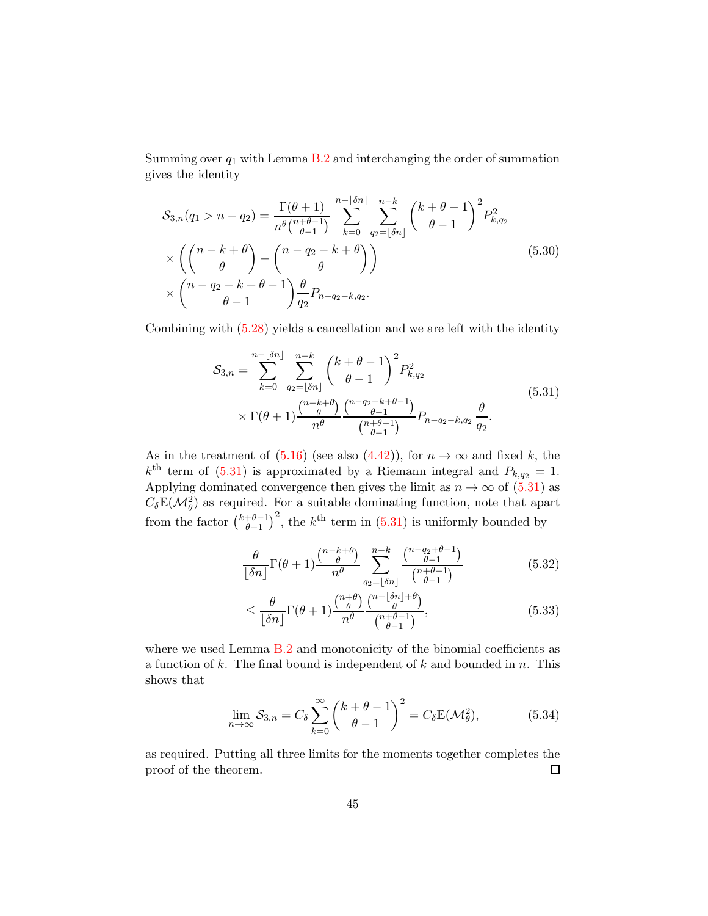Summing over  $q_1$  with Lemma [B.2](#page-66-2) and interchanging the order of summation gives the identity

$$
S_{3,n}(q_1 > n - q_2) = \frac{\Gamma(\theta + 1)}{n^{\theta} \binom{n + \theta - 1}{\theta - 1}} \sum_{k=0}^{n - \lfloor \delta n \rfloor} \sum_{q_2 = \lfloor \delta n \rfloor}^{n - k} \binom{k + \theta - 1}{\theta - 1}^2 P_{k,q_2}^2
$$
  
 
$$
\times \left( \binom{n - k + \theta}{\theta} - \binom{n - q_2 - k + \theta}{\theta} \right)
$$
  
 
$$
\times \binom{n - q_2 - k + \theta - 1}{\theta - 1} \frac{\theta}{q_2} P_{n - q_2 - k, q_2}.
$$
 (5.30)

<span id="page-44-0"></span>Combining with [\(5.28\)](#page-43-1) yields a cancellation and we are left with the identity

$$
S_{3,n} = \sum_{k=0}^{n-\lfloor \delta n \rfloor} \sum_{q_2=\lfloor \delta n \rfloor}^{n-k} {k+\theta-1 \choose \theta-1}^2 P_{k,q_2}^2
$$
  
 
$$
\times \Gamma(\theta+1) \frac{{n-k+\theta \choose \theta}}{{n^{\theta}} \choose {n-\theta-1 \choose \theta-1}} P_{n-q_2-k,q_2} \frac{\theta}{q_2}.
$$
 (5.31)

As in the treatment of  $(5.16)$  (see also  $(4.42)$ ), for  $n \to \infty$  and fixed k, the  $k^{\text{th}}$  term of [\(5.31\)](#page-44-0) is approximated by a Riemann integral and  $P_{k,q_2} = 1$ . Applying dominated convergence then gives the limit as  $n \to \infty$  of [\(5.31\)](#page-44-0) as  $C_{\delta} \mathbb{E}(\mathcal{M}_{\theta}^2)$  as required. For a suitable dominating function, note that apart from the factor  $\binom{k+\theta-1}{\theta-1}$  $\theta-1$  $\int_0^2$ , the k<sup>th</sup> term in [\(5.31\)](#page-44-0) is uniformly bounded by

$$
\frac{\theta}{\lfloor \delta n \rfloor} \Gamma(\theta + 1) \frac{\binom{n-k+\theta}{\theta}}{n^{\theta}} \sum_{q_2=\lfloor \delta n \rfloor}^{n-k} \frac{\binom{n-q_2+\theta-1}{\theta-1}}{\binom{n+\theta-1}{\theta-1}} \tag{5.32}
$$

$$
\leq \frac{\theta}{\lfloor \delta n \rfloor} \Gamma(\theta + 1) \frac{\binom{n+\theta}{\theta}}{n^{\theta}} \frac{\binom{n-\lfloor \delta n \rfloor + \theta}{\theta}}{\binom{n+\theta-1}{\theta-1}},\tag{5.33}
$$

where we used Lemma [B.2](#page-66-2) and monotonicity of the binomial coefficients as a function of  $k$ . The final bound is independent of  $k$  and bounded in  $n$ . This shows that

$$
\lim_{n \to \infty} S_{3,n} = C_{\delta} \sum_{k=0}^{\infty} {k + \theta - 1 \choose \theta - 1}^2 = C_{\delta} \mathbb{E}(\mathcal{M}_{\theta}^2),
$$
 (5.34)

as required. Putting all three limits for the moments together completes the proof of the theorem.  $\Box$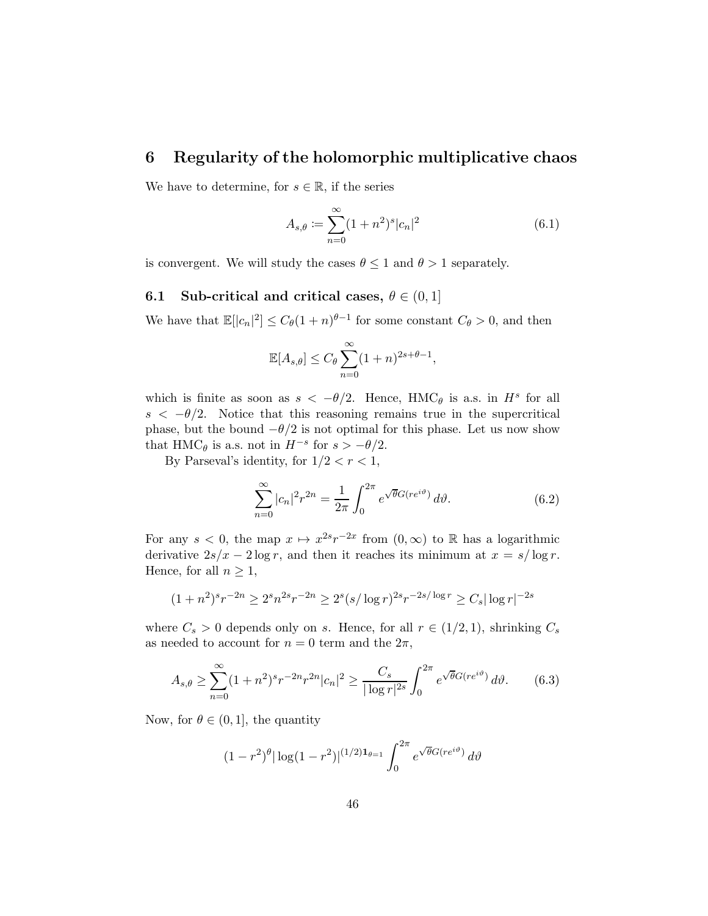### 6 Regularity of the holomorphic multiplicative chaos

We have to determine, for  $s \in \mathbb{R}$ , if the series

$$
A_{s,\theta} := \sum_{n=0}^{\infty} (1+n^2)^s |c_n|^2
$$
\n(6.1)

is convergent. We will study the cases  $\theta \leq 1$  and  $\theta > 1$  separately.

#### 6.1 Sub-critical and critical cases,  $\theta \in (0,1]$

We have that  $\mathbb{E}[|c_n|^2] \leq C_\theta (1+n)^{\theta-1}$  for some constant  $C_\theta > 0$ , and then

$$
\mathbb{E}[A_{s,\theta}] \le C_{\theta} \sum_{n=0}^{\infty} (1+n)^{2s+\theta-1},
$$

which is finite as soon as  $s < -\theta/2$ . Hence, HMC<sub> $\theta$ </sub> is a.s. in  $H^s$  for all  $s < -\theta/2$ . Notice that this reasoning remains true in the supercritical phase, but the bound  $-\theta/2$  is not optimal for this phase. Let us now show that HMC $_{\theta}$  is a.s. not in  $H^{-s}$  for  $s > -\theta/2$ .

By Parseval's identity, for  $1/2 < r < 1$ ,

$$
\sum_{n=0}^{\infty} |c_n|^2 r^{2n} = \frac{1}{2\pi} \int_0^{2\pi} e^{\sqrt{\theta} G(re^{i\vartheta})} d\vartheta.
$$
 (6.2)

For any  $s < 0$ , the map  $x \mapsto x^{2s}r^{-2x}$  from  $(0, \infty)$  to R has a logarithmic derivative  $2s/x - 2\log r$ , and then it reaches its minimum at  $x = s/\log r$ . Hence, for all  $n \geq 1$ ,

$$
(1+n^2)^s r^{-2n} \ge 2^s n^{2s} r^{-2n} \ge 2^s (s/\log r)^{2s} r^{-2s/\log r} \ge C_s |\log r|^{-2s}
$$

where  $C_s > 0$  depends only on s. Hence, for all  $r \in (1/2, 1)$ , shrinking  $C_s$ as needed to account for  $n = 0$  term and the  $2\pi$ ,

<span id="page-45-0"></span>
$$
A_{s,\theta} \ge \sum_{n=0}^{\infty} (1+n^2)^s r^{-2n} r^{2n} |c_n|^2 \ge \frac{C_s}{|\log r|^{2s}} \int_0^{2\pi} e^{\sqrt{\theta}G(re^{i\theta})} d\theta. \tag{6.3}
$$

Now, for  $\theta \in (0, 1]$ , the quantity

$$
(1 - r^2)^{\theta} |\log(1 - r^2)|^{(1/2)\mathbf{1}_{\theta=1}} \int_0^{2\pi} e^{\sqrt{\theta}G(re^{i\vartheta})} d\vartheta
$$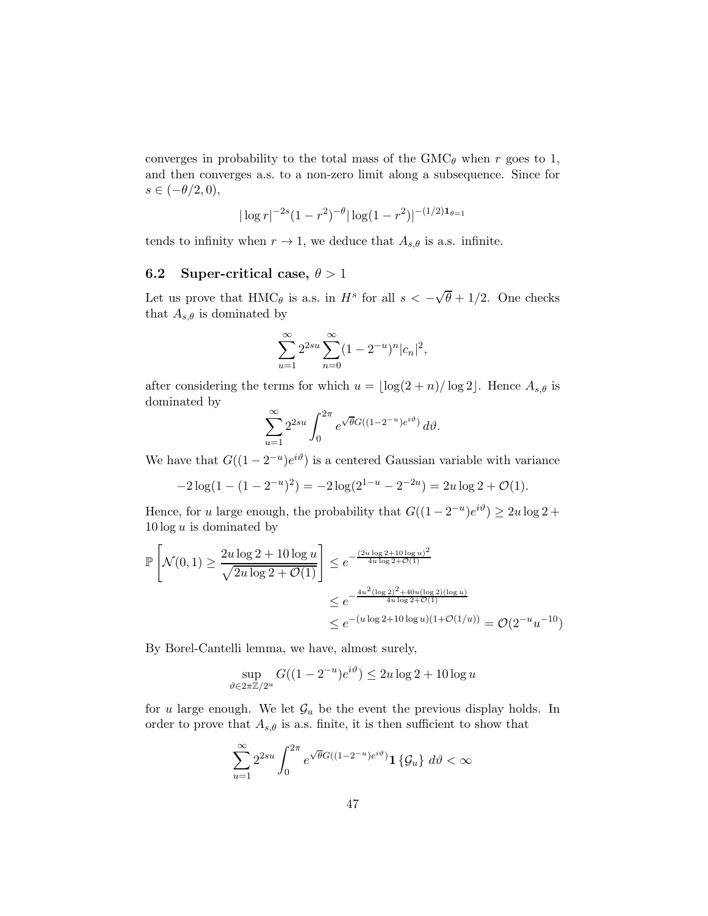converges in probability to the total mass of the  $GMC_{\theta}$  when r goes to 1, and then converges a.s. to a non-zero limit along a subsequence. Since for  $s \in (-\theta/2, 0),$ 

$$
|\log r|^{-2s} (1 - r^2)^{-\theta} |\log (1 - r^2)|^{-(1/2)\mathbf{1}_{\theta=1}}
$$

tends to infinity when  $r \to 1$ , we deduce that  $A_{s,\theta}$  is a.s. infinite.

#### 6.2 Super-critical case,  $\theta > 1$

Let us prove that  $HMC_\theta$  is a.s. in  $H^s$  for all  $s < -\sqrt{\theta} + 1/2$ . One checks that  $A_{s,\theta}$  is dominated by

$$
\sum_{u=1}^{\infty} 2^{2su} \sum_{n=0}^{\infty} (1 - 2^{-u})^n |c_n|^2,
$$

after considering the terms for which  $u = \lfloor \log(2 + n)/\log 2 \rfloor$ . Hence  $A_{s,\theta}$  is dominated by

$$
\sum_{u=1}^{\infty} 2^{2su} \int_0^{2\pi} e^{\sqrt{\theta}G((1-2^{-u})e^{i\vartheta})} d\vartheta.
$$

We have that  $G((1 - 2^{-u})e^{i\vartheta})$  is a centered Gaussian variable with variance

$$
-2\log(1 - (1 - 2^{-u})^2) = -2\log(2^{1-u} - 2^{-2u}) = 2u\log 2 + \mathcal{O}(1).
$$

Hence, for u large enough, the probability that  $G((1-2^{-u})e^{i\vartheta}) \ge 2u \log 2 +$  $10 \log u$  is dominated by

$$
\mathbb{P}\left[\mathcal{N}(0,1) \ge \frac{2u\log 2 + 10\log u}{\sqrt{2u\log 2 + \mathcal{O}(1)}}\right] \le e^{-\frac{(2u\log 2 + 10\log u)^2}{4u\log 2 + \mathcal{O}(1)}}
$$
  

$$
\le e^{-\frac{4u^2(\log 2)^2 + 40u(\log 2)(\log u)}{4u\log 2 + \mathcal{O}(1)}}
$$
  

$$
\le e^{-(u\log 2 + 10\log u)(1 + \mathcal{O}(1/u))} = \mathcal{O}(2^{-u}u^{-10})
$$

By Borel-Cantelli lemma, we have, almost surely,

$$
\sup_{\vartheta \in 2\pi \mathbb{Z}/2^u} G((1 - 2^{-u})e^{i\vartheta}) \le 2u \log 2 + 10 \log u
$$

for u large enough. We let  $\mathcal{G}_u$  be the event the previous display holds. In order to prove that  $A_{s,\theta}$  is a.s. finite, it is then sufficient to show that

$$
\sum_{u=1}^{\infty} 2^{2su} \int_0^{2\pi} e^{\sqrt{\theta}G((1-2^{-u})e^{i\vartheta})} \mathbf{1} \{\mathcal{G}_u\} d\vartheta < \infty
$$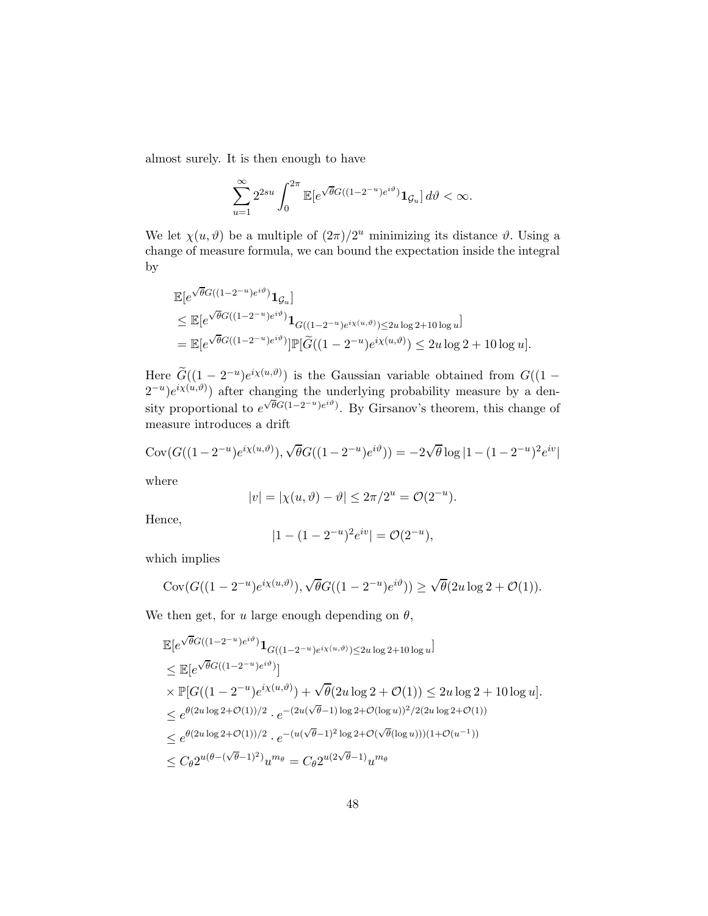almost surely. It is then enough to have

$$
\sum_{u=1}^{\infty} 2^{2su} \int_0^{2\pi} \mathbb{E}[e^{\sqrt{\theta}G((1-2^{-u})e^{i\vartheta})} \mathbf{1}_{\mathcal{G}_u}] d\vartheta < \infty.
$$

We let  $\chi(u, \vartheta)$  be a multiple of  $(2\pi)/2^u$  minimizing its distance  $\vartheta$ . Using a change of measure formula, we can bound the expectation inside the integral by

$$
\mathbb{E}[e^{\sqrt{\theta}G((1-2^{-u})e^{i\vartheta})}\mathbf{1}_{\mathcal{G}_u}]
$$
\n
$$
\leq \mathbb{E}[e^{\sqrt{\theta}G((1-2^{-u})e^{i\vartheta})}\mathbf{1}_{G((1-2^{-u})e^{i\chi(u,\vartheta)})\leq 2u\log 2+10\log u}]
$$
\n
$$
= \mathbb{E}[e^{\sqrt{\theta}G((1-2^{-u})e^{i\vartheta})}]\mathbb{P}[\widetilde{G}((1-2^{-u})e^{i\chi(u,\vartheta)})\leq 2u\log 2+10\log u].
$$

Here  $\widetilde{G}((1-2^{-u})e^{i\chi(u,\vartheta)})$  is the Gaussian variable obtained from  $G((1 (2^{-u})e^{i\chi(u,\vartheta)}$  after changing the underlying probability measure by a density proportional to  $e^{\sqrt{\theta}G(1-2^{-u})e^{i\vartheta}}$ . By Girsanov's theorem, this change of measure introduces a drift

$$
Cov(G((1 - 2^{-u})e^{i\chi(u,\vartheta)}), \sqrt{\theta}G((1 - 2^{-u})e^{i\vartheta})) = -2\sqrt{\theta}\log|1 - (1 - 2^{-u})^2e^{iv}|
$$

where

$$
|v| = |\chi(u, \vartheta) - \vartheta| \le 2\pi/2^u = \mathcal{O}(2^{-u}).
$$

Hence,

$$
|1 - (1 - 2^{-u})^2 e^{iv}| = \mathcal{O}(2^{-u}),
$$

which implies

$$
Cov(G((1-2^{-u})e^{i\chi(u,\vartheta)}), \sqrt{\theta}G((1-2^{-u})e^{i\vartheta})) \ge \sqrt{\theta}(2u\log 2 + \mathcal{O}(1)).
$$

We then get, for u large enough depending on  $\theta$ ,

$$
\mathbb{E}[e^{\sqrt{\theta}G((1-2^{-u})e^{i\vartheta})}\mathbf{1}_{G((1-2^{-u})e^{i\chi(u,\vartheta)})\leq 2u \log 2+10 \log u}]
$$
\n
$$
\leq \mathbb{E}[e^{\sqrt{\theta}G((1-2^{-u})e^{i\vartheta})}]
$$
\n
$$
\times \mathbb{P}[G((1-2^{-u})e^{i\chi(u,\vartheta)}) + \sqrt{\theta}(2u \log 2 + \mathcal{O}(1)) \leq 2u \log 2 + 10 \log u].
$$
\n
$$
\leq e^{\theta(2u \log 2+\mathcal{O}(1))/2} \cdot e^{-(2u(\sqrt{\theta}-1)\log 2+\mathcal{O}(\log u))^2/2(2u \log 2+\mathcal{O}(1))}
$$
\n
$$
\leq e^{\theta(2u \log 2+\mathcal{O}(1))/2} \cdot e^{-(u(\sqrt{\theta}-1)^2 \log 2+\mathcal{O}(\sqrt{\theta}(\log u)))(1+\mathcal{O}(u^{-1}))}
$$
\n
$$
\leq C_{\theta}2^{u(\theta-(\sqrt{\theta}-1)^2)}u^{m_{\theta}} = C_{\theta}2^{u(2\sqrt{\theta}-1)}u^{m_{\theta}}
$$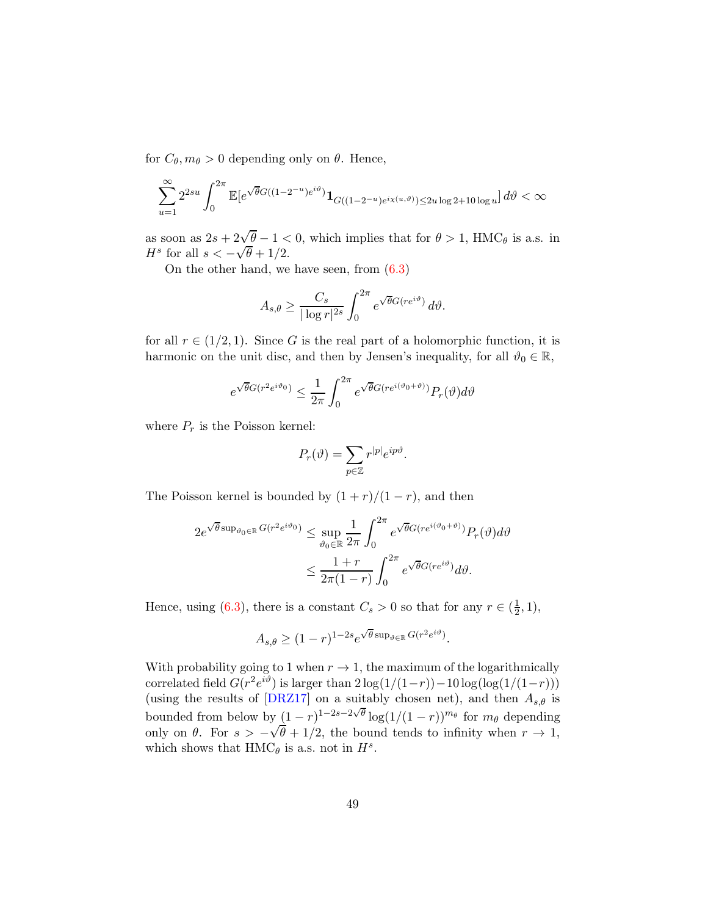for  $C_{\theta}, m_{\theta} > 0$  depending only on  $\theta$ . Hence,

$$
\sum_{u=1}^{\infty} 2^{2su} \int_0^{2\pi} \mathbb{E}[e^{\sqrt{\theta}G((1-2^{-u})e^{i\vartheta})} \mathbf{1}_{G((1-2^{-u})e^{i\chi(u,\vartheta)}) \le 2u \log 2 + 10 \log u}] d\vartheta < \infty
$$

as soon as  $2s + 2\sqrt{\theta} - 1 < 0$ , which implies that for  $\theta > 1$ , HMC<sub> $\theta$ </sub> is a.s. in  $H^s$  for all  $s < -\sqrt{\theta} + 1/2$ .

On the other hand, we have seen, from  $(6.3)$ 

$$
A_{s,\theta} \ge \frac{C_s}{|\log r|^{2s}} \int_0^{2\pi} e^{\sqrt{\theta}G(re^{i\vartheta})} d\vartheta.
$$

for all  $r \in (1/2, 1)$ . Since G is the real part of a holomorphic function, it is harmonic on the unit disc, and then by Jensen's inequality, for all  $\vartheta_0 \in \mathbb{R}$ ,

$$
e^{\sqrt{\theta}G(r^2e^{i\vartheta_0})}\leq \frac{1}{2\pi}\int_0^{2\pi}e^{\sqrt{\theta}G(re^{i(\vartheta_0+\vartheta)})}P_r(\vartheta)d\vartheta
$$

where  $P_r$  is the Poisson kernel:

$$
P_r(\vartheta) = \sum_{p \in \mathbb{Z}} r^{|p|} e^{ip\vartheta}.
$$

The Poisson kernel is bounded by  $(1 + r)/(1 - r)$ , and then

$$
2e^{\sqrt{\theta}\sup_{\vartheta_0\in\mathbb{R}}G(r^2e^{i\vartheta_0})} \leq \sup_{\vartheta_0\in\mathbb{R}}\frac{1}{2\pi}\int_0^{2\pi}e^{\sqrt{\theta}G(re^{i(\vartheta_0+\vartheta)})}P_r(\vartheta)d\vartheta
$$
  

$$
\leq \frac{1+r}{2\pi(1-r)}\int_0^{2\pi}e^{\sqrt{\theta}G(re^{i\vartheta})}d\vartheta.
$$

Hence, using [\(6.3\)](#page-45-0), there is a constant  $C_s > 0$  so that for any  $r \in (\frac{1}{2})$  $(\frac{1}{2}, 1),$ 

$$
A_{s,\theta} \ge (1-r)^{1-2s} e^{\sqrt{\theta} \sup_{\vartheta \in \mathbb{R}} G(r^2 e^{i\vartheta})}.
$$

With probability going to 1 when  $r \to 1$ , the maximum of the logarithmically correlated field  $G(r^2 e^{i\vartheta})$  is larger than  $2\log(1/(1-r)) - 10\log(\log(1/(1-r)))$ (using the results of [\[DRZ17\]](#page-69-0) on a suitably chosen net), and then  $A_{s,\theta}$  is bounded from below by  $(1 - r)^{1-2s-2\sqrt{\theta}} \log(1/(1-r))^{m_\theta}$  for  $m_\theta$  depending only on  $\theta$ . For  $s > -\sqrt{\theta} + 1/2$ , the bound tends to infinity when  $r \to 1$ , which shows that  $HMC_\theta$  is a.s. not in  $H^s$ .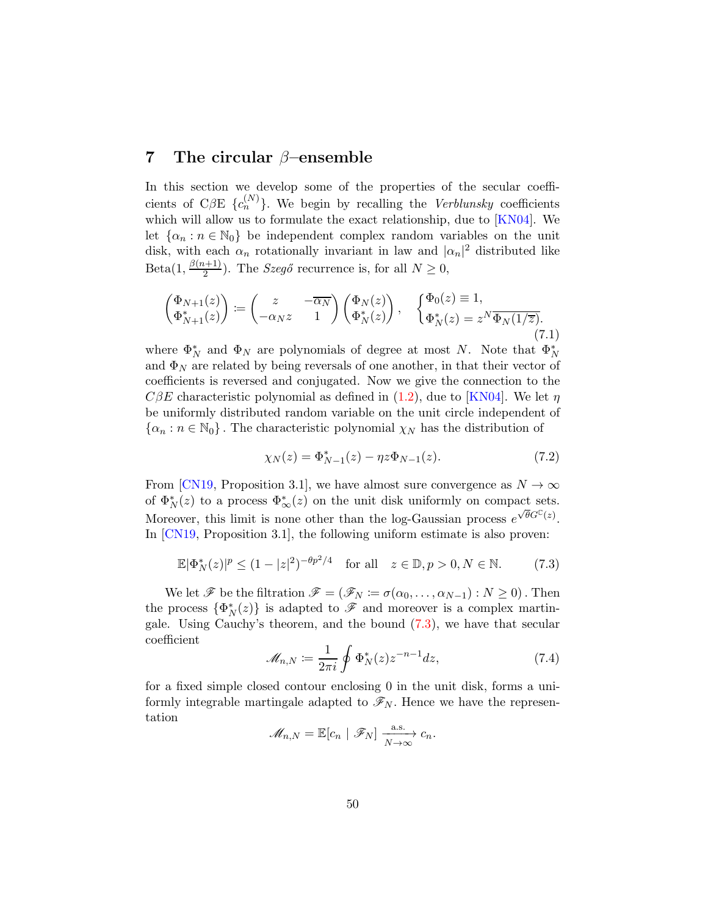### 7 The circular  $\beta$ –ensemble

In this section we develop some of the properties of the secular coefficients of CβE  $\{c_n^{(N)}\}$ . We begin by recalling the *Verblunsky* coefficients which will allow us to formulate the exact relationship, due to [\[KN04\]](#page-70-0). We let  $\{\alpha_n : n \in \mathbb{N}_0\}$  be independent complex random variables on the unit disk, with each  $\alpha_n$  rotationally invariant in law and  $|\alpha_n|^2$  distributed like  $Beta(1, \frac{\beta(n+1)}{2})$  $\frac{(k+1)}{2}$ ). The *Szegő* recurrence is, for all  $N \geq 0$ ,

<span id="page-49-1"></span>
$$
\begin{pmatrix}\n\Phi_{N+1}(z) \\
\Phi_{N+1}^*(z)\n\end{pmatrix} := \begin{pmatrix}\nz & -\overline{\alpha_N} \\
-\alpha_N z & 1\n\end{pmatrix} \begin{pmatrix}\n\Phi_N(z) \\
\Phi_N^*(z)\n\end{pmatrix}, \quad\n\begin{cases}\n\Phi_0(z) \equiv 1, \\
\Phi_N^*(z) = z^N \overline{\Phi_N(1/\overline{z})}.\n\end{cases}
$$
\n(7.1)

where  $\Phi_N^*$  and  $\Phi_N$  are polynomials of degree at most N. Note that  $\Phi_N^*$ and  $\Phi_N$  are related by being reversals of one another, in that their vector of coefficients is reversed and conjugated. Now we give the connection to the  $C\beta E$  characteristic polynomial as defined in [\(1.2\)](#page-1-0), due to [\[KN04\]](#page-70-0). We let  $\eta$ be uniformly distributed random variable on the unit circle independent of  $\{\alpha_n : n \in \mathbb{N}_0\}$ . The characteristic polynomial  $\chi_N$  has the distribution of

<span id="page-49-3"></span>
$$
\chi_N(z) = \Phi_{N-1}^*(z) - \eta z \Phi_{N-1}(z). \tag{7.2}
$$

From [\[CN19,](#page-68-0) Proposition 3.1], we have almost sure convergence as  $N \to \infty$ of  $\Phi_N^*(z)$  to a process  $\Phi_\infty^*(z)$  on the unit disk uniformly on compact sets. Moreover, this limit is none other than the log-Gaussian process  $e^{\sqrt{\theta}G^{\mathbb{C}}(z)}$ . In [\[CN19,](#page-68-0) Proposition 3.1], the following uniform estimate is also proven:

<span id="page-49-0"></span>
$$
\mathbb{E}|\Phi_N^*(z)|^p \le (1-|z|^2)^{-\theta p^2/4} \quad \text{for all} \quad z \in \mathbb{D}, p > 0, N \in \mathbb{N}.
$$
 (7.3)

We let  $\mathscr F$  be the filtration  $\mathscr F = (\mathscr F_N \coloneqq \sigma(\alpha_0, \ldots, \alpha_{N-1}): N \geq 0)$ . Then the process  $\{\Phi_N^*(z)\}\$ is adapted to  $\mathscr F$  and moreover is a complex martingale. Using Cauchy's theorem, and the bound [\(7.3\)](#page-49-0), we have that secular coefficient

<span id="page-49-2"></span>
$$
\mathcal{M}_{n,N} \coloneqq \frac{1}{2\pi i} \oint \Phi_N^*(z) z^{-n-1} dz,\tag{7.4}
$$

for a fixed simple closed contour enclosing 0 in the unit disk, forms a uniformly integrable martingale adapted to  $\mathscr{F}_N$ . Hence we have the representation

$$
\mathscr{M}_{n,N} = \mathbb{E}[c_n \mid \mathscr{F}_N] \xrightarrow[N \to \infty]{\text{a.s.}} c_n.
$$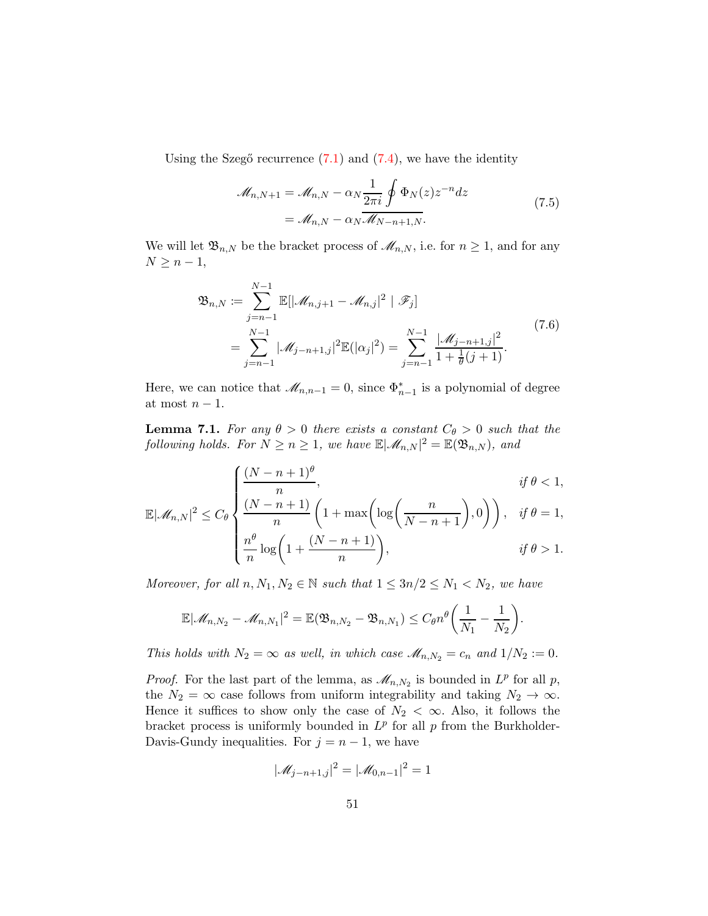Using the Szegő recurrence  $(7.1)$  and  $(7.4)$ , we have the identity

$$
\mathcal{M}_{n,N+1} = \mathcal{M}_{n,N} - \alpha_N \frac{1}{2\pi i} \oint \Phi_N(z) z^{-n} dz
$$
\n
$$
= \mathcal{M}_{n,N} - \alpha_N \mathcal{M}_{N-n+1,N}.
$$
\n(7.5)

We will let  $\mathfrak{B}_{n,N}$  be the bracket process of  $\mathcal{M}_{n,N}$ , i.e. for  $n \geq 1$ , and for any  $N \geq n-1$ ,

$$
\mathfrak{B}_{n,N} := \sum_{j=n-1}^{N-1} \mathbb{E}[|\mathcal{M}_{n,j+1} - \mathcal{M}_{n,j}|^2 | \mathcal{F}_j]
$$
  
= 
$$
\sum_{j=n-1}^{N-1} |\mathcal{M}_{j-n+1,j}|^2 \mathbb{E}(|\alpha_j|^2) = \sum_{j=n-1}^{N-1} \frac{|\mathcal{M}_{j-n+1,j}|^2}{1 + \frac{1}{\theta}(j+1)}.
$$
 (7.6)

Here, we can notice that  $\mathcal{M}_{n,n-1} = 0$ , since  $\Phi_{n-1}^*$  is a polynomial of degree at most  $n-1$ .

<span id="page-50-0"></span>**Lemma 7.1.** For any  $\theta > 0$  there exists a constant  $C_{\theta} > 0$  such that the following holds. For  $N \ge n \ge 1$ , we have  $\mathbb{E}|\mathscr{M}_{n,N}|^2 = \mathbb{E}(\mathfrak{B}_{n,N})$ , and

$$
\left\{\frac{(N-n+1)^{\theta}}{n}, \quad \text{if } \theta < 1, \dots, \left(\frac{N-n+1}{N}\right) \left(1+\frac{N}{N}\right) \log\left(\frac{n}{N}\right)\right\} \quad \text{if } \theta = 1.
$$

$$
\mathbb{E}|\mathcal{M}_{n,N}|^2 \leq C_\theta \left\{ \frac{(N-n+1)}{n} \left(1 + \max\left(\log\left(\frac{n}{N-n+1}\right), 0\right)\right), \quad \text{if } \theta = 1, \\ \frac{n^{\theta}}{n} \log\left(1 + \frac{(N-n+1)}{n}\right), \quad \text{if } \theta > 1.
$$

Moreover, for all  $n, N_1, N_2 \in \mathbb{N}$  such that  $1 \leq 3n/2 \leq N_1 < N_2$ , we have

$$
\mathbb{E}|\mathscr{M}_{n,N_2}-\mathscr{M}_{n,N_1}|^2=\mathbb{E}(\mathfrak{B}_{n,N_2}-\mathfrak{B}_{n,N_1})\leq C_\theta n^\theta\bigg(\frac{1}{N_1}-\frac{1}{N_2}\bigg).
$$

This holds with  $N_2 = \infty$  as well, in which case  $\mathcal{M}_{n,N_2} = c_n$  and  $1/N_2 := 0$ .

*Proof.* For the last part of the lemma, as  $\mathcal{M}_{n,N_2}$  is bounded in  $L^p$  for all p, the  $N_2 = \infty$  case follows from uniform integrability and taking  $N_2 \to \infty$ . Hence it suffices to show only the case of  $N_2 < \infty$ . Also, it follows the bracket process is uniformly bounded in  $L^p$  for all p from the Burkholder-Davis-Gundy inequalities. For  $j = n - 1$ , we have

$$
|\mathcal{M}_{j-n+1,j}|^2 = |\mathcal{M}_{0,n-1}|^2 = 1
$$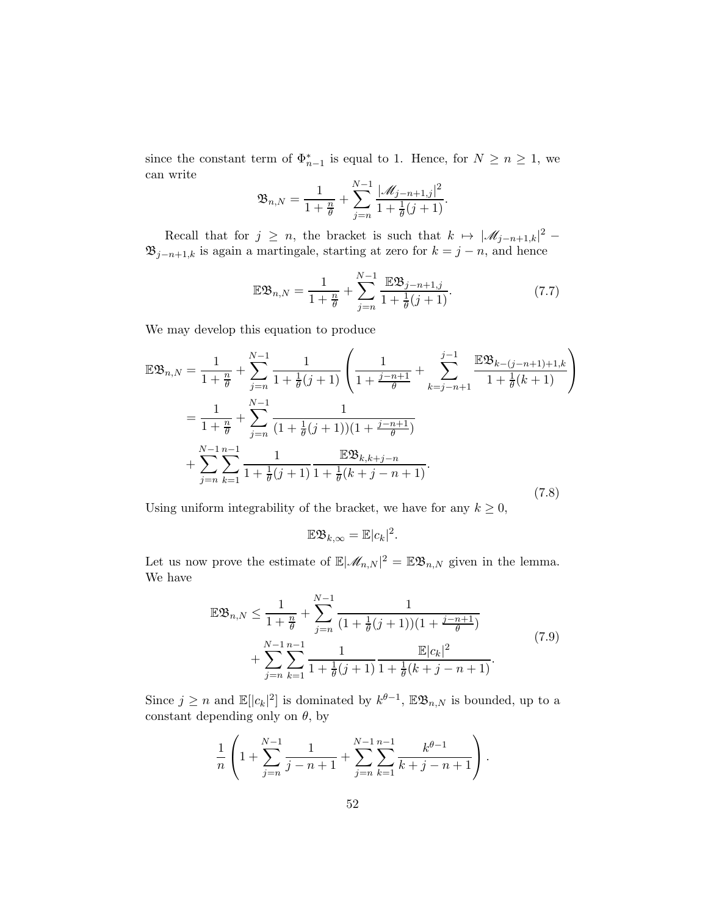since the constant term of  $\Phi_{n-1}^*$  is equal to 1. Hence, for  $N \geq n \geq 1$ , we can write

$$
\mathfrak{B}_{n,N} = \frac{1}{1+\frac{n}{\theta}} + \sum_{j=n}^{N-1} \frac{|\mathscr{M}_{j-n+1,j}|^2}{1+\frac{1}{\theta}(j+1)}.
$$

Recall that for  $j \geq n$ , the bracket is such that  $k \mapsto |\mathscr{M}_{j-n+1,k}|^2$  - $\mathfrak{B}_{j-n+1,k}$  is again a martingale, starting at zero for  $k = j - n$ , and hence

$$
\mathbb{E}\mathfrak{B}_{n,N} = \frac{1}{1+\frac{n}{\theta}} + \sum_{j=n}^{N-1} \frac{\mathbb{E}\mathfrak{B}_{j-n+1,j}}{1+\frac{1}{\theta}(j+1)}.
$$
 (7.7)

We may develop this equation to produce

$$
\mathbb{E}\mathfrak{B}_{n,N} = \frac{1}{1+\frac{n}{\theta}} + \sum_{j=n}^{N-1} \frac{1}{1+\frac{1}{\theta}(j+1)} \left( \frac{1}{1+\frac{j-n+1}{\theta}} + \sum_{k=j-n+1}^{j-1} \frac{\mathbb{E}\mathfrak{B}_{k-(j-n+1)+1,k}}{1+\frac{1}{\theta}(k+1)} \right)
$$
  

$$
= \frac{1}{1+\frac{n}{\theta}} + \sum_{j=n}^{N-1} \frac{1}{(1+\frac{1}{\theta}(j+1))(1+\frac{j-n+1}{\theta})}
$$
  

$$
+ \sum_{j=n}^{N-1} \sum_{k=1}^{n-1} \frac{1}{1+\frac{1}{\theta}(j+1)} \frac{\mathbb{E}\mathfrak{B}_{k,k+j-n}}{1+\frac{1}{\theta}(k+j-n+1)}.
$$
 (7.8)

Using uniform integrability of the bracket, we have for any  $k \geq 0$ ,

$$
\mathbb{E}\mathfrak{B}_{k,\infty} = \mathbb{E}|c_k|^2.
$$

Let us now prove the estimate of  $\mathbb{E}|\mathscr{M}_{n,N}|^2 = \mathbb{E}\mathfrak{B}_{n,N}$  given in the lemma. We have

$$
\mathbb{E}\mathfrak{B}_{n,N} \leq \frac{1}{1+\frac{n}{\theta}} + \sum_{j=n}^{N-1} \frac{1}{(1+\frac{1}{\theta}(j+1))(1+\frac{j-n+1}{\theta})} + \sum_{j=n}^{N-1} \sum_{k=1}^{n-1} \frac{1}{1+\frac{1}{\theta}(j+1)} \frac{\mathbb{E}|c_k|^2}{1+\frac{1}{\theta}(k+j-n+1)}.
$$
\n(7.9)

Since  $j \geq n$  and  $\mathbb{E}[|c_k|^2]$  is dominated by  $k^{\theta-1}$ ,  $\mathbb{E} \mathfrak{B}_{n,N}$  is bounded, up to a constant depending only on  $\theta$ , by

$$
\frac{1}{n} \left( 1 + \sum_{j=n}^{N-1} \frac{1}{j-n+1} + \sum_{j=n}^{N-1} \sum_{k=1}^{n-1} \frac{k^{\theta-1}}{k+j-n+1} \right).
$$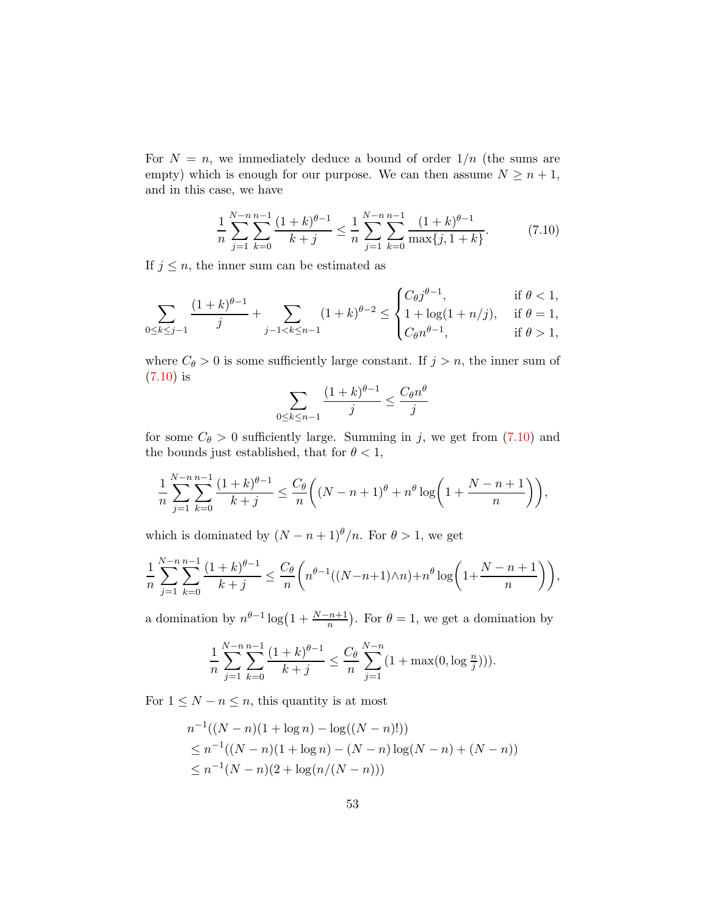For  $N = n$ , we immediately deduce a bound of order  $1/n$  (the sums are empty) which is enough for our purpose. We can then assume  $N \geq n+1$ , and in this case, we have

<span id="page-52-0"></span>
$$
\frac{1}{n} \sum_{j=1}^{N-n} \sum_{k=0}^{n-1} \frac{(1+k)^{\theta-1}}{k+j} \le \frac{1}{n} \sum_{j=1}^{N-n} \sum_{k=0}^{n-1} \frac{(1+k)^{\theta-1}}{\max\{j, 1+k\}}.
$$
 (7.10)

If  $j \leq n$ , the inner sum can be estimated as

$$
\sum_{0 \le k \le j-1} \frac{(1+k)^{\theta-1}}{j} + \sum_{j-1 < k \le n-1} (1+k)^{\theta-2} \le \begin{cases} C_{\theta} j^{\theta-1}, & \text{if } \theta < 1, \\ 1 + \log(1+n/j), & \text{if } \theta = 1, \\ C_{\theta} n^{\theta-1}, & \text{if } \theta > 1, \end{cases}
$$

where  $C_{\theta} > 0$  is some sufficiently large constant. If  $j > n$ , the inner sum of [\(7.10\)](#page-52-0) is

$$
\sum_{0 \le k \le n-1} \frac{(1+k)^{\theta-1}}{j} \le \frac{C_{\theta} n^{\theta}}{j}
$$

for some  $C_{\theta} > 0$  sufficiently large. Summing in j, we get from [\(7.10\)](#page-52-0) and the bounds just established, that for  $\theta < 1$ ,

$$
\frac{1}{n} \sum_{j=1}^{N-n} \sum_{k=0}^{n-1} \frac{(1+k)^{\theta-1}}{k+j} \le \frac{C_{\theta}}{n} \left( (N-n+1)^{\theta} + n^{\theta} \log \left( 1 + \frac{N-n+1}{n} \right) \right),
$$

which is dominated by  $(N - n + 1)^\theta/n$ . For  $\theta > 1$ , we get

$$
\frac{1}{n}\sum_{j=1}^{N-n}\sum_{k=0}^{n-1}\frac{(1+k)^{\theta-1}}{k+j}\leq \frac{C_\theta}{n}\bigg(n^{\theta-1}((N-n+1)\wedge n)+n^\theta\log\bigg(1+\frac{N-n+1}{n}\bigg)\bigg),
$$

a domination by  $n^{\theta-1} \log(1 + \frac{N-n+1}{n})$ . For  $\theta = 1$ , we get a domination by

$$
\frac{1}{n}\sum_{j=1}^{N-n}\sum_{k=0}^{n-1}\frac{(1+k)^{\theta-1}}{k+j} \le \frac{C_{\theta}}{n}\sum_{j=1}^{N-n}(1+\max(0,\log\frac{n}{j}))).
$$

For  $1 \leq N - n \leq n$ , this quantity is at most

$$
n^{-1}((N-n)(1+\log n) - \log((N-n)!))
$$
  
\n
$$
\leq n^{-1}((N-n)(1+\log n) - (N-n)\log(N-n) + (N-n))
$$
  
\n
$$
\leq n^{-1}(N-n)(2+\log(n/(N-n)))
$$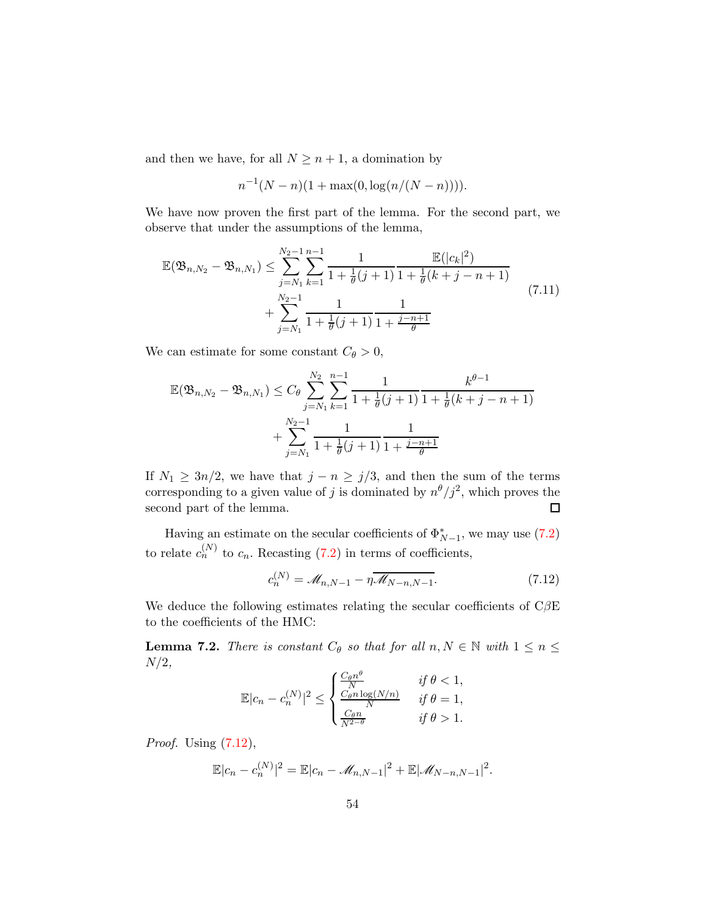and then we have, for all  $N \geq n+1$ , a domination by

$$
n^{-1}(N-n)(1+\max(0,\log(n/(N-n))))
$$

We have now proven the first part of the lemma. For the second part, we observe that under the assumptions of the lemma,

$$
\mathbb{E}(\mathfrak{B}_{n,N_2} - \mathfrak{B}_{n,N_1}) \le \sum_{j=N_1}^{N_2-1} \sum_{k=1}^{n-1} \frac{1}{1 + \frac{1}{\theta}(j+1)} \frac{\mathbb{E}(|c_k|^2)}{1 + \frac{1}{\theta}(k+j-n+1)} + \sum_{j=N_1}^{N_2-1} \frac{1}{1 + \frac{1}{\theta}(j+1)} \frac{1}{1 + \frac{j-n+1}{\theta}}
$$
\n(7.11)

We can estimate for some constant  $C_{\theta} > 0$ ,

$$
\mathbb{E}(\mathfrak{B}_{n,N_2} - \mathfrak{B}_{n,N_1}) \leq C_{\theta} \sum_{j=N_1}^{N_2} \sum_{k=1}^{n-1} \frac{1}{1 + \frac{1}{\theta}(j+1)} \frac{k^{\theta-1}}{1 + \frac{1}{\theta}(k+j-n+1)} + \sum_{j=N_1}^{N_2-1} \frac{1}{1 + \frac{1}{\theta}(j+1)} \frac{1}{1 + \frac{j-n+1}{\theta}}
$$

If  $N_1 \geq 3n/2$ , we have that  $j - n \geq j/3$ , and then the sum of the terms corresponding to a given value of j is dominated by  $n^{\theta}/j^2$ , which proves the second part of the lemma.  $\Box$ 

Having an estimate on the secular coefficients of  $\Phi_{N-1}^*$ , we may use [\(7.2\)](#page-49-3)  $N-1$ to relate  $c_n^{(N)}$  to  $c_n$ . Recasting [\(7.2\)](#page-49-3) in terms of coefficients,

<span id="page-53-0"></span>
$$
c_n^{(N)} = \mathcal{M}_{n,N-1} - \eta \overline{\mathcal{M}_{N-n,N-1}}.
$$
 (7.12)

We deduce the following estimates relating the secular coefficients of  $\mathrm{C}\beta\mathrm{E}$ to the coefficients of the HMC:

<span id="page-53-1"></span>**Lemma 7.2.** There is constant  $C_{\theta}$  so that for all  $n, N \in \mathbb{N}$  with  $1 \leq n \leq$  $N/2$ ,

$$
\mathbb{E}|c_n - c_n^{(N)}|^2 \le \begin{cases} \frac{C_\theta n^\theta}{N} & \text{if } \theta < 1, \\ \frac{C_\theta n \log(N/n)}{N} & \text{if } \theta = 1, \\ \frac{C_\theta n}{N^{2-\theta}} & \text{if } \theta > 1. \end{cases}
$$

Proof. Using [\(7.12\)](#page-53-0),

$$
\mathbb{E}|c_n - c_n^{(N)}|^2 = \mathbb{E}|c_n - \mathcal{M}_{n,N-1}|^2 + \mathbb{E}|\mathcal{M}_{N-n,N-1}|^2.
$$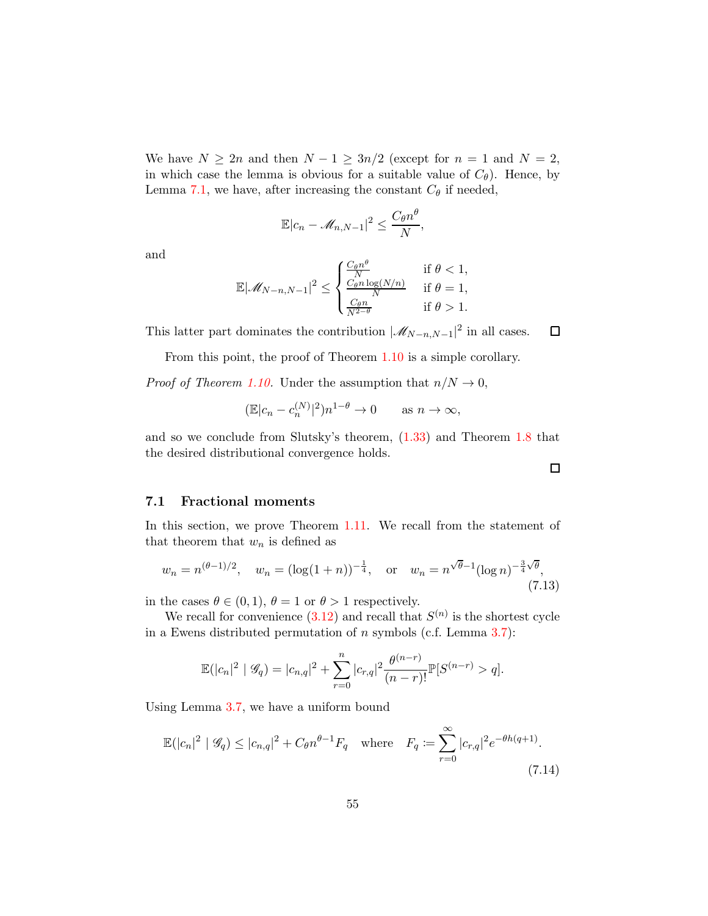We have  $N \geq 2n$  and then  $N - 1 \geq 3n/2$  (except for  $n = 1$  and  $N = 2$ , in which case the lemma is obvious for a suitable value of  $C_{\theta}$ ). Hence, by Lemma [7.1,](#page-50-0) we have, after increasing the constant  $C_{\theta}$  if needed,

$$
\mathbb{E}|c_n - \mathcal{M}_{n,N-1}|^2 \le \frac{C_\theta n^\theta}{N},
$$

and

$$
\mathbb{E}|\mathscr{M}_{N-n,N-1}|^2 \leq \begin{cases} \frac{C_{\theta}n^{\theta}}{N} & \text{if } \theta < 1, \\ \frac{C_{\theta}n\log(N/n)}{N} & \text{if } \theta = 1, \\ \frac{C_{\theta}n}{N^{2-\theta}} & \text{if } \theta > 1. \end{cases}
$$

This latter part dominates the contribution  $|\mathcal{M}_{N-n,N-1}|^2$  in all cases.  $\Box$ 

From this point, the proof of Theorem [1.10](#page-11-2) is a simple corollary.

*Proof of Theorem [1.10.](#page-11-2)* Under the assumption that  $n/N \to 0$ ,

$$
(\mathbb{E}|c_n - c_n^{(N)}|^2)n^{1-\theta} \to 0 \quad \text{as } n \to \infty,
$$

and so we conclude from Slutsky's theorem, [\(1.33\)](#page-11-3) and Theorem [1.8](#page-9-0) that the desired distributional convergence holds.

#### 7.1 Fractional moments

In this section, we prove Theorem [1.11.](#page-12-0) We recall from the statement of that theorem that  $w_n$  is defined as

<span id="page-54-0"></span>
$$
w_n = n^{(\theta - 1)/2}, \quad w_n = (\log(1 + n))^{-\frac{1}{4}}, \quad \text{or} \quad w_n = n^{\sqrt{\theta} - 1} (\log n)^{-\frac{3}{4}\sqrt{\theta}}, \tag{7.13}
$$

in the cases  $\theta \in (0, 1)$ ,  $\theta = 1$  or  $\theta > 1$  respectively.

We recall for convenience  $(3.12)$  and recall that  $S^{(n)}$  is the shortest cycle in a Ewens distributed permutation of n symbols (c.f. Lemma [3.7\)](#page-28-0):

$$
\mathbb{E}(|c_n|^2 \mid \mathscr{G}_q) = |c_{n,q}|^2 + \sum_{r=0}^n |c_{r,q}|^2 \frac{\theta^{(n-r)}}{(n-r)!} \mathbb{P}[S^{(n-r)} > q].
$$

Using Lemma [3.7,](#page-28-0) we have a uniform bound

<span id="page-54-1"></span>
$$
\mathbb{E}(|c_n|^2 \mid \mathcal{G}_q) \le |c_{n,q}|^2 + C_{\theta} n^{\theta - 1} F_q \quad \text{where} \quad F_q := \sum_{r=0}^{\infty} |c_{r,q}|^2 e^{-\theta h(q+1)}.
$$
\n(7.14)

 $\Box$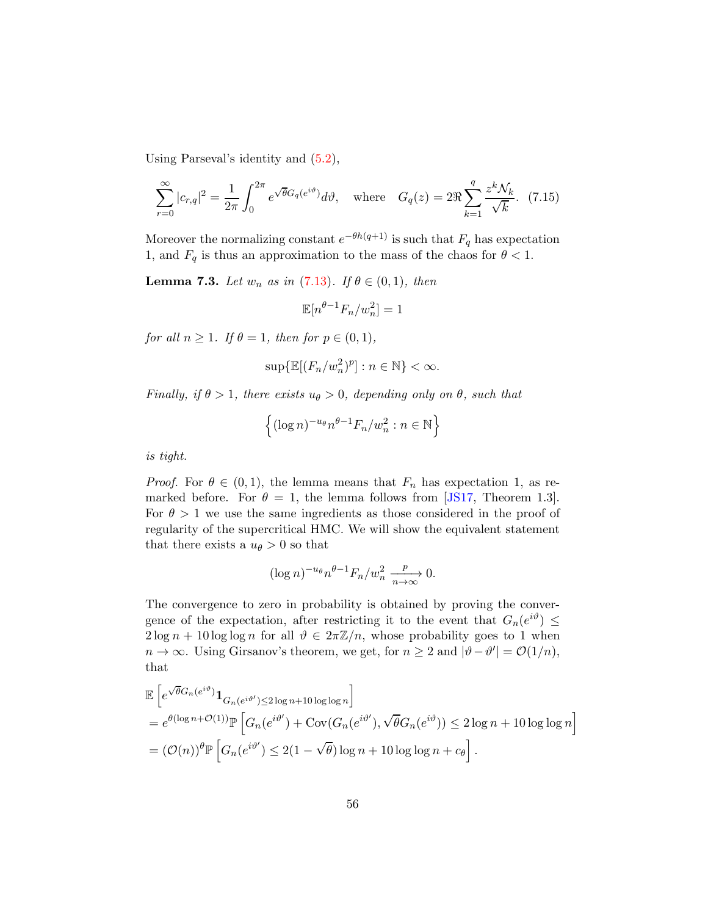Using Parseval's identity and [\(5.2\)](#page-38-1),

$$
\sum_{r=0}^{\infty} |c_{r,q}|^2 = \frac{1}{2\pi} \int_0^{2\pi} e^{\sqrt{\theta}G_q(e^{i\vartheta})} d\vartheta, \quad \text{where} \quad G_q(z) = 2\Re \sum_{k=1}^q \frac{z^k \mathcal{N}_k}{\sqrt{k}}.
$$
 (7.15)

Moreover the normalizing constant  $e^{-\theta h(q+1)}$  is such that  $F_q$  has expectation 1, and  $F_q$  is thus an approximation to the mass of the chaos for  $\theta < 1$ .

<span id="page-55-0"></span>**Lemma 7.3.** Let  $w_n$  as in [\(7.13\)](#page-54-0). If  $\theta \in (0,1)$ , then

$$
\mathbb{E}[n^{\theta-1}F_n/w_n^2] = 1
$$

for all  $n \geq 1$ . If  $\theta = 1$ , then for  $p \in (0, 1)$ ,

$$
\sup\{\mathbb{E}[(F_n/w_n^2)^p]:n\in\mathbb{N}\}<\infty.
$$

Finally, if  $\theta > 1$ , there exists  $u_{\theta} > 0$ , depending only on  $\theta$ , such that

$$
\left\{ (\log n)^{-u_{\theta}} n^{\theta-1} F_n/w_n^2 : n \in \mathbb{N} \right\}
$$

is tight.

*Proof.* For  $\theta \in (0,1)$ , the lemma means that  $F_n$  has expectation 1, as remarked before. For  $\theta = 1$ , the lemma follows from [\[JS17,](#page-70-1) Theorem 1.3]. For  $\theta > 1$  we use the same ingredients as those considered in the proof of regularity of the supercritical HMC. We will show the equivalent statement that there exists a  $u_{\theta} > 0$  so that

$$
(\log n)^{-u_{\theta}} n^{\theta-1} F_n/w_n^2 \xrightarrow[n \to \infty]{p} 0.
$$

The convergence to zero in probability is obtained by proving the convergence of the expectation, after restricting it to the event that  $G_n(e^{i\vartheta}) \leq$  $2 \log n + 10 \log \log n$  for all  $\vartheta \in 2\pi \mathbb{Z}/n$ , whose probability goes to 1 when  $n \to \infty$ . Using Girsanov's theorem, we get, for  $n \ge 2$  and  $|\vartheta - \vartheta'| = \mathcal{O}(1/n)$ , that

$$
\mathbb{E}\left[e^{\sqrt{\theta}G_n(e^{i\vartheta})}\mathbf{1}_{G_n(e^{i\vartheta'})\leq 2\log n+10\log\log n}\right]
$$
\n
$$
=e^{\theta(\log n+\mathcal{O}(1))}\mathbb{P}\left[G_n(e^{i\vartheta'})+\text{Cov}(G_n(e^{i\vartheta'}),\sqrt{\theta}G_n(e^{i\vartheta}))\leq 2\log n+10\log\log n\right]
$$
\n
$$
=(\mathcal{O}(n))^{\theta}\mathbb{P}\left[G_n(e^{i\vartheta'})\leq 2(1-\sqrt{\theta})\log n+10\log\log n+c_{\theta}\right].
$$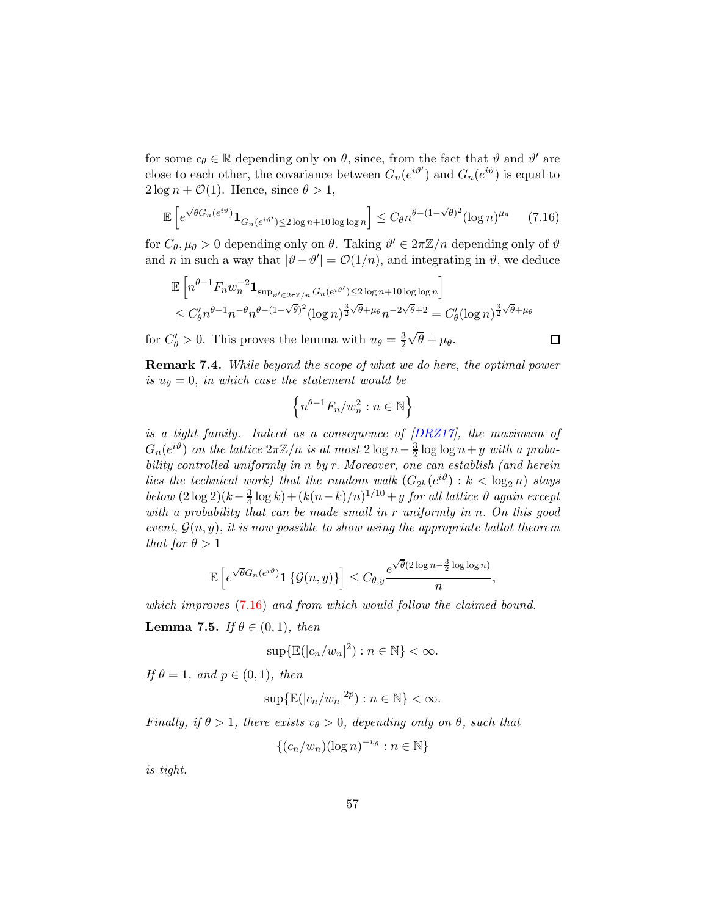for some  $c_{\theta} \in \mathbb{R}$  depending only on  $\theta$ , since, from the fact that  $\theta$  and  $\theta'$  are close to each other, the covariance between  $G_n(e^{i\vartheta'})$  and  $G_n(e^{i\vartheta})$  is equal to  $2 \log n + \mathcal{O}(1)$ . Hence, since  $\theta > 1$ ,

<span id="page-56-0"></span>
$$
\mathbb{E}\left[e^{\sqrt{\theta}G_n(e^{i\vartheta})}\mathbf{1}_{G_n(e^{i\vartheta'})\leq 2\log n+10\log\log n}\right] \leq C_{\theta}n^{\theta-(1-\sqrt{\theta})^2}(\log n)^{\mu_{\theta}} \qquad (7.16)
$$

for  $C_{\theta}$ ,  $\mu_{\theta} > 0$  depending only on  $\theta$ . Taking  $\theta' \in 2\pi \mathbb{Z}/n$  depending only of  $\theta$ and *n* in such a way that  $|\vartheta - \vartheta'| = O(1/n)$ , and integrating in  $\vartheta$ , we deduce

$$
\mathbb{E}\left[n^{\theta-1}F_n w_n^{-2} \mathbf{1}_{\sup_{\vartheta' \in 2\pi \mathbb{Z}/n} G_n(e^{i\vartheta'}) \le 2\log n + 10\log \log n}\right]
$$
  

$$
\le C_{\theta}' n^{\theta-1} n^{-\theta} n^{\theta-(1-\sqrt{\theta})^2} (\log n)^{\frac{3}{2}\sqrt{\theta}+\mu_{\theta}} n^{-2\sqrt{\theta}+2} = C_{\theta}' (\log n)^{\frac{3}{2}\sqrt{\theta}+\mu_{\theta}}
$$

 $\Box$ 

for  $C'_{\theta} > 0$ . This proves the lemma with  $u_{\theta} = \frac{3}{2}$ 2  $\sqrt{\theta} + \mu_{\theta}$ .

Remark 7.4. While beyond the scope of what we do here, the optimal power is  $u_{\theta} = 0$ , in which case the statement would be

$$
\left\{n^{\theta-1}F_n/w_n^2:n\in\mathbb{N}\right\}
$$

is a tight family. Indeed as a consequence of [\[DRZ17\]](#page-69-0), the maximum of  $G_n(e^{i\vartheta})$  on the lattice  $2\pi\mathbb{Z}/n$  is at most  $2\log n-\frac{3}{2}$  $\frac{3}{2}$  log log  $n+y$  with a probability controlled uniformly in n by r. Moreover, one can establish (and herein lies the technical work) that the random walk  $(G_{2^k}(e^{i\vartheta}) : k < \log_2 n)$  stays below  $(2 \log 2)(k - \frac{3}{4})$  $\frac{3}{4} \log k + (k(n-k)/n)^{1/10} + y$  for all lattice  $\vartheta$  again except with a probability that can be made small in r uniformly in n. On this good event,  $\mathcal{G}(n, y)$ , it is now possible to show using the appropriate ballot theorem that for  $\theta > 1$ 

$$
\mathbb{E}\left[e^{\sqrt{\theta}G_n(e^{i\vartheta})}\mathbf{1}\left\{\mathcal{G}(n,y)\right\}\right] \leq C_{\theta,y}\frac{e^{\sqrt{\theta}(2\log n-\frac{3}{2}\log\log n)}}{n},
$$

which improves  $(7.16)$  and from which would follow the claimed bound.

<span id="page-56-1"></span>**Lemma 7.5.** If  $\theta \in (0, 1)$ , then

$$
\sup\{\mathbb{E}(|c_n/w_n|^2):n\in\mathbb{N}\}<\infty.
$$

If  $\theta = 1$ , and  $p \in (0, 1)$ , then

 $\sup\{\mathbb{E}(|c_n/w_n|^{2p}):n\in\mathbb{N}\}<\infty.$ 

Finally, if  $\theta > 1$ , there exists  $v_{\theta} > 0$ , depending only on  $\theta$ , such that

$$
\{(c_n/w_n)(\log n)^{-v_{\theta}} : n \in \mathbb{N}\}\
$$

is tight.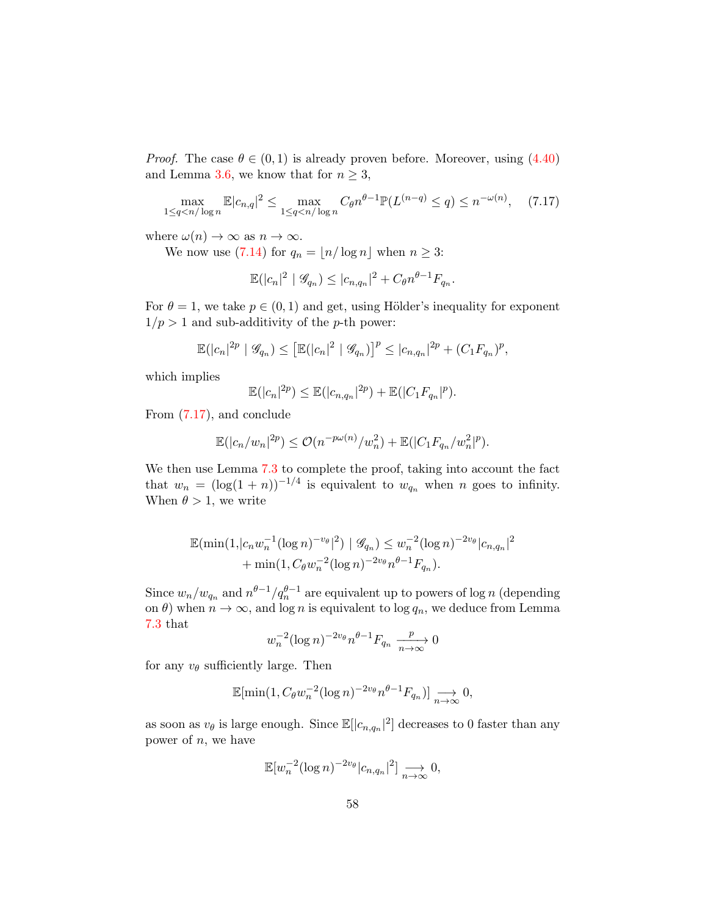*Proof.* The case  $\theta \in (0, 1)$  is already proven before. Moreover, using  $(4.40)$ and Lemma [3.6,](#page-27-0) we know that for  $n \geq 3$ ,

<span id="page-57-0"></span>
$$
\max_{1 \le q < n/\log n} \mathbb{E} |c_{n,q}|^2 \le \max_{1 \le q < n/\log n} C_\theta n^{\theta - 1} \mathbb{P}(L^{(n-q)} \le q) \le n^{-\omega(n)},\tag{7.17}
$$

where  $\omega(n) \to \infty$  as  $n \to \infty$ .

We now use [\(7.14\)](#page-54-1) for  $q_n = \lfloor n/\log n \rfloor$  when  $n \geq 3$ :

$$
\mathbb{E}(|c_n|^2 \mid \mathcal{G}_{q_n}) \le |c_{n,q_n}|^2 + C_{\theta} n^{\theta-1} F_{q_n}.
$$

For  $\theta = 1$ , we take  $p \in (0, 1)$  and get, using Hölder's inequality for exponent  $1/p > 1$  and sub-additivity of the p-th power:

$$
\mathbb{E}(|c_n|^{2p} | \mathcal{G}_{q_n}) \leq \left[\mathbb{E}(|c_n|^2 | \mathcal{G}_{q_n})\right]^p \leq |c_{n,q_n}|^{2p} + (C_1 F_{q_n})^p,
$$

which implies

$$
\mathbb{E}(|c_n|^{2p}) \leq \mathbb{E}(|c_{n,q_n}|^{2p}) + \mathbb{E}(|C_1F_{q_n}|^{p}).
$$

From [\(7.17\)](#page-57-0), and conclude

$$
\mathbb{E}(|c_n/w_n|^{2p}) \le \mathcal{O}(n^{-p\omega(n)}/w_n^2) + \mathbb{E}(|C_1F_{q_n}/w_n^2|^p).
$$

We then use Lemma [7.3](#page-55-0) to complete the proof, taking into account the fact that  $w_n = (\log(1+n))^{-1/4}$  is equivalent to  $w_{q_n}$  when n goes to infinity. When  $\theta > 1$ , we write

$$
\mathbb{E}(\min(1, |c_n w_n^{-1} (\log n)^{-v_{\theta}}|^2) | \mathcal{G}_{q_n}) \leq w_n^{-2} (\log n)^{-2v_{\theta}} |c_{n,q_n}|^2
$$
  
+ 
$$
\min(1, C_{\theta} w_n^{-2} (\log n)^{-2v_{\theta}} n^{\theta-1} F_{q_n}).
$$

Since  $w_n/w_{q_n}$  and  $n^{\theta-1}/q_n^{\theta-1}$  are equivalent up to powers of log n (depending on  $\theta$ ) when  $n \to \infty$ , and log *n* is equivalent to log  $q_n$ , we deduce from Lemma [7.3](#page-55-0) that

$$
w_n^{-2} (\log n)^{-2v_\theta} n^{\theta - 1} F_{q_n} \xrightarrow[n \to \infty]{p} 0
$$

for any  $v_{\theta}$  sufficiently large. Then

$$
\mathbb{E}[\min(1, C_{\theta} w_n^{-2} (\log n)^{-2v_{\theta}} n^{\theta-1} F_{q_n})] \underset{n \to \infty}{\longrightarrow} 0,
$$

as soon as  $v_{\theta}$  is large enough. Since  $\mathbb{E}[|c_{n,q_n}|^2]$  decreases to 0 faster than any power of  $n$ , we have

$$
\mathbb{E}[w_n^{-2}(\log n)^{-2v_{\theta}}|c_{n,q_n}|^2] \longrightarrow_{n \to \infty} 0,
$$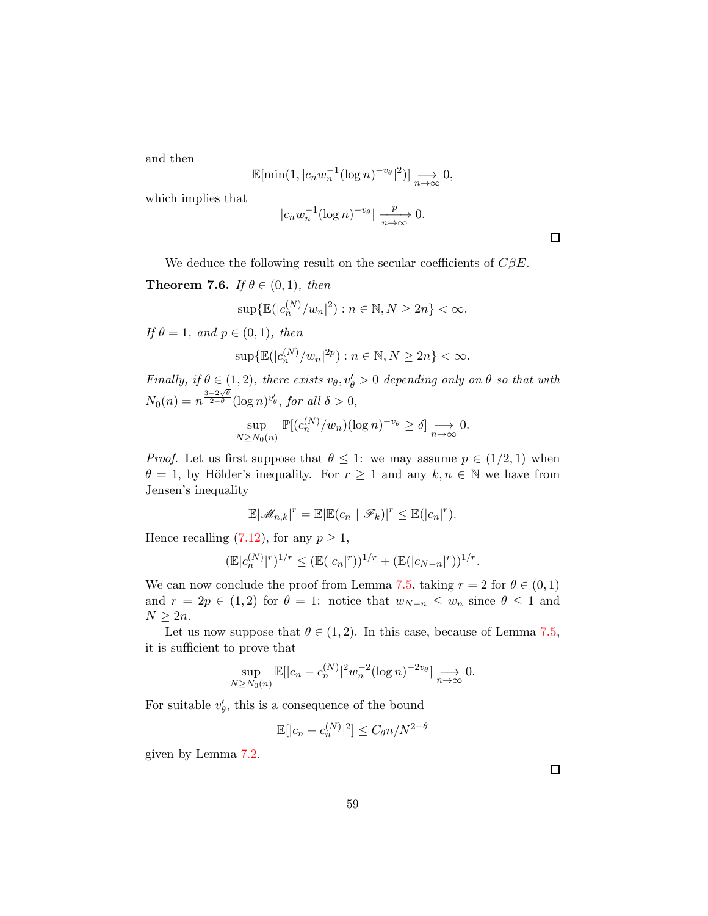and then

$$
\mathbb{E}[\min(1, |c_n w_n^{-1} (\log n)^{-v_\theta}|^2)] \underset{n \to \infty}{\longrightarrow} 0,
$$

which implies that

$$
|c_n w_n^{-1} (\log n)^{-v_\theta} | \xrightarrow[n \to \infty]{p} 0.
$$

We deduce the following result on the secular coefficients of  $C\beta E$ .

**Theorem 7.6.** If  $\theta \in (0, 1)$ , then

$$
\sup\{\mathbb{E}(|c_n^{(N)}/w_n|^2):n\in\mathbb{N},N\geq 2n\}<\infty.
$$

If  $\theta = 1$ , and  $p \in (0, 1)$ , then

$$
\sup\{\mathbb{E}(|c_n^{(N)}/w_n|^{2p}):n\in\mathbb{N},N\geq 2n\}<\infty.
$$

Finally, if  $\theta \in (1, 2)$ , there exists  $v_{\theta}, v_{\theta} > 0$  depending only on  $\theta$  so that with  $N_0(n) = n^{\frac{3-2\sqrt{\theta}}{2-\theta}} (\log n)^{v'_{\theta}}, \text{ for all } \delta > 0,$ 

$$
\sup_{N\geq N_0(n)} \mathbb{P}[(c_n^{(N)}/w_n)(\log n)^{-v_\theta} \geq \delta] \underset{n\to\infty}{\longrightarrow} 0.
$$

*Proof.* Let us first suppose that  $\theta \leq 1$ : we may assume  $p \in (1/2, 1)$  when  $\theta = 1$ , by Hölder's inequality. For  $r \ge 1$  and any  $k, n \in \mathbb{N}$  we have from Jensen's inequality

$$
\mathbb{E}|\mathscr{M}_{n,k}|^r = \mathbb{E}|\mathbb{E}(c_n \mid \mathscr{F}_k)|^r \leq \mathbb{E}(|c_n|^r).
$$

Hence recalling [\(7.12\)](#page-53-0), for any  $p \geq 1$ ,

$$
(\mathbb{E}|c_n^{(N)}|^r)^{1/r} \leq (\mathbb{E}(|c_n|^r))^{1/r} + (\mathbb{E}(|c_{N-n}|^r))^{1/r}.
$$

We can now conclude the proof from Lemma [7.5,](#page-56-1) taking  $r = 2$  for  $\theta \in (0, 1)$ and  $r = 2p \in (1,2)$  for  $\theta = 1$ : notice that  $w_{N-n} \leq w_n$  since  $\theta \leq 1$  and  $N \geq 2n$ .

Let us now suppose that  $\theta \in (1, 2)$ . In this case, because of Lemma [7.5,](#page-56-1) it is sufficient to prove that

$$
\sup_{N\geq N_0(n)} \mathbb{E}[|c_n - c_n^{(N)}|^2 w_n^{-2} (\log n)^{-2v_\theta}] \underset{n\to\infty}{\longrightarrow} 0.
$$

For suitable  $v'_{\theta}$ , this is a consequence of the bound

$$
\mathbb{E}[|c_n - c_n^{(N)}|^2] \le C_\theta n / N^{2-\theta}
$$

given by Lemma [7.2.](#page-53-1)

 $\Box$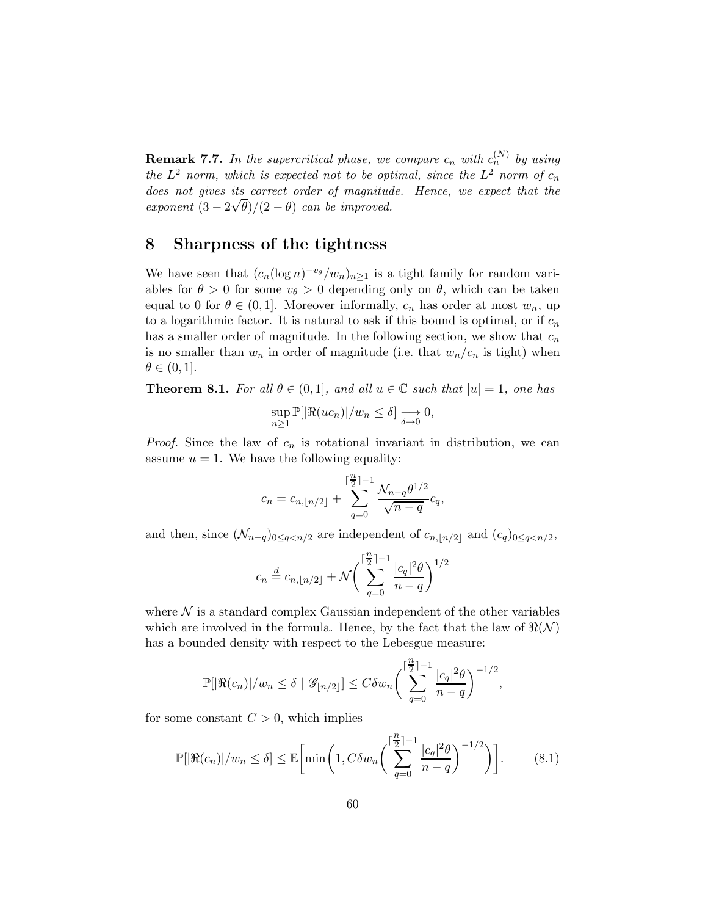**Remark 7.7.** In the supercritical phase, we compare  $c_n$  with  $c_n^{(N)}$  by using the  $L^2$  norm, which is expected not to be optimal, since the  $L^2$  norm of  $c_n$ does not gives its correct order of magnitude. Hence, we expect that the exponent  $(3 - 2\sqrt{\theta})/(2 - \theta)$  can be improved.

#### 8 Sharpness of the tightness

We have seen that  $(c_n(\log n)^{-v_{\theta}}/w_n)_{n\geq 1}$  is a tight family for random variables for  $\theta > 0$  for some  $v_{\theta} > 0$  depending only on  $\theta$ , which can be taken equal to 0 for  $\theta \in (0, 1]$ . Moreover informally,  $c_n$  has order at most  $w_n$ , up to a logarithmic factor. It is natural to ask if this bound is optimal, or if  $c_n$ has a smaller order of magnitude. In the following section, we show that  $c_n$ is no smaller than  $w_n$  in order of magnitude (i.e. that  $w_n/c_n$  is tight) when  $\theta \in (0,1].$ 

**Theorem 8.1.** For all  $\theta \in (0,1]$ , and all  $u \in \mathbb{C}$  such that  $|u| = 1$ , one has

$$
\sup_{n\geq 1}\mathbb{P}[\Re(uc_n)|/w_n\leq \delta]\xrightarrow[\delta\to 0]{ }0,
$$

*Proof.* Since the law of  $c_n$  is rotational invariant in distribution, we can assume  $u = 1$ . We have the following equality:

$$
c_n = c_{n, \lfloor n/2 \rfloor} + \sum_{q=0}^{\lceil \frac{n}{2} \rceil -1} \frac{\mathcal{N}_{n-q} \theta^{1/2}}{\sqrt{n-q}} c_q,
$$

and then, since  $(\mathcal{N}_{n-q})_{0 \leq q < n/2}$  are independent of  $c_{n, \lfloor n/2 \rfloor}$  and  $(c_q)_{0 \leq q < n/2}$ ,

$$
c_n\stackrel{d}{=} c_{n,\lfloor n/2\rfloor}+\mathcal{N}\bigg(\sum_{q=0}^{\lceil\frac{n}{2}\rceil-1}\frac{|c_q|^2\theta}{n-q}\bigg)^{1/2}
$$

where  $\mathcal N$  is a standard complex Gaussian independent of the other variables which are involved in the formula. Hence, by the fact that the law of  $\Re(\mathcal{N})$ has a bounded density with respect to the Lebesgue measure:

$$
\mathbb{P}[|\Re(c_n)|/w_n\leq \delta\mid \mathscr{G}_{\lfloor n/2\rfloor}]\leq C\delta w_n \bigg(\sum_{q=0}^{\lceil\frac{n}{2}\rceil-1}\frac{|c_q|^2\theta}{n-q}\bigg)^{-1/2},
$$

for some constant  $C > 0$ , which implies

<span id="page-59-0"></span>
$$
\mathbb{P}[\Re(c_n)|/w_n \le \delta] \le \mathbb{E}\bigg[\min\bigg(1, C\delta w_n \bigg(\sum_{q=0}^{\lceil \frac{n}{2} \rceil - 1} \frac{|c_q|^2 \theta}{n - q}\bigg)^{-1/2}\bigg)\bigg].\tag{8.1}
$$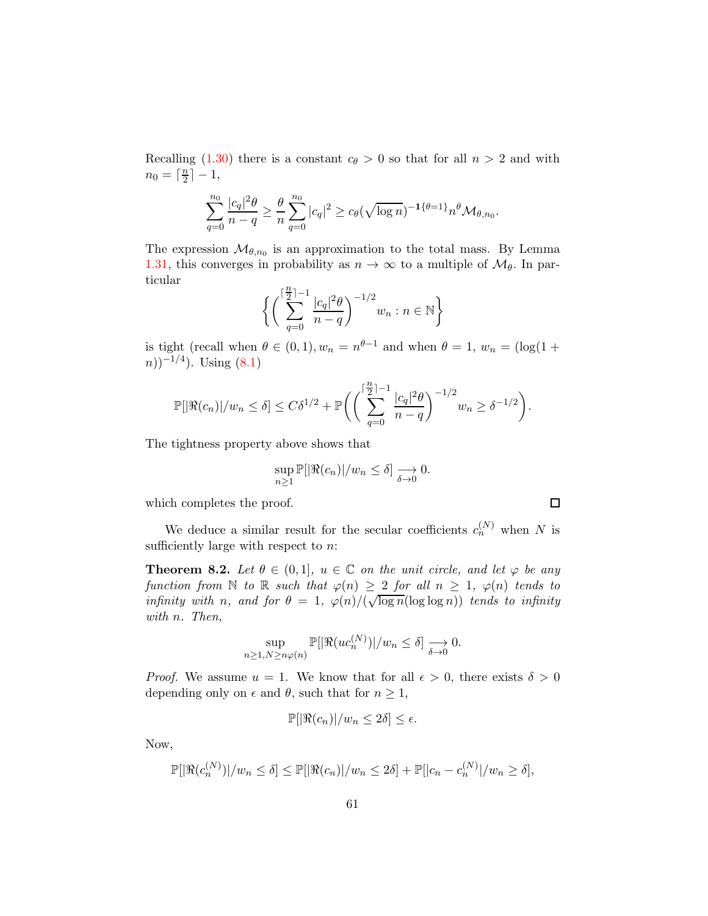Recalling [\(1.30\)](#page-11-0) there is a constant  $c_{\theta} > 0$  so that for all  $n > 2$  and with  $n_0 = \lceil \frac{n}{2} \rceil$  $\frac{n}{2} \rceil - 1,$ 

$$
\sum_{q=0}^{n_0} \frac{|c_q|^2 \theta}{n-q} \ge \frac{\theta}{n} \sum_{q=0}^{n_0} |c_q|^2 \ge c_{\theta}(\sqrt{\log n})^{-1} {\theta=1}^2 n^{\theta} \mathcal{M}_{\theta,n_0}.
$$

The expression  $\mathcal{M}_{\theta,n_0}$  is an approximation to the total mass. By Lemma [1.31,](#page-11-4) this converges in probability as  $n \to \infty$  to a multiple of  $\mathcal{M}_{\theta}$ . In particular

$$
\bigg\{ \bigg(\sum_{q=0}^{\lceil\frac{n}{2}\rceil-1} \frac{|c_q|^2\theta}{n-q}\bigg)^{-1/2} w_n : n\in\mathbb{N}\bigg\}
$$

is tight (recall when  $\theta \in (0,1), w_n = n^{\theta-1}$  and when  $\theta = 1, w_n = (\log(1 +$  $(n))^{-1/4}$ ). Using  $(8.1)$ 

$$
\mathbb{P}[|\Re(c_n)|/w_n \le \delta] \le C\delta^{1/2} + \mathbb{P}\bigg(\bigg(\sum_{q=0}^{\lceil\frac{n}{2}\rceil-1}\frac{|c_q|^2\theta}{n-q}\bigg)^{-1/2}w_n \ge \delta^{-1/2}\bigg).
$$

The tightness property above shows that

$$
\sup_{n\geq 1}\mathbb{P}[|\Re(c_n)|/w_n\leq \delta]\xrightarrow[\delta\to 0]{}0.
$$

which completes the proof.

We deduce a similar result for the secular coefficients  $c_n^{(N)}$  when N is sufficiently large with respect to  $n$ .

**Theorem 8.2.** Let  $\theta \in (0,1]$ ,  $u \in \mathbb{C}$  on the unit circle, and let  $\varphi$  be any function from N to R such that  $\varphi(n) \geq 2$  for all  $n \geq 1$ ,  $\varphi(n)$  tends to infinity with n, and for  $\theta = 1$ ,  $\varphi(n)/(\sqrt{\log n}(\log \log n))$  tends to infinity with n. Then,

$$
\sup_{n\geq 1,N\geq n\varphi(n)}\mathbb{P}[|\Re(uc_n^{(N)})|/w_n\leq \delta]\xrightarrow[\delta\to 0]{}0.
$$

*Proof.* We assume  $u = 1$ . We know that for all  $\epsilon > 0$ , there exists  $\delta > 0$ depending only on  $\epsilon$  and  $\theta$ , such that for  $n \geq 1$ ,

$$
\mathbb{P}[|\Re(c_n)|/w_n \leq 2\delta] \leq \epsilon.
$$

Now,

$$
\mathbb{P}[\Re(c_n^{(N)})|/w_n \leq \delta] \leq \mathbb{P}[\Re(c_n)|/w_n \leq 2\delta] + \mathbb{P}[|c_n - c_n^{(N)}|/w_n \geq \delta],
$$

 $\Box$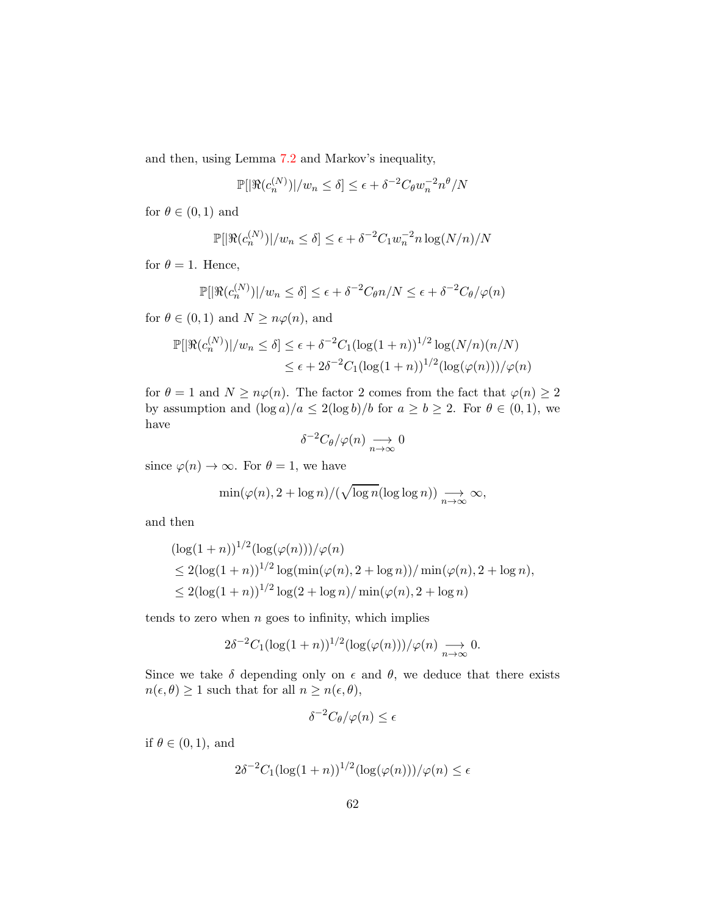and then, using Lemma [7.2](#page-53-1) and Markov's inequality,

$$
\mathbb{P}[|\Re(c_n^{(N)})|/w_n \le \delta] \le \epsilon + \delta^{-2} C_\theta w_n^{-2} n^\theta/N
$$

for  $\theta \in (0,1)$  and

$$
\mathbb{P}[\Re(c_n^{(N)})|/w_n \le \delta] \le \epsilon + \delta^{-2} C_1 w_n^{-2} n \log(N/n)/N
$$

for  $\theta = 1$ . Hence,

$$
\mathbb{P}[\Re(c_n^{(N)})|/w_n \le \delta] \le \epsilon + \delta^{-2}C_{\theta}n/N \le \epsilon + \delta^{-2}C_{\theta}/\varphi(n)
$$

for  $\theta \in (0,1)$  and  $N \geq n\varphi(n)$ , and

$$
\mathbb{P}[\Re(c_n^{(N)})|/w_n \le \delta] \le \epsilon + \delta^{-2}C_1(\log(1+n))^{1/2}\log(N/n)(n/N)
$$
  

$$
\le \epsilon + 2\delta^{-2}C_1(\log(1+n))^{1/2}(\log(\varphi(n)))/\varphi(n)
$$

for  $\theta = 1$  and  $N \geq n\varphi(n)$ . The factor 2 comes from the fact that  $\varphi(n) \geq 2$ by assumption and  $(\log a)/a \leq 2(\log b)/b$  for  $a \geq b \geq 2$ . For  $\theta \in (0,1)$ , we have

$$
\delta^{-2}C_{\theta}/\varphi(n) \underset{n \to \infty}{\longrightarrow} 0
$$

since  $\varphi(n) \to \infty$ . For  $\theta = 1$ , we have

$$
\min(\varphi(n), 2 + \log n)/(\sqrt{\log n}(\log \log n)) \underset{n \to \infty}{\longrightarrow} \infty,
$$

and then

$$
(\log(1+n))^{1/2} (\log(\varphi(n)))/\varphi(n)
$$
  
\n
$$
\leq 2(\log(1+n))^{1/2} \log(\min(\varphi(n), 2 + \log n))/\min(\varphi(n), 2 + \log n),
$$
  
\n
$$
\leq 2(\log(1+n))^{1/2} \log(2 + \log n)/\min(\varphi(n), 2 + \log n)
$$

tends to zero when  $n$  goes to infinity, which implies

$$
2\delta^{-2}C_1(\log(1+n))^{1/2}(\log(\varphi(n)))/\varphi(n) \underset{n\to\infty}{\longrightarrow} 0.
$$

Since we take  $\delta$  depending only on  $\epsilon$  and  $\theta$ , we deduce that there exists  $n(\epsilon, \theta) \ge 1$  such that for all  $n \ge n(\epsilon, \theta)$ ,

$$
\delta^{-2}C_{\theta}/\varphi(n) \leq \epsilon
$$

if  $\theta \in (0,1)$ , and

$$
2\delta^{-2}C_1(\log(1+n))^{1/2}(\log(\varphi(n)))/\varphi(n)\leq\epsilon
$$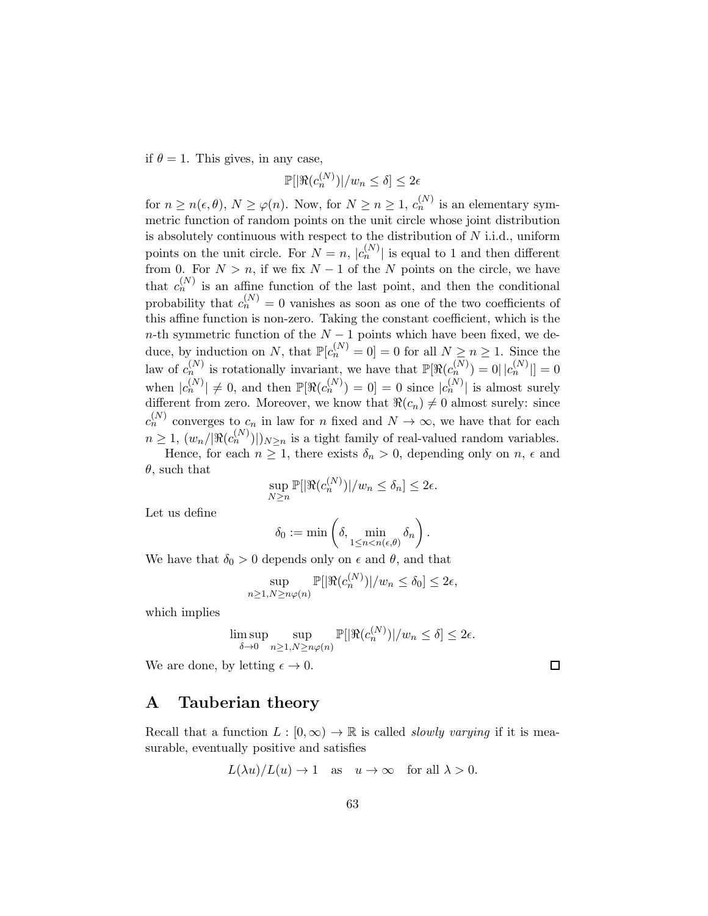if  $\theta = 1$ . This gives, in any case,

$$
\mathbb{P}[|\Re(c_n^{(N)})|/w_n \le \delta] \le 2\epsilon
$$

for  $n \geq n(\epsilon, \theta), N \geq \varphi(n)$ . Now, for  $N \geq n \geq 1$ ,  $c_n^{(N)}$  is an elementary symmetric function of random points on the unit circle whose joint distribution is absolutely continuous with respect to the distribution of  $N$  i.i.d., uniform points on the unit circle. For  $N = n$ ,  $|c_n^{(N)}|$  is equal to 1 and then different from 0. For  $N > n$ , if we fix  $N - 1$  of the N points on the circle, we have that  $c_n^{(N)}$  is an affine function of the last point, and then the conditional probability that  $c_n^{(N)} = 0$  vanishes as soon as one of the two coefficients of this affine function is non-zero. Taking the constant coefficient, which is the n-th symmetric function of the  $N-1$  points which have been fixed, we deduce, by induction on N, that  $\mathbb{P}[c_n^{(N)} = 0] = 0$  for all  $N \geq n \geq 1$ . Since the law of  $c_n^{(N)}$  is rotationally invariant, we have that  $\mathbb{P}[\Re(c_n^{(N)})=0||c_n^{(N)}||=0$ when  $|c_n^{(N)}| \neq 0$ , and then  $\mathbb{P}[\Re(c_n^{(N)}) = 0] = 0$  since  $|c_n^{(N)}|$  is almost surely different from zero. Moreover, we know that  $\Re(c_n) \neq 0$  almost surely: since  $c_n^{(N)}$  converges to  $c_n$  in law for n fixed and  $N \to \infty$ , we have that for each  $n \geq 1$ ,  $(w_n/|\Re(c_n^{(N)})|)_{N\geq n}$  is a tight family of real-valued random variables. Hence, for each  $n \geq 1$ , there exists  $\delta_n > 0$ , depending only on  $n$ ,  $\epsilon$  and  $\theta$ , such that

$$
\sup_{N\geq n} \mathbb{P}[|\Re(c_n^{(N)})|/w_n \leq \delta_n] \leq 2\epsilon.
$$

Let us define

$$
\delta_0:=\min\left(\delta,\min_{1\leq n< n(\epsilon,\theta)}\delta_n\right).
$$

We have that  $\delta_0 > 0$  depends only on  $\epsilon$  and  $\theta$ , and that

$$
\sup_{n\geq 1,N\geq n\varphi(n)}\mathbb{P}[\Re(c_n^{(N)})|/w_n\leq \delta_0]\leq 2\epsilon,
$$

which implies

$$
\limsup_{\delta \to 0} \sup_{n \ge 1, N \ge n\varphi(n)} \mathbb{P}[\Re(c_n^{(N)}) | / w_n \le \delta] \le 2\epsilon.
$$

 $\Box$ 

We are done, by letting  $\epsilon \to 0$ .

### A Tauberian theory

Recall that a function  $L : [0, \infty) \to \mathbb{R}$  is called *slowly varying* if it is measurable, eventually positive and satisfies

$$
L(\lambda u)/L(u) \to 1
$$
 as  $u \to \infty$  for all  $\lambda > 0$ .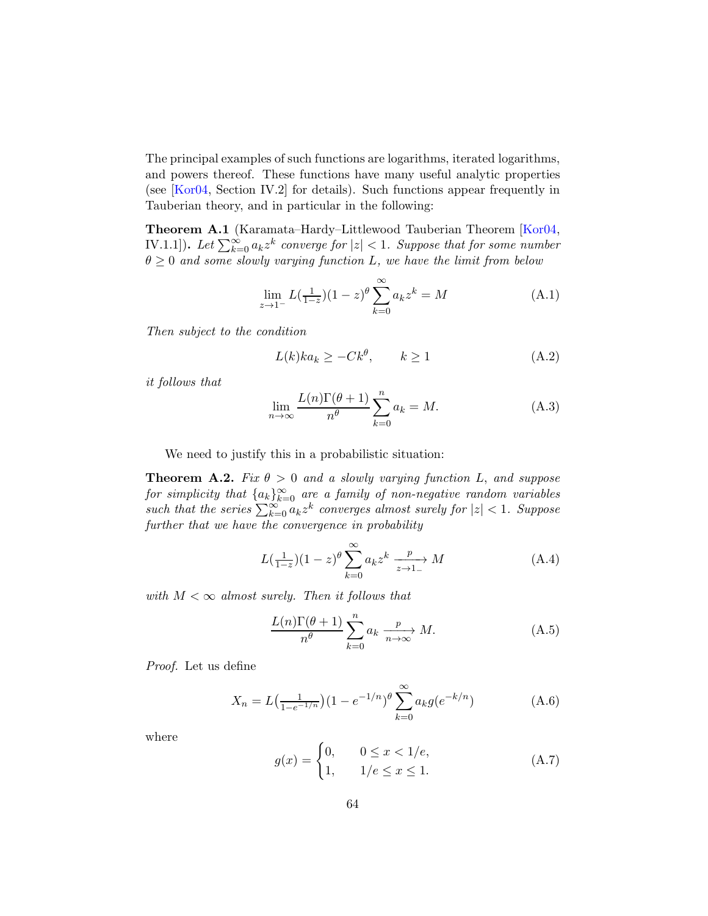The principal examples of such functions are logarithms, iterated logarithms, and powers thereof. These functions have many useful analytic properties (see [\[Kor04,](#page-70-2) Section IV.2] for details). Such functions appear frequently in Tauberian theory, and in particular in the following:

Theorem A.1 (Karamata–Hardy–Littlewood Tauberian Theorem [\[Kor04,](#page-70-2) IV.1.1]). Let  $\sum_{k=0}^{\infty} a_k z^k$  converge for  $|z| < 1$ . Suppose that for some number  $\theta \geq 0$  and some slowly varying function L, we have the limit from below

$$
\lim_{z \to 1^{-}} L(\frac{1}{1-z})(1-z)^{\theta} \sum_{k=0}^{\infty} a_k z^k = M
$$
\n(A.1)

Then subject to the condition

$$
L(k)ka_k \ge -Ck^{\theta}, \qquad k \ge 1 \tag{A.2}
$$

it follows that

$$
\lim_{n \to \infty} \frac{L(n)\Gamma(\theta + 1)}{n^{\theta}} \sum_{k=0}^{n} a_k = M.
$$
 (A.3)

We need to justify this in a probabilistic situation:

**Theorem A.2.** Fix  $\theta > 0$  and a slowly varying function L, and suppose for simplicity that  $\{a_k\}_{k=0}^\infty$  are a family of non-negative random variables such that the series  $\sum_{k=0}^{\infty} a_k z^k$  converges almost surely for  $|z| < 1$ . Suppose further that we have the convergence in probability

<span id="page-63-0"></span>
$$
L\left(\frac{1}{1-z}\right)(1-z)^{\theta} \sum_{k=0}^{\infty} a_k z^k \xrightarrow[z \to 1]{} M \tag{A.4}
$$

with  $M < \infty$  almost surely. Then it follows that

$$
\frac{L(n)\Gamma(\theta+1)}{n^{\theta}}\sum_{k=0}^{n}a_{k}\xrightarrow[n\to\infty]{p}M.
$$
 (A.5)

Proof. Let us define

$$
X_n = L\left(\frac{1}{1 - e^{-1/n}}\right) \left(1 - e^{-1/n}\right)^{\theta} \sum_{k=0}^{\infty} a_k g(e^{-k/n}) \tag{A.6}
$$

where

$$
g(x) = \begin{cases} 0, & 0 \le x < 1/e, \\ 1, & 1/e \le x \le 1. \end{cases}
$$
 (A.7)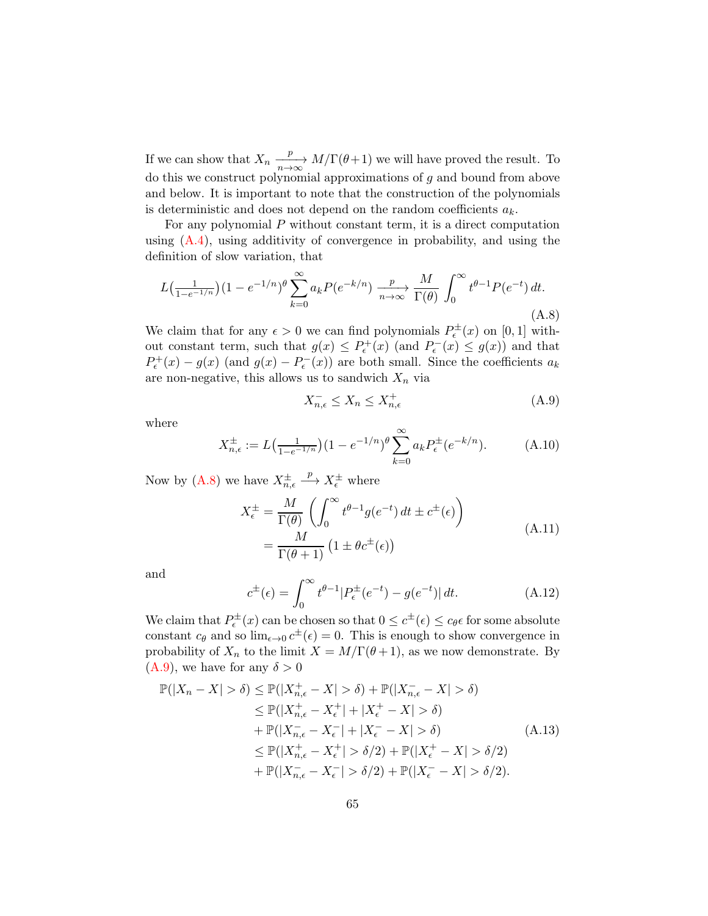If we can show that  $X_n \xrightarrow[n \to \infty]{p} M/\Gamma(\theta+1)$  we will have proved the result. To do this we construct polynomial approximations of  $g$  and bound from above and below. It is important to note that the construction of the polynomials is deterministic and does not depend on the random coefficients  $a_k$ .

For any polynomial  $P$  without constant term, it is a direct computation using  $(A.4)$ , using additivity of convergence in probability, and using the definition of slow variation, that

<span id="page-64-0"></span>
$$
L\left(\frac{1}{1 - e^{-1/n}}\right)(1 - e^{-1/n})^{\theta} \sum_{k=0}^{\infty} a_k P(e^{-k/n}) \xrightarrow[n \to \infty]{p} \frac{M}{\Gamma(\theta)} \int_0^{\infty} t^{\theta - 1} P(e^{-t}) dt.
$$
\n(A.8)

We claim that for any  $\epsilon > 0$  we can find polynomials  $P_{\epsilon}^{\pm}(x)$  on [0, 1] without constant term, such that  $g(x) \le P_{\epsilon}^+(x)$  (and  $P_{\epsilon}^-(x) \le g(x)$ ) and that  $P_{\epsilon}^{+}(x) - g(x)$  (and  $g(x) - P_{\epsilon}^{-}(x)$ ) are both small. Since the coefficients  $a_k$ are non-negative, this allows us to sandwich  $X_n$  via

<span id="page-64-1"></span>
$$
X_{n,\epsilon}^- \le X_n \le X_{n,\epsilon}^+ \tag{A.9}
$$

where

$$
X_{n,\epsilon}^{\pm} := L\left(\frac{1}{1 - e^{-1/n}}\right) \left(1 - e^{-1/n}\right)^{\theta} \sum_{k=0}^{\infty} a_k P_{\epsilon}^{\pm} (e^{-k/n}). \tag{A.10}
$$

Now by  $(A.8)$  we have  $X^{\pm}_{n,\epsilon}$  $\stackrel{p}{\longrightarrow} X_{\epsilon}^{\pm}$  where

$$
X_{\epsilon}^{\pm} = \frac{M}{\Gamma(\theta)} \left( \int_0^{\infty} t^{\theta - 1} g(e^{-t}) dt \pm c^{\pm}(\epsilon) \right)
$$
  
= 
$$
\frac{M}{\Gamma(\theta + 1)} \left( 1 \pm \theta c^{\pm}(\epsilon) \right)
$$
 (A.11)

and

$$
c^{\pm}(\epsilon) = \int_0^{\infty} t^{\theta - 1} |P_{\epsilon}^{\pm}(e^{-t}) - g(e^{-t})| dt.
$$
 (A.12)

We claim that  $P_{\epsilon}^{\pm}(x)$  can be chosen so that  $0 \leq c^{\pm}(\epsilon) \leq c_{\theta} \epsilon$  for some absolute constant  $c_{\theta}$  and so  $\lim_{\epsilon \to 0} c^{\pm}(\epsilon) = 0$ . This is enough to show convergence in probability of  $X_n$  to the limit  $X = M/\Gamma(\theta+1)$ , as we now demonstrate. By  $(A.9)$ , we have for any  $\delta > 0$ 

$$
\mathbb{P}(|X_n - X| > \delta) \le \mathbb{P}(|X_{n,\epsilon}^+ - X| > \delta) + \mathbb{P}(|X_{n,\epsilon}^- - X| > \delta)
$$
  
\n
$$
\le \mathbb{P}(|X_{n,\epsilon}^+ - X_{\epsilon}^+| + |X_{\epsilon}^+ - X| > \delta)
$$
  
\n
$$
+ \mathbb{P}(|X_{n,\epsilon}^- - X_{\epsilon}^-| + |X_{\epsilon}^- - X| > \delta)
$$
  
\n
$$
\le \mathbb{P}(|X_{n,\epsilon}^+ - X_{\epsilon}^+| > \delta/2) + \mathbb{P}(|X_{\epsilon}^+ - X| > \delta/2)
$$
  
\n
$$
+ \mathbb{P}(|X_{n,\epsilon}^- - X_{\epsilon}^-| > \delta/2) + \mathbb{P}(|X_{\epsilon}^- - X| > \delta/2).
$$
 (A.13)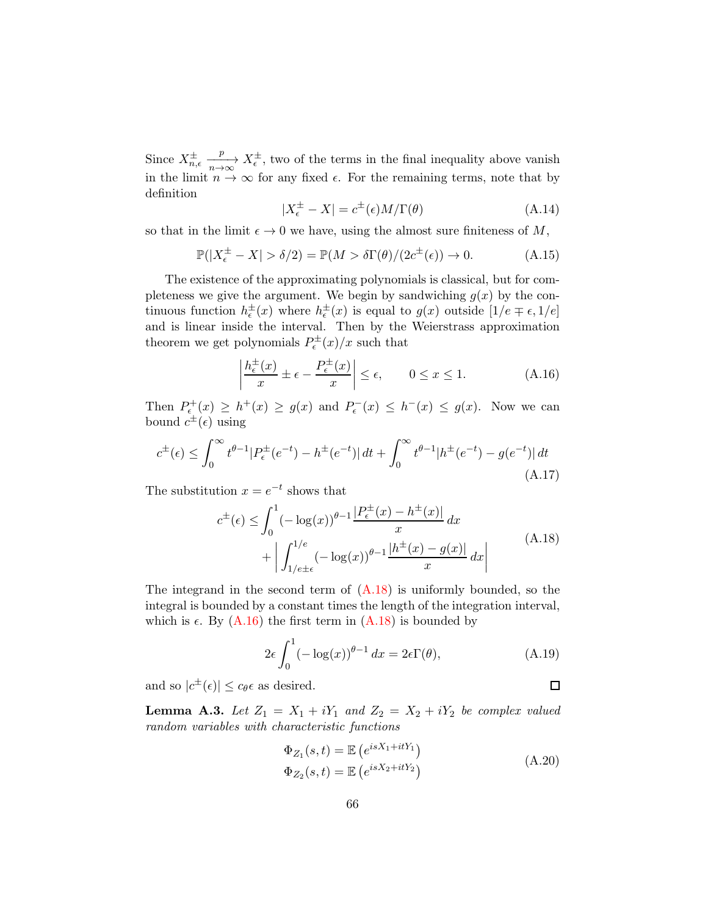Since  $X^{\pm}_{n,\epsilon}$  $\frac{p}{p \to \infty} X_{\epsilon}^{\pm}$ , two of the terms in the final inequality above vanish in the limit  $n \to \infty$  for any fixed  $\epsilon$ . For the remaining terms, note that by definition

$$
|X_{\epsilon}^{\pm} - X| = c^{\pm}(\epsilon)M/\Gamma(\theta)
$$
 (A.14)

so that in the limit  $\epsilon \to 0$  we have, using the almost sure finiteness of M,

$$
\mathbb{P}(|X_{\epsilon}^{\pm} - X| > \delta/2) = \mathbb{P}(M > \delta\Gamma(\theta)/(2c^{\pm}(\epsilon)) \to 0.
$$
 (A.15)

The existence of the approximating polynomials is classical, but for completeness we give the argument. We begin by sandwiching  $g(x)$  by the continuous function  $h_{\epsilon}^{\pm}(x)$  where  $h_{\epsilon}^{\pm}(x)$  is equal to  $g(x)$  outside  $[1/e \mp \epsilon, 1/e]$ and is linear inside the interval. Then by the Weierstrass approximation theorem we get polynomials  $P_{\epsilon}^{\pm}(x)/x$  such that

<span id="page-65-2"></span>
$$
\left| \frac{h_{\epsilon}^{\pm}(x)}{x} \pm \epsilon - \frac{P_{\epsilon}^{\pm}(x)}{x} \right| \le \epsilon, \qquad 0 \le x \le 1.
$$
 (A.16)

Then  $P_{\epsilon}^+(x) \ge h^+(x) \ge g(x)$  and  $P_{\epsilon}^-(x) \le h^-(x) \le g(x)$ . Now we can bound  $c^{\pm}(\epsilon)$  using

$$
c^{\pm}(\epsilon) \le \int_0^{\infty} t^{\theta - 1} |P_{\epsilon}^{\pm}(e^{-t}) - h^{\pm}(e^{-t})| dt + \int_0^{\infty} t^{\theta - 1} |h^{\pm}(e^{-t}) - g(e^{-t})| dt
$$
\n(A.17)

<span id="page-65-1"></span>The substitution  $x = e^{-t}$  shows that

$$
c^{\pm}(\epsilon) \le \int_0^1 (-\log(x))^{\theta - 1} \frac{|P_{\epsilon}^{\pm}(x) - h^{\pm}(x)|}{x} dx
$$
  
+ 
$$
\left| \int_{1/e^{\pm \epsilon}}^{1/e} (-\log(x))^{\theta - 1} \frac{|h^{\pm}(x) - g(x)|}{x} dx \right|
$$
(A.18)

The integrand in the second term of  $(A.18)$  is uniformly bounded, so the integral is bounded by a constant times the length of the integration interval, which is  $\epsilon$ . By [\(A.16\)](#page-65-2) the first term in [\(A.18\)](#page-65-1) is bounded by

$$
2\epsilon \int_0^1 (-\log(x))^{\theta - 1} dx = 2\epsilon \Gamma(\theta), \tag{A.19}
$$

and so  $|c^{\pm}(\epsilon)| \leq c_{\theta} \epsilon$  as desired.

<span id="page-65-0"></span>**Lemma A.3.** Let  $Z_1 = X_1 + iY_1$  and  $Z_2 = X_2 + iY_2$  be complex valued random variables with characteristic functions

$$
\Phi_{Z_1}(s,t) = \mathbb{E}\left(e^{isX_1+itY_1}\right)
$$
\n
$$
\Phi_{Z_2}(s,t) = \mathbb{E}\left(e^{isX_2+itY_2}\right)
$$
\n(A.20)

 $\Box$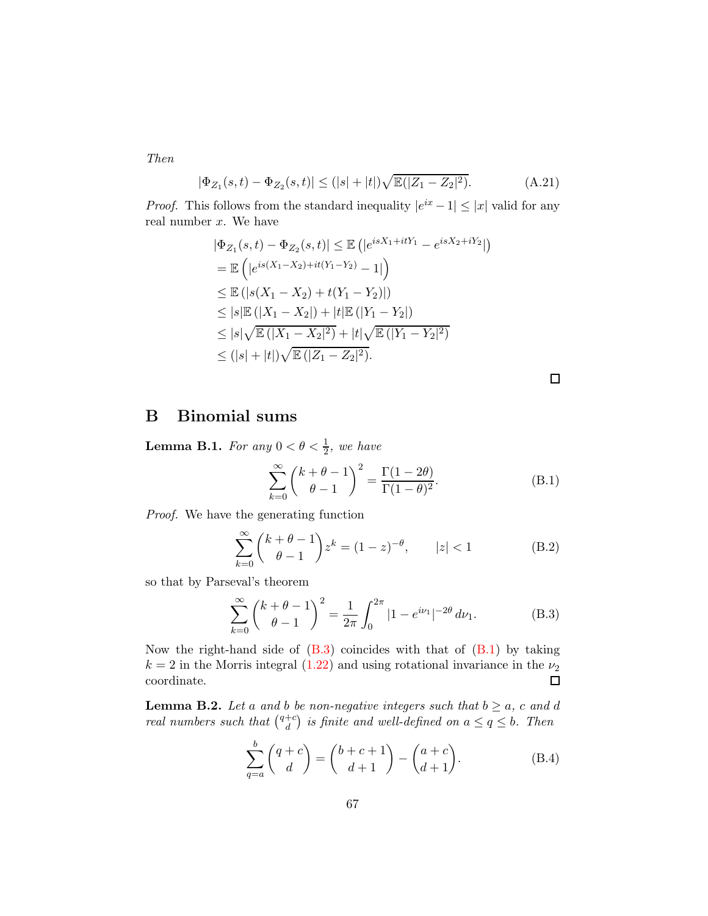Then

$$
|\Phi_{Z_1}(s,t) - \Phi_{Z_2}(s,t)| \le (|s| + |t|) \sqrt{\mathbb{E}(|Z_1 - Z_2|^2)}.
$$
 (A.21)

*Proof.* This follows from the standard inequality  $|e^{ix} - 1| \leq |x|$  valid for any real number  $x$ . We have

$$
|\Phi_{Z_1}(s,t) - \Phi_{Z_2}(s,t)| \leq \mathbb{E} (|e^{isX_1 + itY_1} - e^{isX_2 + iY_2}|)
$$
  
=  $\mathbb{E} (|e^{is(X_1 - X_2) + it(Y_1 - Y_2)} - 1|)$   
 $\leq \mathbb{E} (|s(X_1 - X_2) + t(Y_1 - Y_2)|)$   
 $\leq |s| \mathbb{E} (|X_1 - X_2|) + |t| \mathbb{E} (|Y_1 - Y_2|)$   
 $\leq |s| \sqrt{\mathbb{E} (|X_1 - X_2|^2)} + |t| \sqrt{\mathbb{E} (|Y_1 - Y_2|^2)}$   
 $\leq (|s| + |t|) \sqrt{\mathbb{E} (|Z_1 - Z_2|^2)}.$ 

 $\Box$ 

# B Binomial sums

<span id="page-66-0"></span>**Lemma B.1.** For any  $0 < \theta < \frac{1}{2}$ , we have

<span id="page-66-4"></span>
$$
\sum_{k=0}^{\infty} \binom{k+\theta-1}{\theta-1}^2 = \frac{\Gamma(1-2\theta)}{\Gamma(1-\theta)^2}.
$$
 (B.1)

Proof. We have the generating function

$$
\sum_{k=0}^{\infty} {k+\theta-1 \choose \theta-1} z^k = (1-z)^{-\theta}, \qquad |z| < 1
$$
 (B.2)

so that by Parseval's theorem

<span id="page-66-3"></span>
$$
\sum_{k=0}^{\infty} \binom{k+\theta-1}{\theta-1}^2 = \frac{1}{2\pi} \int_0^{2\pi} |1 - e^{i\nu_1}|^{-2\theta} d\nu_1.
$$
 (B.3)

Now the right-hand side of  $(B.3)$  coincides with that of  $(B.1)$  by taking  $k = 2$  in the Morris integral [\(1.22\)](#page-8-0) and using rotational invariance in the  $\nu_2$ coordinate.  $\Box$ 

<span id="page-66-2"></span>**Lemma B.2.** Let a and b be non-negative integers such that  $b \ge a$ , c and d real numbers such that  $\binom{q+c}{d}$  $\binom{+c}{d}$  is finite and well-defined on  $a \leq q \leq b$ . Then

<span id="page-66-1"></span>
$$
\sum_{q=a}^{b} \binom{q+c}{d} = \binom{b+c+1}{d+1} - \binom{a+c}{d+1}.
$$
\n(B.4)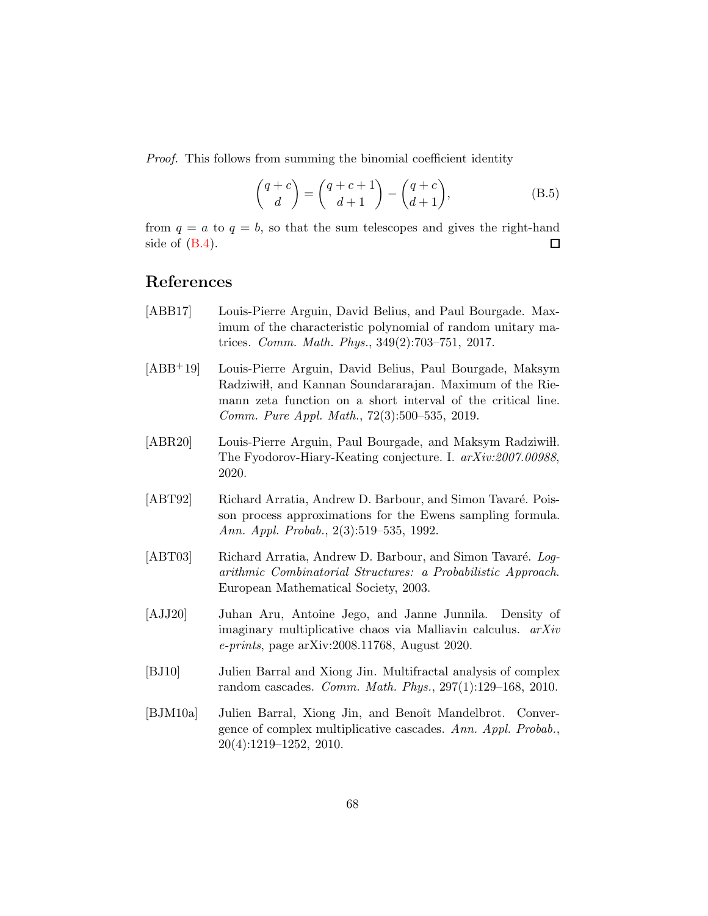Proof. This follows from summing the binomial coefficient identity

$$
\begin{pmatrix} q+c \\ d \end{pmatrix} = \begin{pmatrix} q+c+1 \\ d+1 \end{pmatrix} - \begin{pmatrix} q+c \\ d+1 \end{pmatrix},
$$
 (B.5)

from  $q = a$  to  $q = b$ , so that the sum telescopes and gives the right-hand side of  $(B.4)$ .  $\Box$ 

# References

- [ABB17] Louis-Pierre Arguin, David Belius, and Paul Bourgade. Maximum of the characteristic polynomial of random unitary matrices. Comm. Math. Phys., 349(2):703–751, 2017.
- [ABB+19] Louis-Pierre Arguin, David Belius, Paul Bourgade, Maksym Radziwi<sub>t</sub>, and Kannan Soundararajan. Maximum of the Riemann zeta function on a short interval of the critical line. Comm. Pure Appl. Math., 72(3):500–535, 2019.
- [ABR20] Louis-Pierre Arguin, Paul Bourgade, and Maksym Radziwill. The Fyodorov-Hiary-Keating conjecture. I. arXiv:2007.00988, 2020.
- [ABT92] Richard Arratia, Andrew D. Barbour, and Simon Tavaré. Poisson process approximations for the Ewens sampling formula. Ann. Appl. Probab., 2(3):519–535, 1992.
- [ABT03] Richard Arratia, Andrew D. Barbour, and Simon Tavaré. Logarithmic Combinatorial Structures: a Probabilistic Approach. European Mathematical Society, 2003.
- [AJJ20] Juhan Aru, Antoine Jego, and Janne Junnila. Density of imaginary multiplicative chaos via Malliavin calculus. arXiv e-prints, page arXiv:2008.11768, August 2020.
- [BJ10] Julien Barral and Xiong Jin. Multifractal analysis of complex random cascades. Comm. Math. Phys., 297(1):129–168, 2010.
- [BJM10a] Julien Barral, Xiong Jin, and Benoît Mandelbrot. Convergence of complex multiplicative cascades. Ann. Appl. Probab., 20(4):1219–1252, 2010.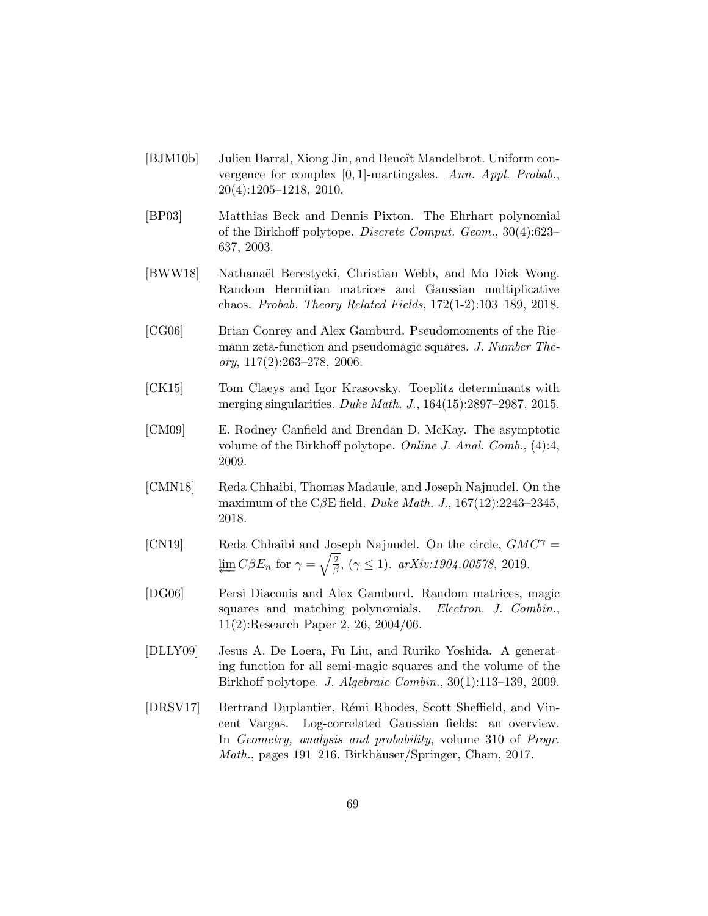- [BJM10b] Julien Barral, Xiong Jin, and Benoît Mandelbrot. Uniform convergence for complex [0, 1]-martingales. Ann. Appl. Probab., 20(4):1205–1218, 2010.
- [BP03] Matthias Beck and Dennis Pixton. The Ehrhart polynomial of the Birkhoff polytope. Discrete Comput. Geom., 30(4):623– 637, 2003.
- [BWW18] Nathanaël Berestycki, Christian Webb, and Mo Dick Wong. Random Hermitian matrices and Gaussian multiplicative chaos. Probab. Theory Related Fields, 172(1-2):103–189, 2018.
- [CG06] Brian Conrey and Alex Gamburd. Pseudomoments of the Riemann zeta-function and pseudomagic squares. J. Number The- $\textit{ory}, 117(2):263-278, 2006.$
- [CK15] Tom Claeys and Igor Krasovsky. Toeplitz determinants with merging singularities. Duke Math. J., 164(15):2897–2987, 2015.
- [CM09] E. Rodney Canfield and Brendan D. McKay. The asymptotic volume of the Birkhoff polytope. Online J. Anal. Comb., (4):4, 2009.
- [CMN18] Reda Chhaibi, Thomas Madaule, and Joseph Najnudel. On the maximum of the C $\beta$ E field. Duke Math. J., 167(12):2243–2345, 2018.
- <span id="page-68-0"></span>[CN19] Reda Chhaibi and Joseph Najnudel. On the circle,  $GMC^{\gamma}$  =  $\varprojlim C\beta E_n$  for  $\gamma = \sqrt{\frac{2}{\beta}}$  $\frac{2}{\beta}$ ,  $(\gamma \le 1)$ . arXiv:1904.00578, 2019.
- [DG06] Persi Diaconis and Alex Gamburd. Random matrices, magic squares and matching polynomials. Electron. J. Combin., 11(2):Research Paper 2, 26, 2004/06.
- [DLLY09] Jesus A. De Loera, Fu Liu, and Ruriko Yoshida. A generating function for all semi-magic squares and the volume of the Birkhoff polytope. J. Algebraic Combin., 30(1):113–139, 2009.
- [DRSV17] Bertrand Duplantier, R´emi Rhodes, Scott Sheffield, and Vincent Vargas. Log-correlated Gaussian fields: an overview. In Geometry, analysis and probability, volume 310 of Progr. Math., pages 191–216. Birkhäuser/Springer, Cham, 2017.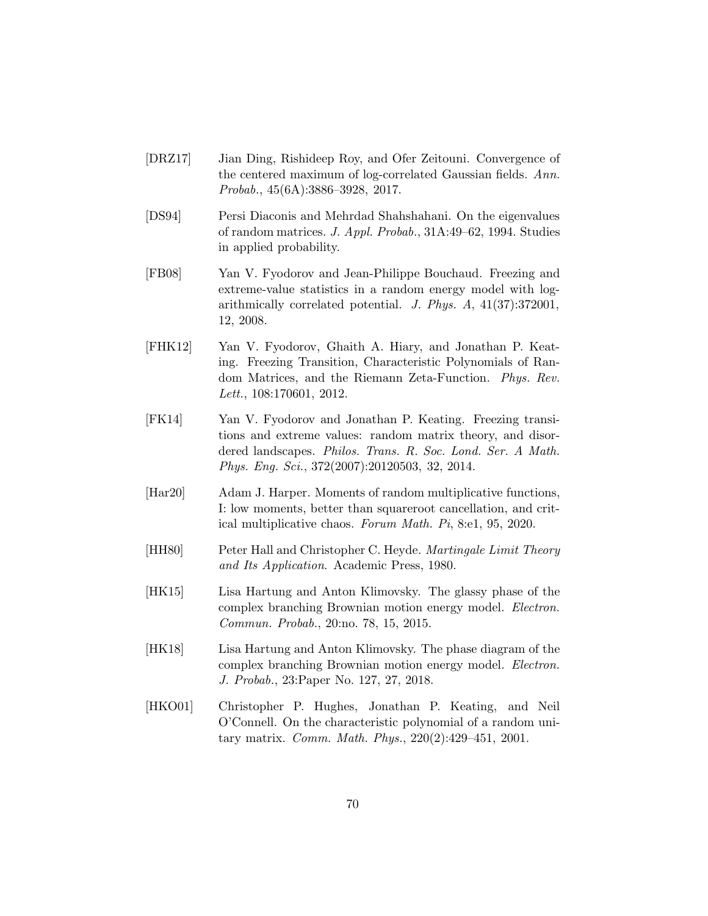- <span id="page-69-0"></span>[DRZ17] Jian Ding, Rishideep Roy, and Ofer Zeitouni. Convergence of the centered maximum of log-correlated Gaussian fields. Ann. Probab., 45(6A):3886–3928, 2017.
- [DS94] Persi Diaconis and Mehrdad Shahshahani. On the eigenvalues of random matrices. J. Appl. Probab., 31A:49–62, 1994. Studies in applied probability.
- [FB08] Yan V. Fyodorov and Jean-Philippe Bouchaud. Freezing and extreme-value statistics in a random energy model with logarithmically correlated potential. J. Phys. A, 41(37):372001, 12, 2008.
- [FHK12] Yan V. Fyodorov, Ghaith A. Hiary, and Jonathan P. Keating. Freezing Transition, Characteristic Polynomials of Random Matrices, and the Riemann Zeta-Function. Phys. Rev. Lett., 108:170601, 2012.
- [FK14] Yan V. Fyodorov and Jonathan P. Keating. Freezing transitions and extreme values: random matrix theory, and disordered landscapes. Philos. Trans. R. Soc. Lond. Ser. A Math. Phys. Eng. Sci., 372(2007):20120503, 32, 2014.
- [Har20] Adam J. Harper. Moments of random multiplicative functions, I: low moments, better than squareroot cancellation, and critical multiplicative chaos. Forum Math. Pi, 8:e1, 95, 2020.
- [HH80] Peter Hall and Christopher C. Heyde. *Martingale Limit Theory* and Its Application. Academic Press, 1980.
- [HK15] Lisa Hartung and Anton Klimovsky. The glassy phase of the complex branching Brownian motion energy model. Electron. Commun. Probab., 20:no. 78, 15, 2015.
- [HK18] Lisa Hartung and Anton Klimovsky. The phase diagram of the complex branching Brownian motion energy model. Electron. J. Probab., 23:Paper No. 127, 27, 2018.
- [HKO01] Christopher P. Hughes, Jonathan P. Keating, and Neil O'Connell. On the characteristic polynomial of a random unitary matrix. Comm. Math. Phys., 220(2):429–451, 2001.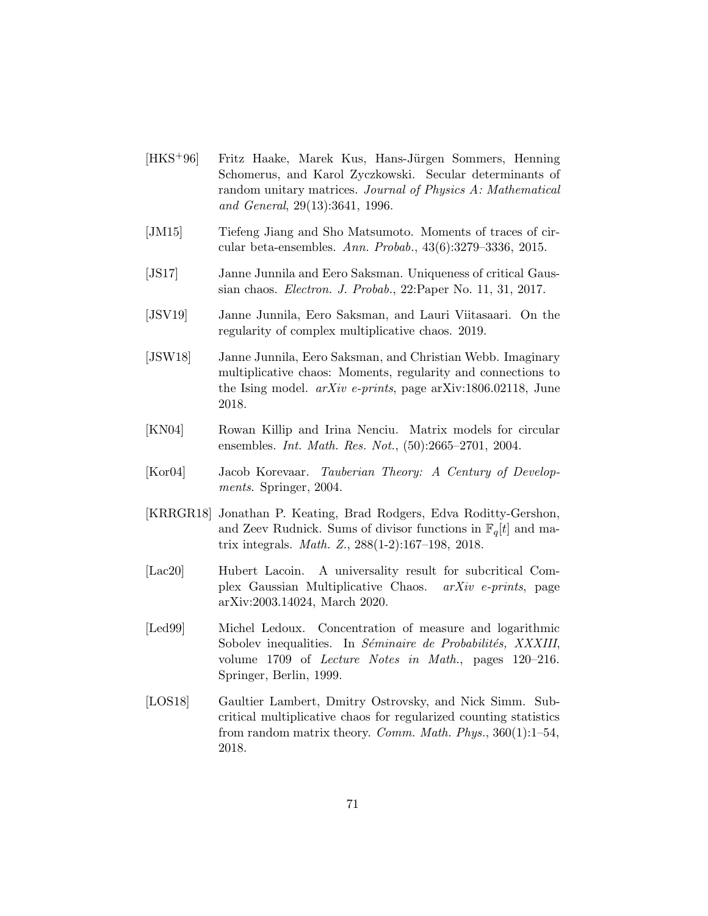- [HKS<sup>+</sup>96] Fritz Haake, Marek Kus, Hans-Jürgen Sommers, Henning Schomerus, and Karol Zyczkowski. Secular determinants of random unitary matrices. Journal of Physics A: Mathematical and General, 29(13):3641, 1996.
- [JM15] Tiefeng Jiang and Sho Matsumoto. Moments of traces of circular beta-ensembles. Ann. Probab., 43(6):3279–3336, 2015.
- <span id="page-70-1"></span>[JS17] Janne Junnila and Eero Saksman. Uniqueness of critical Gaussian chaos. Electron. J. Probab., 22:Paper No. 11, 31, 2017.
- [JSV19] Janne Junnila, Eero Saksman, and Lauri Viitasaari. On the regularity of complex multiplicative chaos. 2019.
- [JSW18] Janne Junnila, Eero Saksman, and Christian Webb. Imaginary multiplicative chaos: Moments, regularity and connections to the Ising model. arXiv e-prints, page arXiv:1806.02118, June 2018.
- <span id="page-70-0"></span>[KN04] Rowan Killip and Irina Nenciu. Matrix models for circular ensembles. Int. Math. Res. Not., (50):2665–2701, 2004.
- <span id="page-70-2"></span>[Kor04] Jacob Korevaar. Tauberian Theory: A Century of Developments. Springer, 2004.
- [KRRGR18] Jonathan P. Keating, Brad Rodgers, Edva Roditty-Gershon, and Zeev Rudnick. Sums of divisor functions in  $\mathbb{F}_q[t]$  and matrix integrals. Math. Z., 288(1-2):167–198, 2018.
- [Lac20] Hubert Lacoin. A universality result for subcritical Complex Gaussian Multiplicative Chaos. arXiv e-prints, page arXiv:2003.14024, March 2020.
- [Led99] Michel Ledoux. Concentration of measure and logarithmic Sobolev inequalities. In *Séminaire de Probabilités, XXXIII*, volume 1709 of Lecture Notes in Math., pages 120–216. Springer, Berlin, 1999.
- [LOS18] Gaultier Lambert, Dmitry Ostrovsky, and Nick Simm. Subcritical multiplicative chaos for regularized counting statistics from random matrix theory. *Comm. Math. Phys.*,  $360(1):1-54$ , 2018.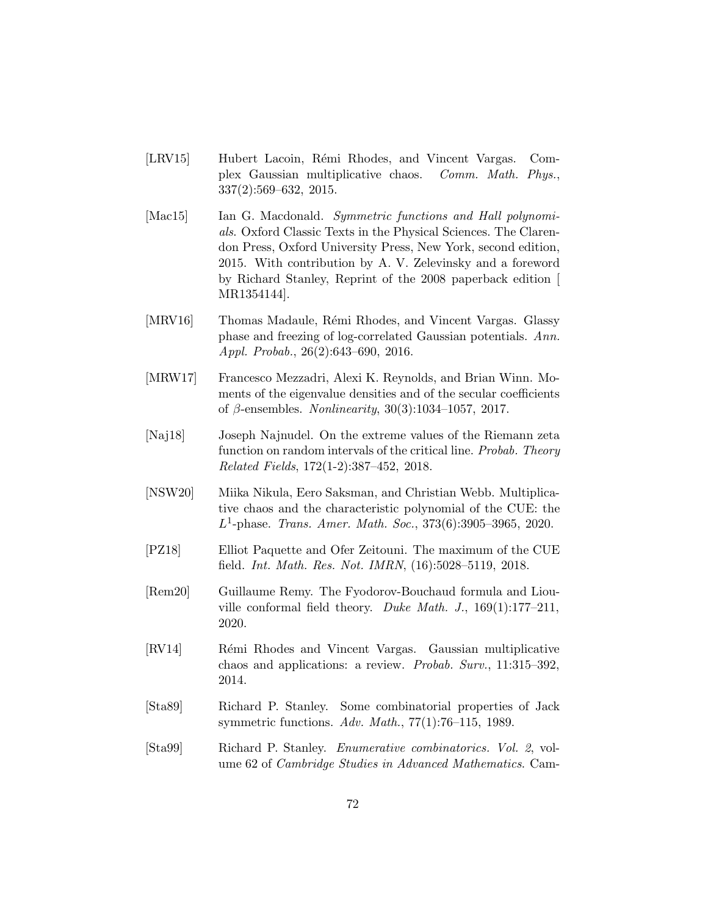- [LRV15] Hubert Lacoin, Rémi Rhodes, and Vincent Vargas. Complex Gaussian multiplicative chaos. Comm. Math. Phys., 337(2):569–632, 2015.
- [Mac15] Ian G. Macdonald. Symmetric functions and Hall polynomials. Oxford Classic Texts in the Physical Sciences. The Clarendon Press, Oxford University Press, New York, second edition, 2015. With contribution by A. V. Zelevinsky and a foreword by Richard Stanley, Reprint of the 2008 paperback edition [ MR1354144].
- [MRV16] Thomas Madaule, Rémi Rhodes, and Vincent Vargas. Glassy phase and freezing of log-correlated Gaussian potentials. Ann. Appl. Probab., 26(2):643–690, 2016.
- [MRW17] Francesco Mezzadri, Alexi K. Reynolds, and Brian Winn. Moments of the eigenvalue densities and of the secular coefficients of  $\beta$ -ensembles. *Nonlinearity*, 30(3):1034–1057, 2017.
- [Naj18] Joseph Najnudel. On the extreme values of the Riemann zeta function on random intervals of the critical line. Probab. Theory Related Fields, 172(1-2):387–452, 2018.
- [NSW20] Miika Nikula, Eero Saksman, and Christian Webb. Multiplicative chaos and the characteristic polynomial of the CUE: the  $L^1$ -phase. Trans. Amer. Math. Soc., 373(6):3905-3965, 2020.
- [PZ18] Elliot Paquette and Ofer Zeitouni. The maximum of the CUE field. Int. Math. Res. Not. IMRN, (16):5028–5119, 2018.
- [Rem20] Guillaume Remy. The Fyodorov-Bouchaud formula and Liouville conformal field theory. Duke Math. J.,  $169(1):177-211$ , 2020.
- [RV14] Rémi Rhodes and Vincent Vargas. Gaussian multiplicative chaos and applications: a review. Probab. Surv., 11:315–392, 2014.
- [Sta89] Richard P. Stanley. Some combinatorial properties of Jack symmetric functions. Adv. Math., 77(1):76–115, 1989.
- [Sta99] Richard P. Stanley. Enumerative combinatorics. Vol. 2, volume 62 of Cambridge Studies in Advanced Mathematics. Cam-